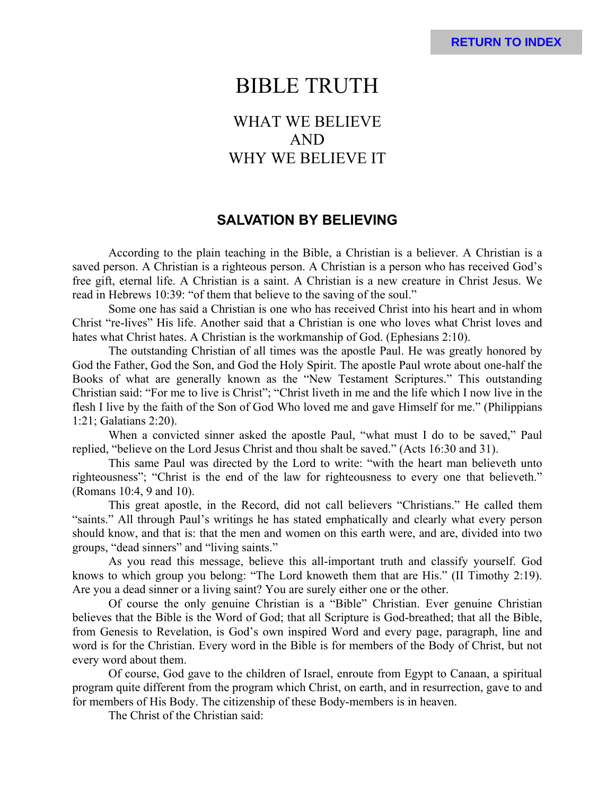# BIBLE TRUTH

# WHAT WE BELIEVE AND WHY WE BELIEVE IT

### **SALVATION BY BELIEVING**

According to the plain teaching in the Bible, a Christian is a believer. A Christian is a saved person. A Christian is a righteous person. A Christian is a person who has received God's free gift, eternal life. A Christian is a saint. A Christian is a new creature in Christ Jesus. We read in Hebrews 10:39: "of them that believe to the saving of the soul."

Some one has said a Christian is one who has received Christ into his heart and in whom Christ "re-lives" His life. Another said that a Christian is one who loves what Christ loves and hates what Christ hates. A Christian is the workmanship of God. (Ephesians 2:10).

The outstanding Christian of all times was the apostle Paul. He was greatly honored by God the Father, God the Son, and God the Holy Spirit. The apostle Paul wrote about one-half the Books of what are generally known as the "New Testament Scriptures." This outstanding Christian said: "For me to live is Christ"; "Christ liveth in me and the life which I now live in the flesh I live by the faith of the Son of God Who loved me and gave Himself for me." (Philippians 1:21; Galatians 2:20).

When a convicted sinner asked the apostle Paul, "what must I do to be saved," Paul replied, "believe on the Lord Jesus Christ and thou shalt be saved." (Acts 16:30 and 31).

This same Paul was directed by the Lord to write: "with the heart man believeth unto righteousness"; "Christ is the end of the law for righteousness to every one that believeth." (Romans 10:4, 9 and 10).

This great apostle, in the Record, did not call believers "Christians." He called them "saints." All through Paul's writings he has stated emphatically and clearly what every person should know, and that is: that the men and women on this earth were, and are, divided into two groups, "dead sinners" and "living saints."

As you read this message, believe this all-important truth and classify yourself. God knows to which group you belong: "The Lord knoweth them that are His." (II Timothy 2:19). Are you a dead sinner or a living saint? You are surely either one or the other.

Of course the only genuine Christian is a "Bible" Christian. Ever genuine Christian believes that the Bible is the Word of God; that all Scripture is God-breathed; that all the Bible, from Genesis to Revelation, is God's own inspired Word and every page, paragraph, line and word is for the Christian. Every word in the Bible is for members of the Body of Christ, but not every word about them.

Of course, God gave to the children of Israel, enroute from Egypt to Canaan, a spiritual program quite different from the program which Christ, on earth, and in resurrection, gave to and for members of His Body. The citizenship of these Body-members is in heaven.

The Christ of the Christian said: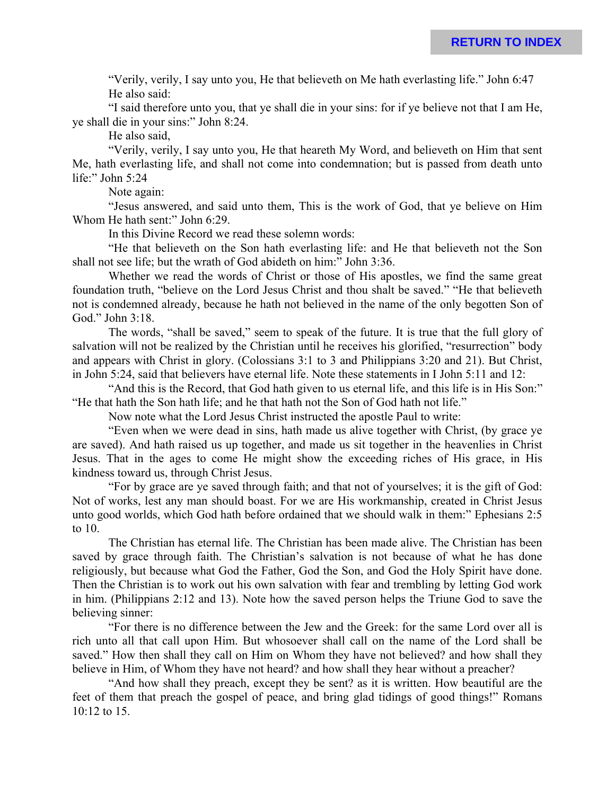"Verily, verily, I say unto you, He that believeth on Me hath everlasting life." John 6:47 He also said:

"I said therefore unto you, that ye shall die in your sins: for if ye believe not that I am He, ye shall die in your sins:" John 8:24.

He also said,

"Verily, verily, I say unto you, He that heareth My Word, and believeth on Him that sent Me, hath everlasting life, and shall not come into condemnation; but is passed from death unto life:" John 5:24

Note again:

"Jesus answered, and said unto them, This is the work of God, that ye believe on Him Whom He hath sent:" John 6:29.

In this Divine Record we read these solemn words:

"He that believeth on the Son hath everlasting life: and He that believeth not the Son shall not see life; but the wrath of God abideth on him:" John 3:36.

Whether we read the words of Christ or those of His apostles, we find the same great foundation truth, "believe on the Lord Jesus Christ and thou shalt be saved." "He that believeth not is condemned already, because he hath not believed in the name of the only begotten Son of God." John 3:18.

The words, "shall be saved," seem to speak of the future. It is true that the full glory of salvation will not be realized by the Christian until he receives his glorified, "resurrection" body and appears with Christ in glory. (Colossians 3:1 to 3 and Philippians 3:20 and 21). But Christ, in John 5:24, said that believers have eternal life. Note these statements in I John 5:11 and 12:

"And this is the Record, that God hath given to us eternal life, and this life is in His Son:" "He that hath the Son hath life; and he that hath not the Son of God hath not life."

Now note what the Lord Jesus Christ instructed the apostle Paul to write:

"Even when we were dead in sins, hath made us alive together with Christ, (by grace ye are saved). And hath raised us up together, and made us sit together in the heavenlies in Christ Jesus. That in the ages to come He might show the exceeding riches of His grace, in His kindness toward us, through Christ Jesus.

"For by grace are ye saved through faith; and that not of yourselves; it is the gift of God: Not of works, lest any man should boast. For we are His workmanship, created in Christ Jesus unto good worlds, which God hath before ordained that we should walk in them:" Ephesians 2:5 to 10.

The Christian has eternal life. The Christian has been made alive. The Christian has been saved by grace through faith. The Christian's salvation is not because of what he has done religiously, but because what God the Father, God the Son, and God the Holy Spirit have done. Then the Christian is to work out his own salvation with fear and trembling by letting God work in him. (Philippians 2:12 and 13). Note how the saved person helps the Triune God to save the believing sinner:

"For there is no difference between the Jew and the Greek: for the same Lord over all is rich unto all that call upon Him. But whosoever shall call on the name of the Lord shall be saved." How then shall they call on Him on Whom they have not believed? and how shall they believe in Him, of Whom they have not heard? and how shall they hear without a preacher?

"And how shall they preach, except they be sent? as it is written. How beautiful are the feet of them that preach the gospel of peace, and bring glad tidings of good things!" Romans 10:12 to 15.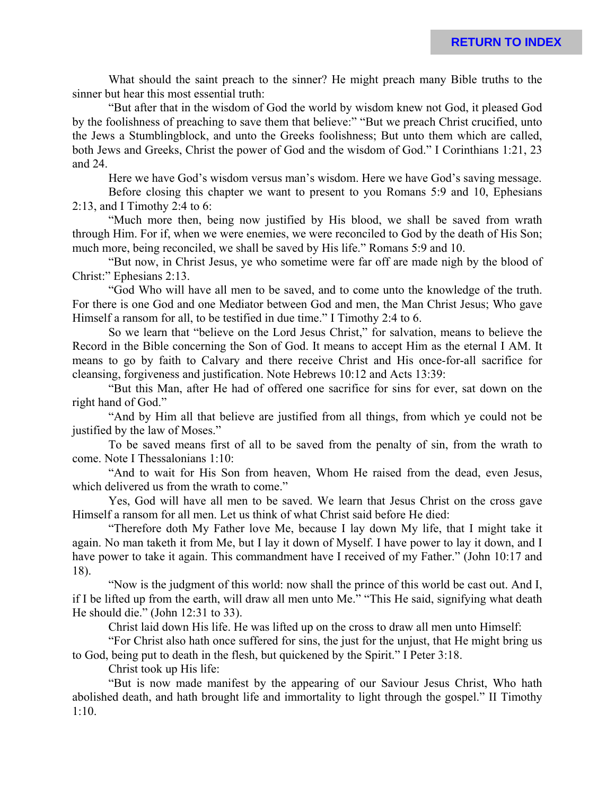What should the saint preach to the sinner? He might preach many Bible truths to the sinner but hear this most essential truth:

"But after that in the wisdom of God the world by wisdom knew not God, it pleased God by the foolishness of preaching to save them that believe:" "But we preach Christ crucified, unto the Jews a Stumblingblock, and unto the Greeks foolishness; But unto them which are called, both Jews and Greeks, Christ the power of God and the wisdom of God." I Corinthians 1:21, 23 and 24.

Here we have God's wisdom versus man's wisdom. Here we have God's saving message.

Before closing this chapter we want to present to you Romans 5:9 and 10, Ephesians 2:13, and I Timothy 2:4 to 6:

"Much more then, being now justified by His blood, we shall be saved from wrath through Him. For if, when we were enemies, we were reconciled to God by the death of His Son; much more, being reconciled, we shall be saved by His life." Romans 5:9 and 10.

"But now, in Christ Jesus, ye who sometime were far off are made nigh by the blood of Christ:" Ephesians 2:13.

"God Who will have all men to be saved, and to come unto the knowledge of the truth. For there is one God and one Mediator between God and men, the Man Christ Jesus; Who gave Himself a ransom for all, to be testified in due time." I Timothy 2:4 to 6.

So we learn that "believe on the Lord Jesus Christ," for salvation, means to believe the Record in the Bible concerning the Son of God. It means to accept Him as the eternal I AM. It means to go by faith to Calvary and there receive Christ and His once-for-all sacrifice for cleansing, forgiveness and justification. Note Hebrews 10:12 and Acts 13:39:

"But this Man, after He had of offered one sacrifice for sins for ever, sat down on the right hand of God."

"And by Him all that believe are justified from all things, from which ye could not be justified by the law of Moses."

To be saved means first of all to be saved from the penalty of sin, from the wrath to come. Note I Thessalonians 1:10:

"And to wait for His Son from heaven, Whom He raised from the dead, even Jesus, which delivered us from the wrath to come."

Yes, God will have all men to be saved. We learn that Jesus Christ on the cross gave Himself a ransom for all men. Let us think of what Christ said before He died:

"Therefore doth My Father love Me, because I lay down My life, that I might take it again. No man taketh it from Me, but I lay it down of Myself. I have power to lay it down, and I have power to take it again. This commandment have I received of my Father." (John 10:17 and 18).

"Now is the judgment of this world: now shall the prince of this world be cast out. And I, if I be lifted up from the earth, will draw all men unto Me." "This He said, signifying what death He should die." (John 12:31 to 33).

Christ laid down His life. He was lifted up on the cross to draw all men unto Himself:

"For Christ also hath once suffered for sins, the just for the unjust, that He might bring us to God, being put to death in the flesh, but quickened by the Spirit." I Peter 3:18.

Christ took up His life:

"But is now made manifest by the appearing of our Saviour Jesus Christ, Who hath abolished death, and hath brought life and immortality to light through the gospel." II Timothy 1:10.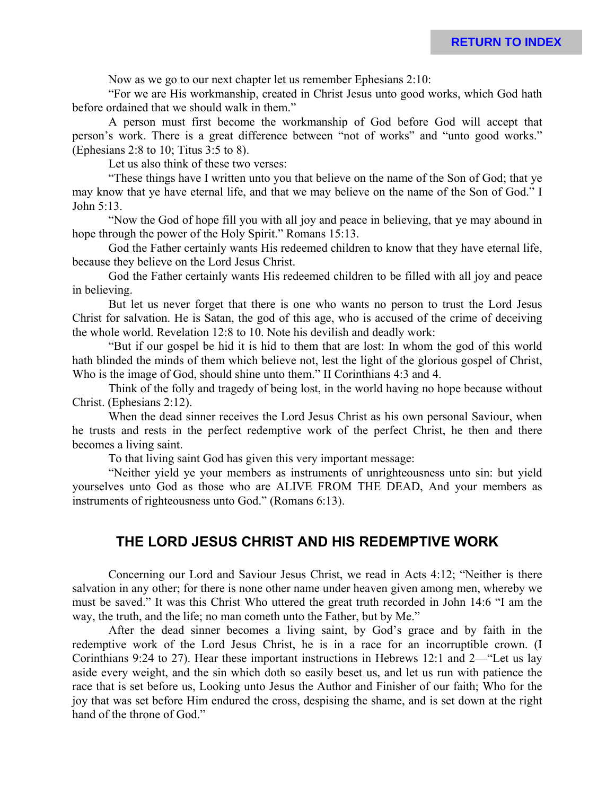Now as we go to our next chapter let us remember Ephesians 2:10:

"For we are His workmanship, created in Christ Jesus unto good works, which God hath before ordained that we should walk in them."

A person must first become the workmanship of God before God will accept that person's work. There is a great difference between "not of works" and "unto good works." (Ephesians 2:8 to 10; Titus 3:5 to 8).

Let us also think of these two verses:

"These things have I written unto you that believe on the name of the Son of God; that ye may know that ye have eternal life, and that we may believe on the name of the Son of God." I John 5:13.

"Now the God of hope fill you with all joy and peace in believing, that ye may abound in hope through the power of the Holy Spirit." Romans 15:13.

God the Father certainly wants His redeemed children to know that they have eternal life, because they believe on the Lord Jesus Christ.

God the Father certainly wants His redeemed children to be filled with all joy and peace in believing.

But let us never forget that there is one who wants no person to trust the Lord Jesus Christ for salvation. He is Satan, the god of this age, who is accused of the crime of deceiving the whole world. Revelation 12:8 to 10. Note his devilish and deadly work:

"But if our gospel be hid it is hid to them that are lost: In whom the god of this world hath blinded the minds of them which believe not, lest the light of the glorious gospel of Christ, Who is the image of God, should shine unto them." II Corinthians 4:3 and 4.

Think of the folly and tragedy of being lost, in the world having no hope because without Christ. (Ephesians 2:12).

When the dead sinner receives the Lord Jesus Christ as his own personal Saviour, when he trusts and rests in the perfect redemptive work of the perfect Christ, he then and there becomes a living saint.

To that living saint God has given this very important message:

"Neither yield ye your members as instruments of unrighteousness unto sin: but yield yourselves unto God as those who are ALIVE FROM THE DEAD, And your members as instruments of righteousness unto God." (Romans 6:13).

### **THE LORD JESUS CHRIST AND HIS REDEMPTIVE WORK**

Concerning our Lord and Saviour Jesus Christ, we read in Acts 4:12; "Neither is there salvation in any other; for there is none other name under heaven given among men, whereby we must be saved." It was this Christ Who uttered the great truth recorded in John 14:6 "I am the way, the truth, and the life; no man cometh unto the Father, but by Me."

After the dead sinner becomes a living saint, by God's grace and by faith in the redemptive work of the Lord Jesus Christ, he is in a race for an incorruptible crown. (I Corinthians 9:24 to 27). Hear these important instructions in Hebrews 12:1 and 2—"Let us lay aside every weight, and the sin which doth so easily beset us, and let us run with patience the race that is set before us, Looking unto Jesus the Author and Finisher of our faith; Who for the joy that was set before Him endured the cross, despising the shame, and is set down at the right hand of the throne of God."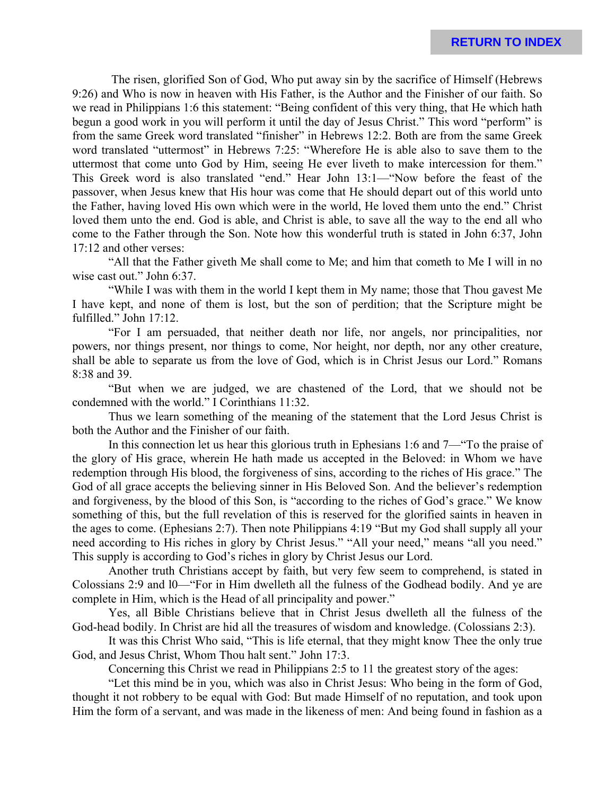The risen, glorified Son of God, Who put away sin by the sacrifice of Himself (Hebrews 9:26) and Who is now in heaven with His Father, is the Author and the Finisher of our faith. So we read in Philippians 1:6 this statement: "Being confident of this very thing, that He which hath begun a good work in you will perform it until the day of Jesus Christ." This word "perform" is from the same Greek word translated "finisher" in Hebrews 12:2. Both are from the same Greek word translated "uttermost" in Hebrews 7:25: "Wherefore He is able also to save them to the uttermost that come unto God by Him, seeing He ever liveth to make intercession for them." This Greek word is also translated "end." Hear John 13:1—"Now before the feast of the passover, when Jesus knew that His hour was come that He should depart out of this world unto the Father, having loved His own which were in the world, He loved them unto the end." Christ loved them unto the end. God is able, and Christ is able, to save all the way to the end all who come to the Father through the Son. Note how this wonderful truth is stated in John 6:37, John 17:12 and other verses:

"All that the Father giveth Me shall come to Me; and him that cometh to Me I will in no wise cast out." John 6:37.

"While I was with them in the world I kept them in My name; those that Thou gavest Me I have kept, and none of them is lost, but the son of perdition; that the Scripture might be fulfilled." John 17:12.

"For I am persuaded, that neither death nor life, nor angels, nor principalities, nor powers, nor things present, nor things to come, Nor height, nor depth, nor any other creature, shall be able to separate us from the love of God, which is in Christ Jesus our Lord." Romans 8:38 and 39.

"But when we are judged, we are chastened of the Lord, that we should not be condemned with the world." I Corinthians 11:32.

Thus we learn something of the meaning of the statement that the Lord Jesus Christ is both the Author and the Finisher of our faith.

In this connection let us hear this glorious truth in Ephesians 1:6 and 7—"To the praise of the glory of His grace, wherein He hath made us accepted in the Beloved: in Whom we have redemption through His blood, the forgiveness of sins, according to the riches of His grace." The God of all grace accepts the believing sinner in His Beloved Son. And the believer's redemption and forgiveness, by the blood of this Son, is "according to the riches of God's grace." We know something of this, but the full revelation of this is reserved for the glorified saints in heaven in the ages to come. (Ephesians 2:7). Then note Philippians 4:19 "But my God shall supply all your need according to His riches in glory by Christ Jesus." "All your need," means "all you need." This supply is according to God's riches in glory by Christ Jesus our Lord.

Another truth Christians accept by faith, but very few seem to comprehend, is stated in Colossians 2:9 and l0—"For in Him dwelleth all the fulness of the Godhead bodily. And ye are complete in Him, which is the Head of all principality and power."

Yes, all Bible Christians believe that in Christ Jesus dwelleth all the fulness of the God-head bodily. In Christ are hid all the treasures of wisdom and knowledge. (Colossians 2:3).

It was this Christ Who said, "This is life eternal, that they might know Thee the only true God, and Jesus Christ, Whom Thou halt sent." John 17:3.

Concerning this Christ we read in Philippians 2:5 to 11 the greatest story of the ages:

"Let this mind be in you, which was also in Christ Jesus: Who being in the form of God, thought it not robbery to be equal with God: But made Himself of no reputation, and took upon Him the form of a servant, and was made in the likeness of men: And being found in fashion as a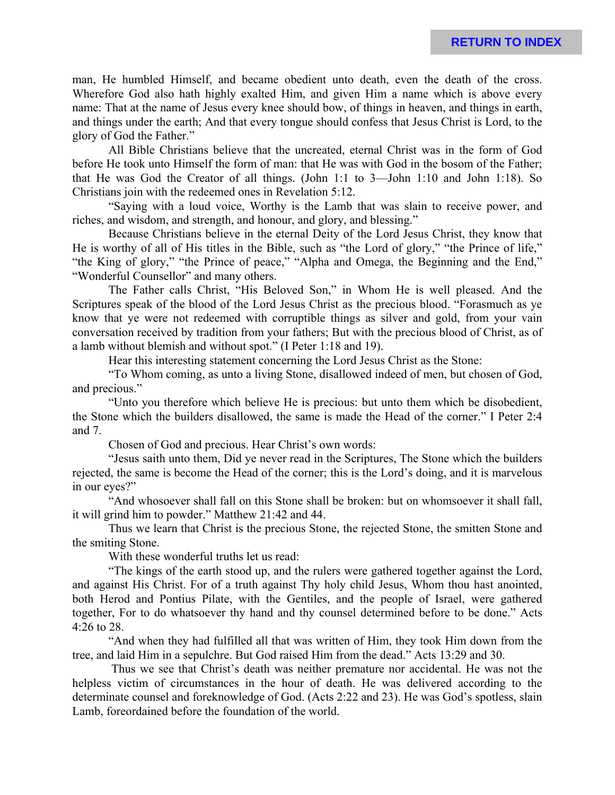man, He humbled Himself, and became obedient unto death, even the death of the cross. Wherefore God also hath highly exalted Him, and given Him a name which is above every name: That at the name of Jesus every knee should bow, of things in heaven, and things in earth, and things under the earth; And that every tongue should confess that Jesus Christ is Lord, to the glory of God the Father."

All Bible Christians believe that the uncreated, eternal Christ was in the form of God before He took unto Himself the form of man: that He was with God in the bosom of the Father; that He was God the Creator of all things. (John 1:1 to 3—John 1:10 and John 1:18). So Christians join with the redeemed ones in Revelation 5:12.

"Saying with a loud voice, Worthy is the Lamb that was slain to receive power, and riches, and wisdom, and strength, and honour, and glory, and blessing."

Because Christians believe in the eternal Deity of the Lord Jesus Christ, they know that He is worthy of all of His titles in the Bible, such as "the Lord of glory," "the Prince of life," "the King of glory," "the Prince of peace," "Alpha and Omega, the Beginning and the End," "Wonderful Counsellor" and many others.

The Father calls Christ, "His Beloved Son," in Whom He is well pleased. And the Scriptures speak of the blood of the Lord Jesus Christ as the precious blood. "Forasmuch as ye know that ye were not redeemed with corruptible things as silver and gold, from your vain conversation received by tradition from your fathers; But with the precious blood of Christ, as of a lamb without blemish and without spot." (I Peter 1:18 and 19).

Hear this interesting statement concerning the Lord Jesus Christ as the Stone:

"To Whom coming, as unto a living Stone, disallowed indeed of men, but chosen of God, and precious."

"Unto you therefore which believe He is precious: but unto them which be disobedient, the Stone which the builders disallowed, the same is made the Head of the corner." I Peter 2:4 and 7.

Chosen of God and precious. Hear Christ's own words:

"Jesus saith unto them, Did ye never read in the Scriptures, The Stone which the builders rejected, the same is become the Head of the corner; this is the Lord's doing, and it is marvelous in our eyes?"

"And whosoever shall fall on this Stone shall be broken: but on whomsoever it shall fall, it will grind him to powder." Matthew 21:42 and 44.

Thus we learn that Christ is the precious Stone, the rejected Stone, the smitten Stone and the smiting Stone.

With these wonderful truths let us read:

"The kings of the earth stood up, and the rulers were gathered together against the Lord, and against His Christ. For of a truth against Thy holy child Jesus, Whom thou hast anointed, both Herod and Pontius Pilate, with the Gentiles, and the people of Israel, were gathered together, For to do whatsoever thy hand and thy counsel determined before to be done." Acts 4:26 to 28.

"And when they had fulfilled all that was written of Him, they took Him down from the tree, and laid Him in a sepulchre. But God raised Him from the dead." Acts 13:29 and 30.

 Thus we see that Christ's death was neither premature nor accidental. He was not the helpless victim of circumstances in the hour of death. He was delivered according to the determinate counsel and foreknowledge of God. (Acts 2:22 and 23). He was God's spotless, slain Lamb, foreordained before the foundation of the world.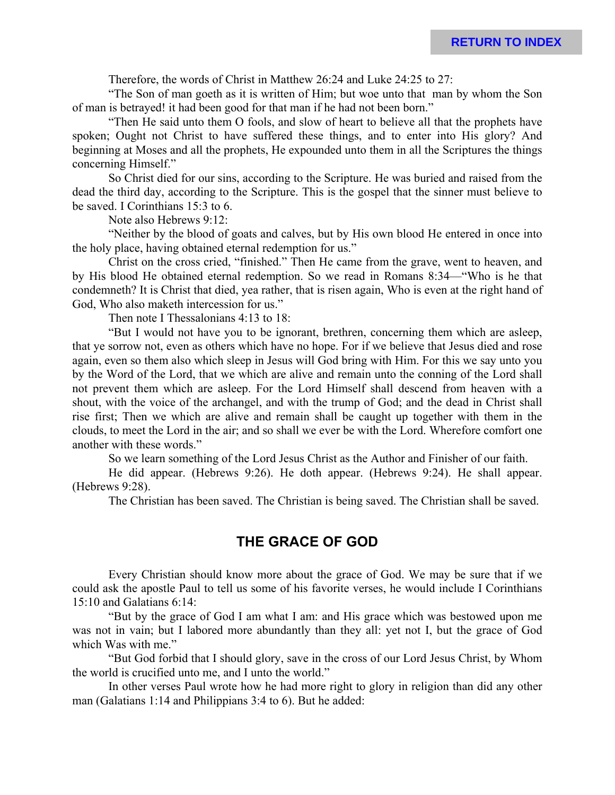Therefore, the words of Christ in Matthew 26:24 and Luke 24:25 to 27:

"The Son of man goeth as it is written of Him; but woe unto that man by whom the Son of man is betrayed! it had been good for that man if he had not been born."

"Then He said unto them O fools, and slow of heart to believe all that the prophets have spoken; Ought not Christ to have suffered these things, and to enter into His glory? And beginning at Moses and all the prophets, He expounded unto them in all the Scriptures the things concerning Himself."

So Christ died for our sins, according to the Scripture. He was buried and raised from the dead the third day, according to the Scripture. This is the gospel that the sinner must believe to be saved. I Corinthians 15:3 to 6.

Note also Hebrews 9:12:

"Neither by the blood of goats and calves, but by His own blood He entered in once into the holy place, having obtained eternal redemption for us."

Christ on the cross cried, "finished." Then He came from the grave, went to heaven, and by His blood He obtained eternal redemption. So we read in Romans 8:34—"Who is he that condemneth? It is Christ that died, yea rather, that is risen again, Who is even at the right hand of God, Who also maketh intercession for us."

Then note I Thessalonians 4:13 to 18:

"But I would not have you to be ignorant, brethren, concerning them which are asleep, that ye sorrow not, even as others which have no hope. For if we believe that Jesus died and rose again, even so them also which sleep in Jesus will God bring with Him. For this we say unto you by the Word of the Lord, that we which are alive and remain unto the conning of the Lord shall not prevent them which are asleep. For the Lord Himself shall descend from heaven with a shout, with the voice of the archangel, and with the trump of God; and the dead in Christ shall rise first; Then we which are alive and remain shall be caught up together with them in the clouds, to meet the Lord in the air; and so shall we ever be with the Lord. Wherefore comfort one another with these words."

So we learn something of the Lord Jesus Christ as the Author and Finisher of our faith.

He did appear. (Hebrews 9:26). He doth appear. (Hebrews 9:24). He shall appear. (Hebrews 9:28).

The Christian has been saved. The Christian is being saved. The Christian shall be saved.

### **THE GRACE OF GOD**

Every Christian should know more about the grace of God. We may be sure that if we could ask the apostle Paul to tell us some of his favorite verses, he would include I Corinthians 15:10 and Galatians 6:14:

"But by the grace of God I am what I am: and His grace which was bestowed upon me was not in vain; but I labored more abundantly than they all: yet not I, but the grace of God which Was with me."

"But God forbid that I should glory, save in the cross of our Lord Jesus Christ, by Whom the world is crucified unto me, and I unto the world."

In other verses Paul wrote how he had more right to glory in religion than did any other man (Galatians 1:14 and Philippians 3:4 to 6). But he added: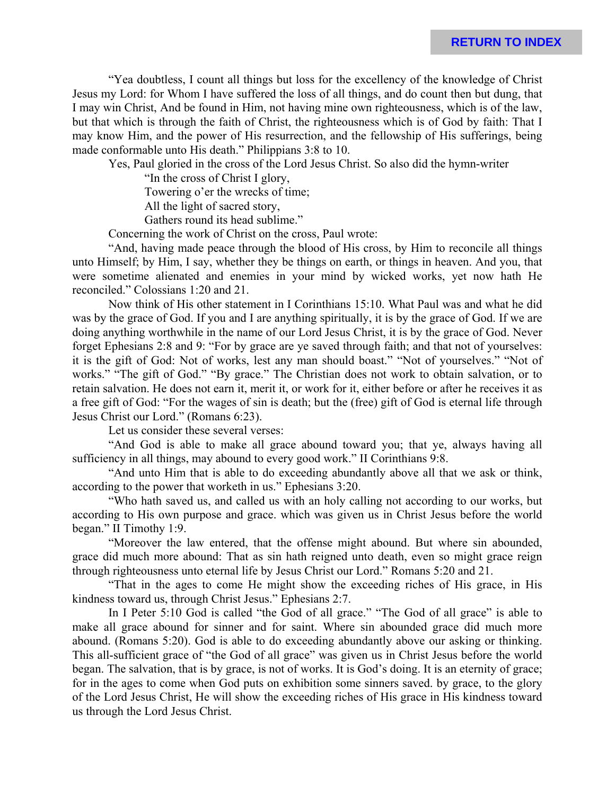**RETURN TO INDEX**

"Yea doubtless, I count all things but loss for the excellency of the knowledge of Christ Jesus my Lord: for Whom I have suffered the loss of all things, and do count then but dung, that I may win Christ, And be found in Him, not having mine own righteousness, which is of the law, but that which is through the faith of Christ, the righteousness which is of God by faith: That I may know Him, and the power of His resurrection, and the fellowship of His sufferings, being made conformable unto His death." Philippians 3:8 to 10.

Yes, Paul gloried in the cross of the Lord Jesus Christ. So also did the hymn-writer

"In the cross of Christ I glory,

Towering o'er the wrecks of time;

All the light of sacred story,

Gathers round its head sublime."

Concerning the work of Christ on the cross, Paul wrote:

"And, having made peace through the blood of His cross, by Him to reconcile all things unto Himself; by Him, I say, whether they be things on earth, or things in heaven. And you, that were sometime alienated and enemies in your mind by wicked works, yet now hath He reconciled." Colossians 1:20 and 21.

Now think of His other statement in I Corinthians 15:10. What Paul was and what he did was by the grace of God. If you and I are anything spiritually, it is by the grace of God. If we are doing anything worthwhile in the name of our Lord Jesus Christ, it is by the grace of God. Never forget Ephesians 2:8 and 9: "For by grace are ye saved through faith; and that not of yourselves: it is the gift of God: Not of works, lest any man should boast." "Not of yourselves." "Not of works." "The gift of God." "By grace." The Christian does not work to obtain salvation, or to retain salvation. He does not earn it, merit it, or work for it, either before or after he receives it as a free gift of God: "For the wages of sin is death; but the (free) gift of God is eternal life through Jesus Christ our Lord." (Romans 6:23).

Let us consider these several verses:

"And God is able to make all grace abound toward you; that ye, always having all sufficiency in all things, may abound to every good work." II Corinthians 9:8.

"And unto Him that is able to do exceeding abundantly above all that we ask or think, according to the power that worketh in us." Ephesians 3:20.

"Who hath saved us, and called us with an holy calling not according to our works, but according to His own purpose and grace. which was given us in Christ Jesus before the world began." II Timothy 1:9.

"Moreover the law entered, that the offense might abound. But where sin abounded, grace did much more abound: That as sin hath reigned unto death, even so might grace reign through righteousness unto eternal life by Jesus Christ our Lord." Romans 5:20 and 21.

"That in the ages to come He might show the exceeding riches of His grace, in His kindness toward us, through Christ Jesus." Ephesians 2:7.

In I Peter 5:10 God is called "the God of all grace." "The God of all grace" is able to make all grace abound for sinner and for saint. Where sin abounded grace did much more abound. (Romans 5:20). God is able to do exceeding abundantly above our asking or thinking. This all-sufficient grace of "the God of all grace" was given us in Christ Jesus before the world began. The salvation, that is by grace, is not of works. It is God's doing. It is an eternity of grace; for in the ages to come when God puts on exhibition some sinners saved. by grace, to the glory of the Lord Jesus Christ, He will show the exceeding riches of His grace in His kindness toward us through the Lord Jesus Christ.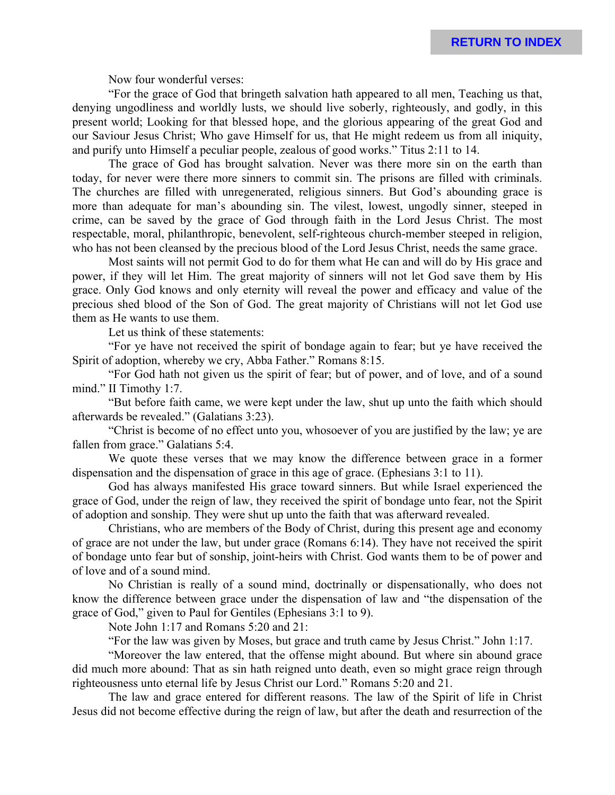Now four wonderful verses:

"For the grace of God that bringeth salvation hath appeared to all men, Teaching us that, denying ungodliness and worldly lusts, we should live soberly, righteously, and godly, in this present world; Looking for that blessed hope, and the glorious appearing of the great God and our Saviour Jesus Christ; Who gave Himself for us, that He might redeem us from all iniquity, and purify unto Himself a peculiar people, zealous of good works." Titus 2:11 to 14.

The grace of God has brought salvation. Never was there more sin on the earth than today, for never were there more sinners to commit sin. The prisons are filled with criminals. The churches are filled with unregenerated, religious sinners. But God's abounding grace is more than adequate for man's abounding sin. The vilest, lowest, ungodly sinner, steeped in crime, can be saved by the grace of God through faith in the Lord Jesus Christ. The most respectable, moral, philanthropic, benevolent, self-righteous church-member steeped in religion, who has not been cleansed by the precious blood of the Lord Jesus Christ, needs the same grace.

Most saints will not permit God to do for them what He can and will do by His grace and power, if they will let Him. The great majority of sinners will not let God save them by His grace. Only God knows and only eternity will reveal the power and efficacy and value of the precious shed blood of the Son of God. The great majority of Christians will not let God use them as He wants to use them.

Let us think of these statements:

"For ye have not received the spirit of bondage again to fear; but ye have received the Spirit of adoption, whereby we cry, Abba Father." Romans 8:15.

"For God hath not given us the spirit of fear; but of power, and of love, and of a sound mind." II Timothy 1:7.

"But before faith came, we were kept under the law, shut up unto the faith which should afterwards be revealed." (Galatians 3:23).

"Christ is become of no effect unto you, whosoever of you are justified by the law; ye are fallen from grace." Galatians 5:4.

We quote these verses that we may know the difference between grace in a former dispensation and the dispensation of grace in this age of grace. (Ephesians 3:1 to 11).

God has always manifested His grace toward sinners. But while Israel experienced the grace of God, under the reign of law, they received the spirit of bondage unto fear, not the Spirit of adoption and sonship. They were shut up unto the faith that was afterward revealed.

Christians, who are members of the Body of Christ, during this present age and economy of grace are not under the law, but under grace (Romans 6:14). They have not received the spirit of bondage unto fear but of sonship, joint-heirs with Christ. God wants them to be of power and of love and of a sound mind.

No Christian is really of a sound mind, doctrinally or dispensationally, who does not know the difference between grace under the dispensation of law and "the dispensation of the grace of God," given to Paul for Gentiles (Ephesians 3:1 to 9).

Note John 1:17 and Romans 5:20 and 21:

"For the law was given by Moses, but grace and truth came by Jesus Christ." John 1:17.

"Moreover the law entered, that the offense might abound. But where sin abound grace did much more abound: That as sin hath reigned unto death, even so might grace reign through righteousness unto eternal life by Jesus Christ our Lord." Romans 5:20 and 21.

The law and grace entered for different reasons. The law of the Spirit of life in Christ Jesus did not become effective during the reign of law, but after the death and resurrection of the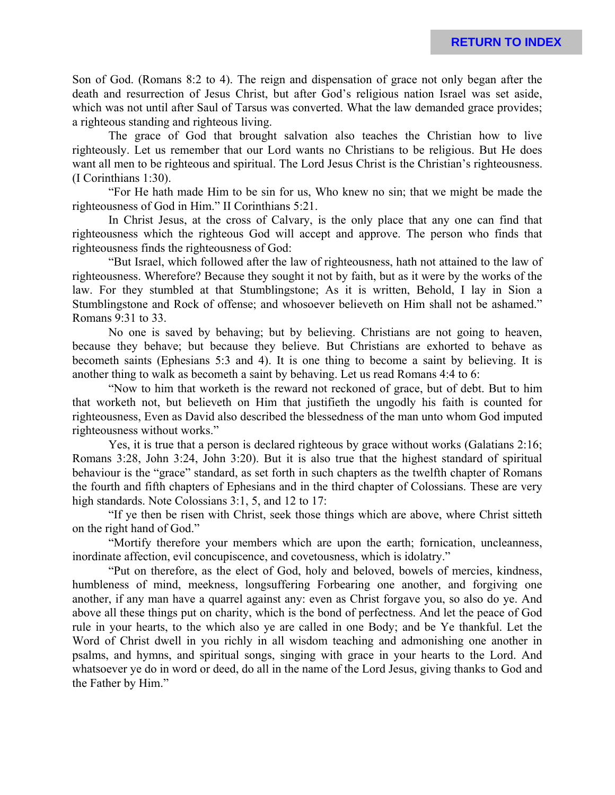Son of God. (Romans 8:2 to 4). The reign and dispensation of grace not only began after the death and resurrection of Jesus Christ, but after God's religious nation Israel was set aside, which was not until after Saul of Tarsus was converted. What the law demanded grace provides; a righteous standing and righteous living.

The grace of God that brought salvation also teaches the Christian how to live righteously. Let us remember that our Lord wants no Christians to be religious. But He does want all men to be righteous and spiritual. The Lord Jesus Christ is the Christian's righteousness. (I Corinthians 1:30).

"For He hath made Him to be sin for us, Who knew no sin; that we might be made the righteousness of God in Him." II Corinthians 5:21.

In Christ Jesus, at the cross of Calvary, is the only place that any one can find that righteousness which the righteous God will accept and approve. The person who finds that righteousness finds the righteousness of God:

"But Israel, which followed after the law of righteousness, hath not attained to the law of righteousness. Wherefore? Because they sought it not by faith, but as it were by the works of the law. For they stumbled at that Stumblingstone; As it is written, Behold, I lay in Sion a Stumblingstone and Rock of offense; and whosoever believeth on Him shall not be ashamed." Romans 9:31 to 33.

No one is saved by behaving; but by believing. Christians are not going to heaven, because they behave; but because they believe. But Christians are exhorted to behave as becometh saints (Ephesians 5:3 and 4). It is one thing to become a saint by believing. It is another thing to walk as becometh a saint by behaving. Let us read Romans 4:4 to 6:

"Now to him that worketh is the reward not reckoned of grace, but of debt. But to him that worketh not, but believeth on Him that justifieth the ungodly his faith is counted for righteousness, Even as David also described the blessedness of the man unto whom God imputed righteousness without works."

Yes, it is true that a person is declared righteous by grace without works (Galatians 2:16; Romans 3:28, John 3:24, John 3:20). But it is also true that the highest standard of spiritual behaviour is the "grace" standard, as set forth in such chapters as the twelfth chapter of Romans the fourth and fifth chapters of Ephesians and in the third chapter of Colossians. These are very high standards. Note Colossians 3:1, 5, and 12 to 17:

"If ye then be risen with Christ, seek those things which are above, where Christ sitteth on the right hand of God."

"Mortify therefore your members which are upon the earth; fornication, uncleanness, inordinate affection, evil concupiscence, and covetousness, which is idolatry."

"Put on therefore, as the elect of God, holy and beloved, bowels of mercies, kindness, humbleness of mind, meekness, longsuffering Forbearing one another, and forgiving one another, if any man have a quarrel against any: even as Christ forgave you, so also do ye. And above all these things put on charity, which is the bond of perfectness. And let the peace of God rule in your hearts, to the which also ye are called in one Body; and be Ye thankful. Let the Word of Christ dwell in you richly in all wisdom teaching and admonishing one another in psalms, and hymns, and spiritual songs, singing with grace in your hearts to the Lord. And whatsoever ye do in word or deed, do all in the name of the Lord Jesus, giving thanks to God and the Father by Him."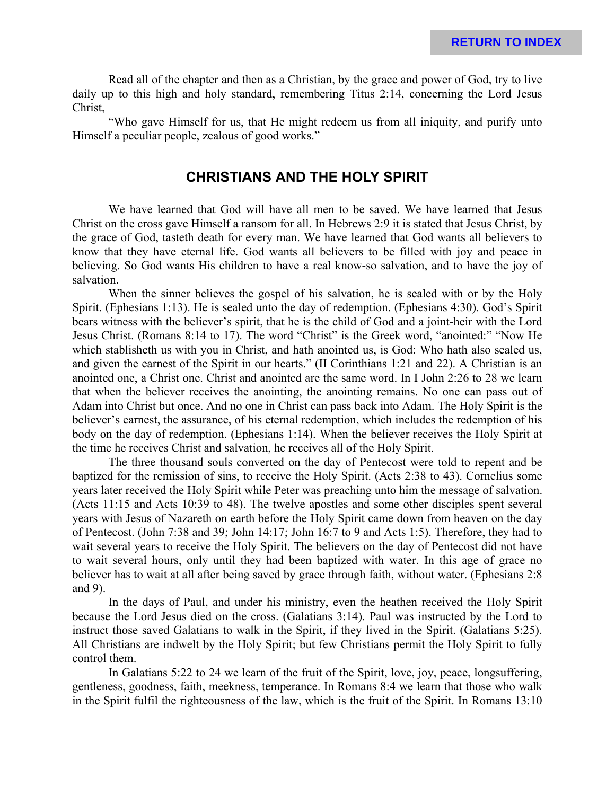Read all of the chapter and then as a Christian, by the grace and power of God, try to live daily up to this high and holy standard, remembering Titus 2:14, concerning the Lord Jesus Christ,

"Who gave Himself for us, that He might redeem us from all iniquity, and purify unto Himself a peculiar people, zealous of good works."

### **CHRISTIANS AND THE HOLY SPIRIT**

We have learned that God will have all men to be saved. We have learned that Jesus Christ on the cross gave Himself a ransom for all. In Hebrews 2:9 it is stated that Jesus Christ, by the grace of God, tasteth death for every man. We have learned that God wants all believers to know that they have eternal life. God wants all believers to be filled with joy and peace in believing. So God wants His children to have a real know-so salvation, and to have the joy of salvation.

When the sinner believes the gospel of his salvation, he is sealed with or by the Holy Spirit. (Ephesians 1:13). He is sealed unto the day of redemption. (Ephesians 4:30). God's Spirit bears witness with the believer's spirit, that he is the child of God and a joint-heir with the Lord Jesus Christ. (Romans 8:14 to 17). The word "Christ" is the Greek word, "anointed:" "Now He which stablisheth us with you in Christ, and hath anointed us, is God: Who hath also sealed us, and given the earnest of the Spirit in our hearts." (II Corinthians 1:21 and 22). A Christian is an anointed one, a Christ one. Christ and anointed are the same word. In I John 2:26 to 28 we learn that when the believer receives the anointing, the anointing remains. No one can pass out of Adam into Christ but once. And no one in Christ can pass back into Adam. The Holy Spirit is the believer's earnest, the assurance, of his eternal redemption, which includes the redemption of his body on the day of redemption. (Ephesians 1:14). When the believer receives the Holy Spirit at the time he receives Christ and salvation, he receives all of the Holy Spirit.

The three thousand souls converted on the day of Pentecost were told to repent and be baptized for the remission of sins, to receive the Holy Spirit. (Acts 2:38 to 43). Cornelius some years later received the Holy Spirit while Peter was preaching unto him the message of salvation. (Acts 11:15 and Acts 10:39 to 48). The twelve apostles and some other disciples spent several years with Jesus of Nazareth on earth before the Holy Spirit came down from heaven on the day of Pentecost. (John 7:38 and 39; John 14:17; John 16:7 to 9 and Acts 1:5). Therefore, they had to wait several years to receive the Holy Spirit. The believers on the day of Pentecost did not have to wait several hours, only until they had been baptized with water. In this age of grace no believer has to wait at all after being saved by grace through faith, without water. (Ephesians 2:8 and 9).

In the days of Paul, and under his ministry, even the heathen received the Holy Spirit because the Lord Jesus died on the cross. (Galatians 3:14). Paul was instructed by the Lord to instruct those saved Galatians to walk in the Spirit, if they lived in the Spirit. (Galatians 5:25). All Christians are indwelt by the Holy Spirit; but few Christians permit the Holy Spirit to fully control them.

In Galatians 5:22 to 24 we learn of the fruit of the Spirit, love, joy, peace, longsuffering, gentleness, goodness, faith, meekness, temperance. In Romans 8:4 we learn that those who walk in the Spirit fulfil the righteousness of the law, which is the fruit of the Spirit. In Romans 13:10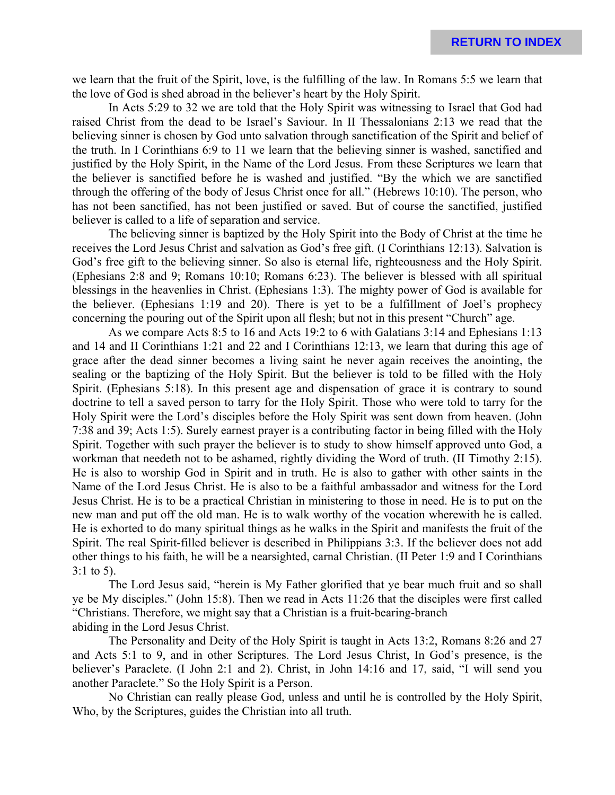we learn that the fruit of the Spirit, love, is the fulfilling of the law. In Romans 5:5 we learn that the love of God is shed abroad in the believer's heart by the Holy Spirit.

In Acts 5:29 to 32 we are told that the Holy Spirit was witnessing to Israel that God had raised Christ from the dead to be Israel's Saviour. In II Thessalonians 2:13 we read that the believing sinner is chosen by God unto salvation through sanctification of the Spirit and belief of the truth. In I Corinthians 6:9 to 11 we learn that the believing sinner is washed, sanctified and justified by the Holy Spirit, in the Name of the Lord Jesus. From these Scriptures we learn that the believer is sanctified before he is washed and justified. "By the which we are sanctified through the offering of the body of Jesus Christ once for all." (Hebrews 10:10). The person, who has not been sanctified, has not been justified or saved. But of course the sanctified, justified believer is called to a life of separation and service.

The believing sinner is baptized by the Holy Spirit into the Body of Christ at the time he receives the Lord Jesus Christ and salvation as God's free gift. (I Corinthians 12:13). Salvation is God's free gift to the believing sinner. So also is eternal life, righteousness and the Holy Spirit. (Ephesians 2:8 and 9; Romans 10:10; Romans 6:23). The believer is blessed with all spiritual blessings in the heavenlies in Christ. (Ephesians 1:3). The mighty power of God is available for the believer. (Ephesians 1:19 and 20). There is yet to be a fulfillment of Joel's prophecy concerning the pouring out of the Spirit upon all flesh; but not in this present "Church" age.

As we compare Acts 8:5 to 16 and Acts 19:2 to 6 with Galatians 3:14 and Ephesians 1:13 and 14 and II Corinthians 1:21 and 22 and I Corinthians 12:13, we learn that during this age of grace after the dead sinner becomes a living saint he never again receives the anointing, the sealing or the baptizing of the Holy Spirit. But the believer is told to be filled with the Holy Spirit. (Ephesians 5:18). In this present age and dispensation of grace it is contrary to sound doctrine to tell a saved person to tarry for the Holy Spirit. Those who were told to tarry for the Holy Spirit were the Lord's disciples before the Holy Spirit was sent down from heaven. (John 7:38 and 39; Acts 1:5). Surely earnest prayer is a contributing factor in being filled with the Holy Spirit. Together with such prayer the believer is to study to show himself approved unto God, a workman that needeth not to be ashamed, rightly dividing the Word of truth. (II Timothy 2:15). He is also to worship God in Spirit and in truth. He is also to gather with other saints in the Name of the Lord Jesus Christ. He is also to be a faithful ambassador and witness for the Lord Jesus Christ. He is to be a practical Christian in ministering to those in need. He is to put on the new man and put off the old man. He is to walk worthy of the vocation wherewith he is called. He is exhorted to do many spiritual things as he walks in the Spirit and manifests the fruit of the Spirit. The real Spirit-filled believer is described in Philippians 3:3. If the believer does not add other things to his faith, he will be a nearsighted, carnal Christian. (II Peter 1:9 and I Corinthians 3:1 to 5).

The Lord Jesus said, "herein is My Father glorified that ye bear much fruit and so shall ye be My disciples." (John 15:8). Then we read in Acts 11:26 that the disciples were first called "Christians. Therefore, we might say that a Christian is a fruit-bearing-branch abiding in the Lord Jesus Christ.

The Personality and Deity of the Holy Spirit is taught in Acts 13:2, Romans 8:26 and 27 and Acts 5:1 to 9, and in other Scriptures. The Lord Jesus Christ, In God's presence, is the believer's Paraclete. (I John 2:1 and 2). Christ, in John 14:16 and 17, said, "I will send you another Paraclete." So the Holy Spirit is a Person.

No Christian can really please God, unless and until he is controlled by the Holy Spirit, Who, by the Scriptures, guides the Christian into all truth.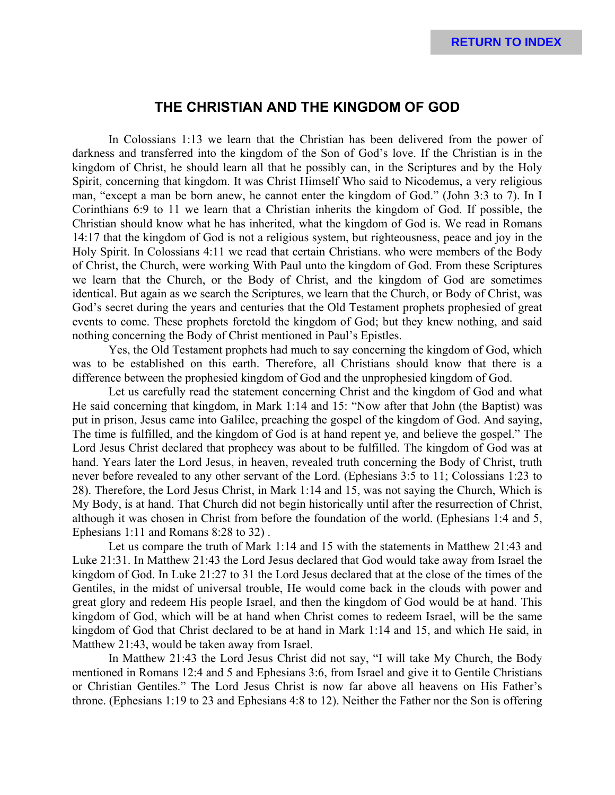### **THE CHRISTIAN AND THE KINGDOM OF GOD**

In Colossians 1:13 we learn that the Christian has been delivered from the power of darkness and transferred into the kingdom of the Son of God's love. If the Christian is in the kingdom of Christ, he should learn all that he possibly can, in the Scriptures and by the Holy Spirit, concerning that kingdom. It was Christ Himself Who said to Nicodemus, a very religious man, "except a man be born anew, he cannot enter the kingdom of God." (John 3:3 to 7). In I Corinthians 6:9 to 11 we learn that a Christian inherits the kingdom of God. If possible, the Christian should know what he has inherited, what the kingdom of God is. We read in Romans 14:17 that the kingdom of God is not a religious system, but righteousness, peace and joy in the Holy Spirit. In Colossians 4:11 we read that certain Christians. who were members of the Body of Christ, the Church, were working With Paul unto the kingdom of God. From these Scriptures we learn that the Church, or the Body of Christ, and the kingdom of God are sometimes identical. But again as we search the Scriptures, we learn that the Church, or Body of Christ, was God's secret during the years and centuries that the Old Testament prophets prophesied of great events to come. These prophets foretold the kingdom of God; but they knew nothing, and said nothing concerning the Body of Christ mentioned in Paul's Epistles.

Yes, the Old Testament prophets had much to say concerning the kingdom of God, which was to be established on this earth. Therefore, all Christians should know that there is a difference between the prophesied kingdom of God and the unprophesied kingdom of God.

Let us carefully read the statement concerning Christ and the kingdom of God and what He said concerning that kingdom, in Mark 1:14 and 15: "Now after that John (the Baptist) was put in prison, Jesus came into Galilee, preaching the gospel of the kingdom of God. And saying, The time is fulfilled, and the kingdom of God is at hand repent ye, and believe the gospel." The Lord Jesus Christ declared that prophecy was about to be fulfilled. The kingdom of God was at hand. Years later the Lord Jesus, in heaven, revealed truth concerning the Body of Christ, truth never before revealed to any other servant of the Lord. (Ephesians 3:5 to 11; Colossians 1:23 to 28). Therefore, the Lord Jesus Christ, in Mark 1:14 and 15, was not saying the Church, Which is My Body, is at hand. That Church did not begin historically until after the resurrection of Christ, although it was chosen in Christ from before the foundation of the world. (Ephesians 1:4 and 5, Ephesians 1:11 and Romans 8:28 to 32) .

Let us compare the truth of Mark 1:14 and 15 with the statements in Matthew 21:43 and Luke 21:31. In Matthew 21:43 the Lord Jesus declared that God would take away from Israel the kingdom of God. In Luke 21:27 to 31 the Lord Jesus declared that at the close of the times of the Gentiles, in the midst of universal trouble, He would come back in the clouds with power and great glory and redeem His people Israel, and then the kingdom of God would be at hand. This kingdom of God, which will be at hand when Christ comes to redeem Israel, will be the same kingdom of God that Christ declared to be at hand in Mark 1:14 and 15, and which He said, in Matthew 21:43, would be taken away from Israel.

In Matthew 21:43 the Lord Jesus Christ did not say, "I will take My Church, the Body mentioned in Romans 12:4 and 5 and Ephesians 3:6, from Israel and give it to Gentile Christians or Christian Gentiles." The Lord Jesus Christ is now far above all heavens on His Father's throne. (Ephesians 1:19 to 23 and Ephesians 4:8 to 12). Neither the Father nor the Son is offering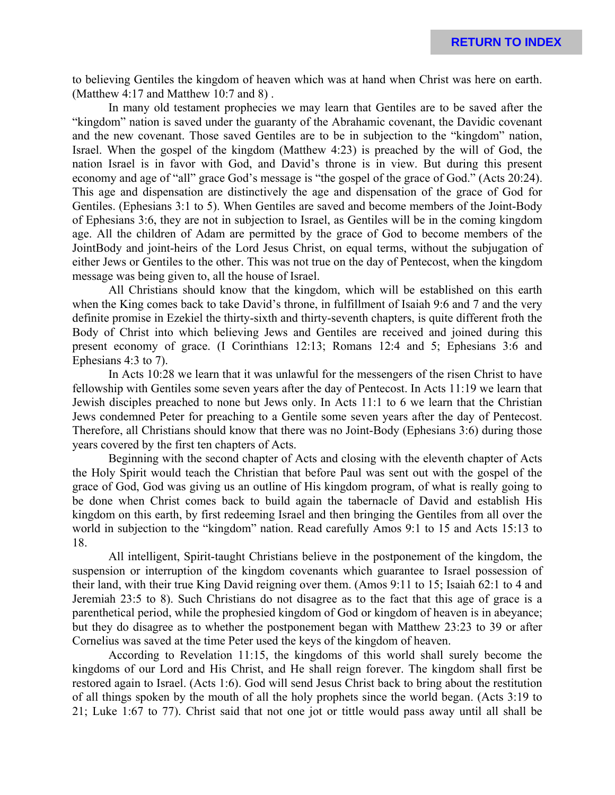to believing Gentiles the kingdom of heaven which was at hand when Christ was here on earth. (Matthew 4:17 and Matthew 10:7 and 8) .

In many old testament prophecies we may learn that Gentiles are to be saved after the "kingdom" nation is saved under the guaranty of the Abrahamic covenant, the Davidic covenant and the new covenant. Those saved Gentiles are to be in subjection to the "kingdom" nation, Israel. When the gospel of the kingdom (Matthew 4:23) is preached by the will of God, the nation Israel is in favor with God, and David's throne is in view. But during this present economy and age of "all" grace God's message is "the gospel of the grace of God." (Acts 20:24). This age and dispensation are distinctively the age and dispensation of the grace of God for Gentiles. (Ephesians 3:1 to 5). When Gentiles are saved and become members of the Joint-Body of Ephesians 3:6, they are not in subjection to Israel, as Gentiles will be in the coming kingdom age. All the children of Adam are permitted by the grace of God to become members of the JointBody and joint-heirs of the Lord Jesus Christ, on equal terms, without the subjugation of either Jews or Gentiles to the other. This was not true on the day of Pentecost, when the kingdom message was being given to, all the house of Israel.

All Christians should know that the kingdom, which will be established on this earth when the King comes back to take David's throne, in fulfillment of Isaiah 9:6 and 7 and the very definite promise in Ezekiel the thirty-sixth and thirty-seventh chapters, is quite different froth the Body of Christ into which believing Jews and Gentiles are received and joined during this present economy of grace. (I Corinthians 12:13; Romans 12:4 and 5; Ephesians 3:6 and Ephesians 4:3 to 7).

In Acts 10:28 we learn that it was unlawful for the messengers of the risen Christ to have fellowship with Gentiles some seven years after the day of Pentecost. In Acts 11:19 we learn that Jewish disciples preached to none but Jews only. In Acts 11:1 to 6 we learn that the Christian Jews condemned Peter for preaching to a Gentile some seven years after the day of Pentecost. Therefore, all Christians should know that there was no Joint-Body (Ephesians 3:6) during those years covered by the first ten chapters of Acts.

Beginning with the second chapter of Acts and closing with the eleventh chapter of Acts the Holy Spirit would teach the Christian that before Paul was sent out with the gospel of the grace of God, God was giving us an outline of His kingdom program, of what is really going to be done when Christ comes back to build again the tabernacle of David and establish His kingdom on this earth, by first redeeming Israel and then bringing the Gentiles from all over the world in subjection to the "kingdom" nation. Read carefully Amos 9:1 to 15 and Acts 15:13 to 18.

All intelligent, Spirit-taught Christians believe in the postponement of the kingdom, the suspension or interruption of the kingdom covenants which guarantee to Israel possession of their land, with their true King David reigning over them. (Amos 9:11 to 15; Isaiah 62:1 to 4 and Jeremiah 23:5 to 8). Such Christians do not disagree as to the fact that this age of grace is a parenthetical period, while the prophesied kingdom of God or kingdom of heaven is in abeyance; but they do disagree as to whether the postponement began with Matthew 23:23 to 39 or after Cornelius was saved at the time Peter used the keys of the kingdom of heaven.

According to Revelation 11:15, the kingdoms of this world shall surely become the kingdoms of our Lord and His Christ, and He shall reign forever. The kingdom shall first be restored again to Israel. (Acts 1:6). God will send Jesus Christ back to bring about the restitution of all things spoken by the mouth of all the holy prophets since the world began. (Acts 3:19 to 21; Luke 1:67 to 77). Christ said that not one jot or tittle would pass away until all shall be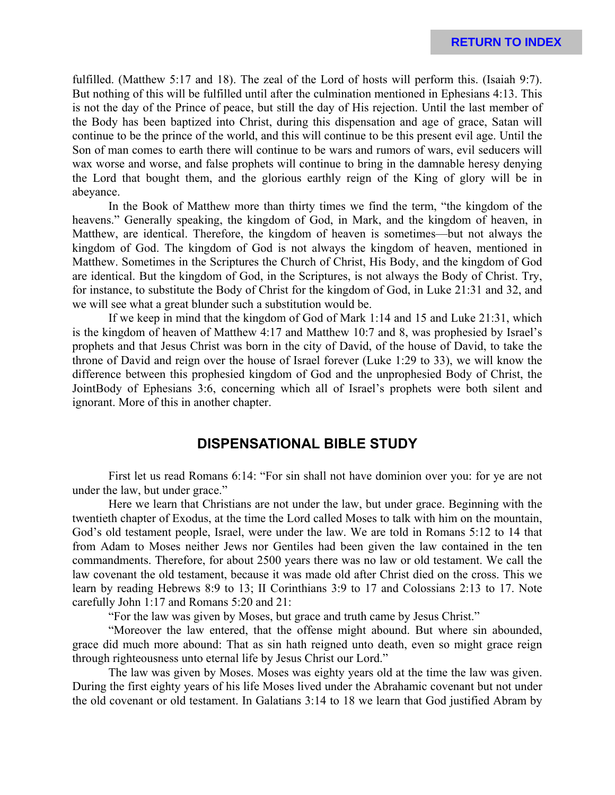fulfilled. (Matthew 5:17 and 18). The zeal of the Lord of hosts will perform this. (Isaiah 9:7). But nothing of this will be fulfilled until after the culmination mentioned in Ephesians 4:13. This is not the day of the Prince of peace, but still the day of His rejection. Until the last member of the Body has been baptized into Christ, during this dispensation and age of grace, Satan will continue to be the prince of the world, and this will continue to be this present evil age. Until the Son of man comes to earth there will continue to be wars and rumors of wars, evil seducers will wax worse and worse, and false prophets will continue to bring in the damnable heresy denying the Lord that bought them, and the glorious earthly reign of the King of glory will be in abeyance.

In the Book of Matthew more than thirty times we find the term, "the kingdom of the heavens." Generally speaking, the kingdom of God, in Mark, and the kingdom of heaven, in Matthew, are identical. Therefore, the kingdom of heaven is sometimes—but not always the kingdom of God. The kingdom of God is not always the kingdom of heaven, mentioned in Matthew. Sometimes in the Scriptures the Church of Christ, His Body, and the kingdom of God are identical. But the kingdom of God, in the Scriptures, is not always the Body of Christ. Try, for instance, to substitute the Body of Christ for the kingdom of God, in Luke 21:31 and 32, and we will see what a great blunder such a substitution would be.

If we keep in mind that the kingdom of God of Mark 1:14 and 15 and Luke 21:31, which is the kingdom of heaven of Matthew 4:17 and Matthew 10:7 and 8, was prophesied by Israel's prophets and that Jesus Christ was born in the city of David, of the house of David, to take the throne of David and reign over the house of Israel forever (Luke 1:29 to 33), we will know the difference between this prophesied kingdom of God and the unprophesied Body of Christ, the JointBody of Ephesians 3:6, concerning which all of Israel's prophets were both silent and ignorant. More of this in another chapter.

#### **DISPENSATIONAL BIBLE STUDY**

First let us read Romans 6:14: "For sin shall not have dominion over you: for ye are not under the law, but under grace."

Here we learn that Christians are not under the law, but under grace. Beginning with the twentieth chapter of Exodus, at the time the Lord called Moses to talk with him on the mountain, God's old testament people, Israel, were under the law. We are told in Romans 5:12 to 14 that from Adam to Moses neither Jews nor Gentiles had been given the law contained in the ten commandments. Therefore, for about 2500 years there was no law or old testament. We call the law covenant the old testament, because it was made old after Christ died on the cross. This we learn by reading Hebrews 8:9 to 13; II Corinthians 3:9 to 17 and Colossians 2:13 to 17. Note carefully John 1:17 and Romans 5:20 and 21:

"For the law was given by Moses, but grace and truth came by Jesus Christ."

"Moreover the law entered, that the offense might abound. But where sin abounded, grace did much more abound: That as sin hath reigned unto death, even so might grace reign through righteousness unto eternal life by Jesus Christ our Lord."

The law was given by Moses. Moses was eighty years old at the time the law was given. During the first eighty years of his life Moses lived under the Abrahamic covenant but not under the old covenant or old testament. In Galatians 3:14 to 18 we learn that God justified Abram by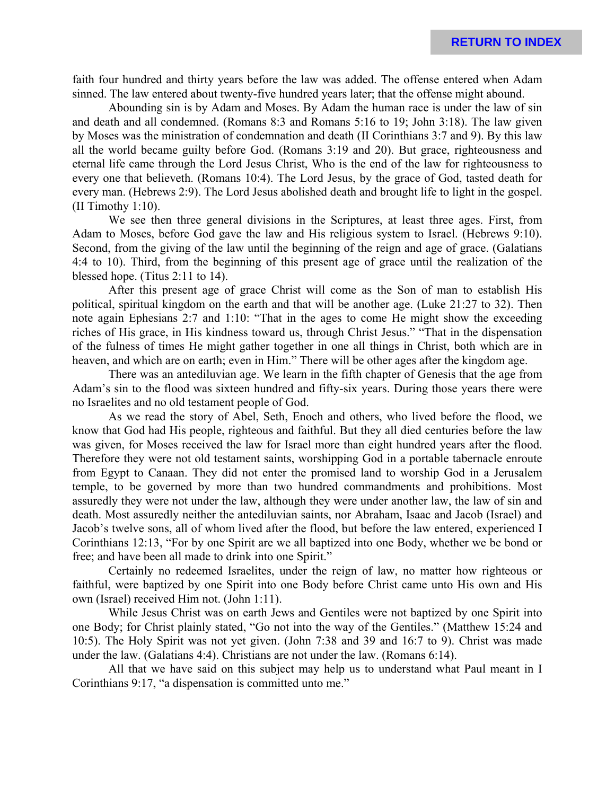faith four hundred and thirty years before the law was added. The offense entered when Adam sinned. The law entered about twenty-five hundred years later; that the offense might abound.

Abounding sin is by Adam and Moses. By Adam the human race is under the law of sin and death and all condemned. (Romans 8:3 and Romans 5:16 to 19; John 3:18). The law given by Moses was the ministration of condemnation and death (II Corinthians 3:7 and 9). By this law all the world became guilty before God. (Romans 3:19 and 20). But grace, righteousness and eternal life came through the Lord Jesus Christ, Who is the end of the law for righteousness to every one that believeth. (Romans 10:4). The Lord Jesus, by the grace of God, tasted death for every man. (Hebrews 2:9). The Lord Jesus abolished death and brought life to light in the gospel. (II Timothy 1:10).

We see then three general divisions in the Scriptures, at least three ages. First, from Adam to Moses, before God gave the law and His religious system to Israel. (Hebrews 9:10). Second, from the giving of the law until the beginning of the reign and age of grace. (Galatians 4:4 to 10). Third, from the beginning of this present age of grace until the realization of the blessed hope. (Titus 2:11 to 14).

After this present age of grace Christ will come as the Son of man to establish His political, spiritual kingdom on the earth and that will be another age. (Luke 21:27 to 32). Then note again Ephesians 2:7 and 1:10: "That in the ages to come He might show the exceeding riches of His grace, in His kindness toward us, through Christ Jesus." "That in the dispensation of the fulness of times He might gather together in one all things in Christ, both which are in heaven, and which are on earth; even in Him." There will be other ages after the kingdom age.

There was an antediluvian age. We learn in the fifth chapter of Genesis that the age from Adam's sin to the flood was sixteen hundred and fifty-six years. During those years there were no Israelites and no old testament people of God.

As we read the story of Abel, Seth, Enoch and others, who lived before the flood, we know that God had His people, righteous and faithful. But they all died centuries before the law was given, for Moses received the law for Israel more than eight hundred years after the flood. Therefore they were not old testament saints, worshipping God in a portable tabernacle enroute from Egypt to Canaan. They did not enter the promised land to worship God in a Jerusalem temple, to be governed by more than two hundred commandments and prohibitions. Most assuredly they were not under the law, although they were under another law, the law of sin and death. Most assuredly neither the antediluvian saints, nor Abraham, Isaac and Jacob (Israel) and Jacob's twelve sons, all of whom lived after the flood, but before the law entered, experienced I Corinthians 12:13, "For by one Spirit are we all baptized into one Body, whether we be bond or free; and have been all made to drink into one Spirit."

Certainly no redeemed Israelites, under the reign of law, no matter how righteous or faithful, were baptized by one Spirit into one Body before Christ came unto His own and His own (Israel) received Him not. (John 1:11).

While Jesus Christ was on earth Jews and Gentiles were not baptized by one Spirit into one Body; for Christ plainly stated, "Go not into the way of the Gentiles." (Matthew 15:24 and 10:5). The Holy Spirit was not yet given. (John 7:38 and 39 and 16:7 to 9). Christ was made under the law. (Galatians 4:4). Christians are not under the law. (Romans 6:14).

All that we have said on this subject may help us to understand what Paul meant in I Corinthians 9:17, "a dispensation is committed unto me."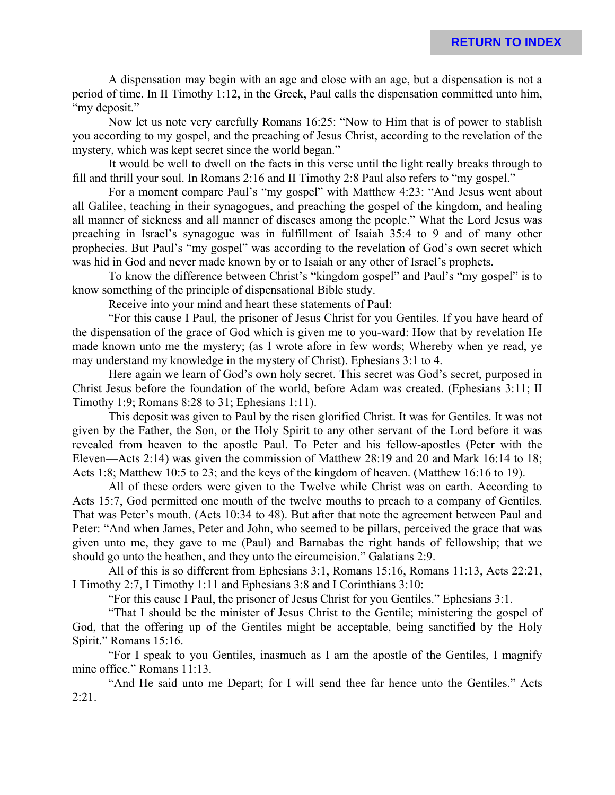A dispensation may begin with an age and close with an age, but a dispensation is not a period of time. In II Timothy 1:12, in the Greek, Paul calls the dispensation committed unto him, "my deposit."

Now let us note very carefully Romans 16:25: "Now to Him that is of power to stablish you according to my gospel, and the preaching of Jesus Christ, according to the revelation of the mystery, which was kept secret since the world began."

It would be well to dwell on the facts in this verse until the light really breaks through to fill and thrill your soul. In Romans 2:16 and II Timothy 2:8 Paul also refers to "my gospel."

For a moment compare Paul's "my gospel" with Matthew 4:23: "And Jesus went about all Galilee, teaching in their synagogues, and preaching the gospel of the kingdom, and healing all manner of sickness and all manner of diseases among the people." What the Lord Jesus was preaching in Israel's synagogue was in fulfillment of Isaiah 35:4 to 9 and of many other prophecies. But Paul's "my gospel" was according to the revelation of God's own secret which was hid in God and never made known by or to Isaiah or any other of Israel's prophets.

To know the difference between Christ's "kingdom gospel" and Paul's "my gospel" is to know something of the principle of dispensational Bible study.

Receive into your mind and heart these statements of Paul:

"For this cause I Paul, the prisoner of Jesus Christ for you Gentiles. If you have heard of the dispensation of the grace of God which is given me to you-ward: How that by revelation He made known unto me the mystery; (as I wrote afore in few words; Whereby when ye read, ye may understand my knowledge in the mystery of Christ). Ephesians 3:1 to 4.

Here again we learn of God's own holy secret. This secret was God's secret, purposed in Christ Jesus before the foundation of the world, before Adam was created. (Ephesians 3:11; II Timothy 1:9; Romans 8:28 to 31; Ephesians 1:11).

This deposit was given to Paul by the risen glorified Christ. It was for Gentiles. It was not given by the Father, the Son, or the Holy Spirit to any other servant of the Lord before it was revealed from heaven to the apostle Paul. To Peter and his fellow-apostles (Peter with the Eleven—Acts 2:14) was given the commission of Matthew 28:19 and 20 and Mark 16:14 to 18; Acts 1:8; Matthew 10:5 to 23; and the keys of the kingdom of heaven. (Matthew 16:16 to 19).

All of these orders were given to the Twelve while Christ was on earth. According to Acts 15:7, God permitted one mouth of the twelve mouths to preach to a company of Gentiles. That was Peter's mouth. (Acts 10:34 to 48). But after that note the agreement between Paul and Peter: "And when James, Peter and John, who seemed to be pillars, perceived the grace that was given unto me, they gave to me (Paul) and Barnabas the right hands of fellowship; that we should go unto the heathen, and they unto the circumcision." Galatians 2:9.

All of this is so different from Ephesians 3:1, Romans 15:16, Romans 11:13, Acts 22:21, I Timothy 2:7, I Timothy 1:11 and Ephesians 3:8 and I Corinthians 3:10:

"For this cause I Paul, the prisoner of Jesus Christ for you Gentiles." Ephesians 3:1.

"That I should be the minister of Jesus Christ to the Gentile; ministering the gospel of God, that the offering up of the Gentiles might be acceptable, being sanctified by the Holy Spirit." Romans 15:16.

"For I speak to you Gentiles, inasmuch as I am the apostle of the Gentiles, I magnify mine office." Romans 11:13.

"And He said unto me Depart; for I will send thee far hence unto the Gentiles." Acts 2:21.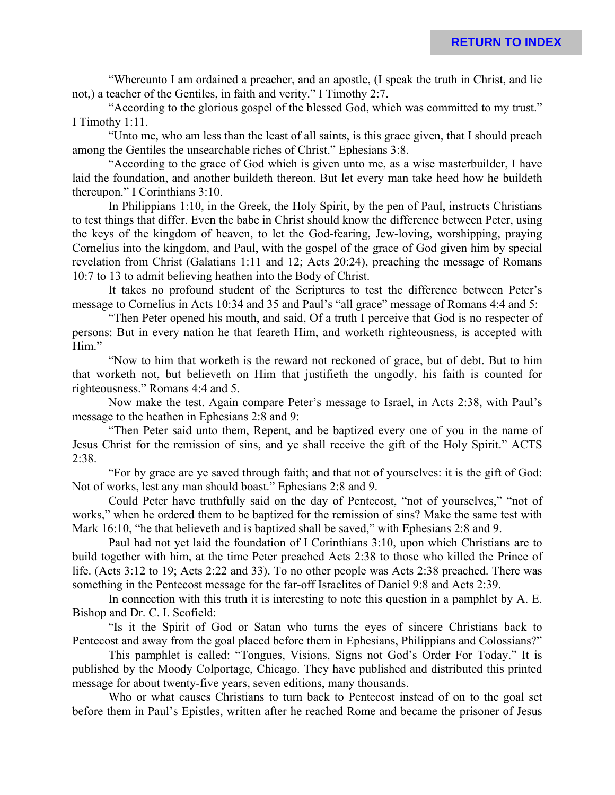"Whereunto I am ordained a preacher, and an apostle, (I speak the truth in Christ, and lie not,) a teacher of the Gentiles, in faith and verity." I Timothy 2:7.

"According to the glorious gospel of the blessed God, which was committed to my trust." I Timothy 1:11.

"Unto me, who am less than the least of all saints, is this grace given, that I should preach among the Gentiles the unsearchable riches of Christ." Ephesians 3:8.

"According to the grace of God which is given unto me, as a wise masterbuilder, I have laid the foundation, and another buildeth thereon. But let every man take heed how he buildeth thereupon." I Corinthians 3:10.

In Philippians 1:10, in the Greek, the Holy Spirit, by the pen of Paul, instructs Christians to test things that differ. Even the babe in Christ should know the difference between Peter, using the keys of the kingdom of heaven, to let the God-fearing, Jew-loving, worshipping, praying Cornelius into the kingdom, and Paul, with the gospel of the grace of God given him by special revelation from Christ (Galatians 1:11 and 12; Acts 20:24), preaching the message of Romans 10:7 to 13 to admit believing heathen into the Body of Christ.

It takes no profound student of the Scriptures to test the difference between Peter's message to Cornelius in Acts 10:34 and 35 and Paul's "all grace" message of Romans 4:4 and 5:

"Then Peter opened his mouth, and said, Of a truth I perceive that God is no respecter of persons: But in every nation he that feareth Him, and worketh righteousness, is accepted with Him."

"Now to him that worketh is the reward not reckoned of grace, but of debt. But to him that worketh not, but believeth on Him that justifieth the ungodly, his faith is counted for righteousness." Romans 4:4 and 5.

Now make the test. Again compare Peter's message to Israel, in Acts 2:38, with Paul's message to the heathen in Ephesians 2:8 and 9:

"Then Peter said unto them, Repent, and be baptized every one of you in the name of Jesus Christ for the remission of sins, and ye shall receive the gift of the Holy Spirit." ACTS 2:38.

"For by grace are ye saved through faith; and that not of yourselves: it is the gift of God: Not of works, lest any man should boast." Ephesians 2:8 and 9.

Could Peter have truthfully said on the day of Pentecost, "not of yourselves," "not of works," when he ordered them to be baptized for the remission of sins? Make the same test with Mark 16:10, "he that believeth and is baptized shall be saved," with Ephesians 2:8 and 9.

Paul had not yet laid the foundation of I Corinthians 3:10, upon which Christians are to build together with him, at the time Peter preached Acts 2:38 to those who killed the Prince of life. (Acts 3:12 to 19; Acts 2:22 and 33). To no other people was Acts 2:38 preached. There was something in the Pentecost message for the far-off Israelites of Daniel 9:8 and Acts 2:39.

In connection with this truth it is interesting to note this question in a pamphlet by A. E. Bishop and Dr. C. I. Scofield:

"Is it the Spirit of God or Satan who turns the eyes of sincere Christians back to Pentecost and away from the goal placed before them in Ephesians, Philippians and Colossians?"

This pamphlet is called: "Tongues, Visions, Signs not God's Order For Today." It is published by the Moody Colportage, Chicago. They have published and distributed this printed message for about twenty-five years, seven editions, many thousands.

Who or what causes Christians to turn back to Pentecost instead of on to the goal set before them in Paul's Epistles, written after he reached Rome and became the prisoner of Jesus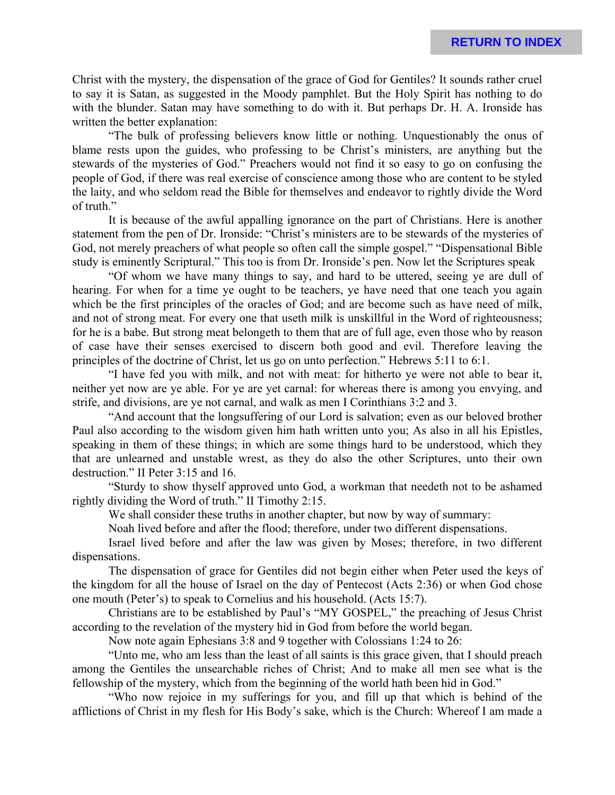Christ with the mystery, the dispensation of the grace of God for Gentiles? It sounds rather cruel to say it is Satan, as suggested in the Moody pamphlet. But the Holy Spirit has nothing to do with the blunder. Satan may have something to do with it. But perhaps Dr. H. A. Ironside has written the better explanation:

"The bulk of professing believers know little or nothing. Unquestionably the onus of blame rests upon the guides, who professing to be Christ's ministers, are anything but the stewards of the mysteries of God." Preachers would not find it so easy to go on confusing the people of God, if there was real exercise of conscience among those who are content to be styled the laity, and who seldom read the Bible for themselves and endeavor to rightly divide the Word of truth."

It is because of the awful appalling ignorance on the part of Christians. Here is another statement from the pen of Dr. Ironside: "Christ's ministers are to be stewards of the mysteries of God, not merely preachers of what people so often call the simple gospel." "Dispensational Bible study is eminently Scriptural." This too is from Dr. Ironside's pen. Now let the Scriptures speak

"Of whom we have many things to say, and hard to be uttered, seeing ye are dull of hearing. For when for a time ye ought to be teachers, ye have need that one teach you again which be the first principles of the oracles of God; and are become such as have need of milk, and not of strong meat. For every one that useth milk is unskillful in the Word of righteousness; for he is a babe. But strong meat belongeth to them that are of full age, even those who by reason of case have their senses exercised to discern both good and evil. Therefore leaving the principles of the doctrine of Christ, let us go on unto perfection." Hebrews 5:11 to 6:1.

"I have fed you with milk, and not with meat: for hitherto ye were not able to bear it, neither yet now are ye able. For ye are yet carnal: for whereas there is among you envying, and strife, and divisions, are ye not carnal, and walk as men I Corinthians 3:2 and 3.

"And account that the longsuffering of our Lord is salvation; even as our beloved brother Paul also according to the wisdom given him hath written unto you; As also in all his Epistles, speaking in them of these things; in which are some things hard to be understood, which they that are unlearned and unstable wrest, as they do also the other Scriptures, unto their own destruction." II Peter 3:15 and 16.

"Sturdy to show thyself approved unto God, a workman that needeth not to be ashamed rightly dividing the Word of truth." II Timothy 2:15.

We shall consider these truths in another chapter, but now by way of summary:

Noah lived before and after the flood; therefore, under two different dispensations.

Israel lived before and after the law was given by Moses; therefore, in two different dispensations.

The dispensation of grace for Gentiles did not begin either when Peter used the keys of the kingdom for all the house of Israel on the day of Pentecost (Acts 2:36) or when God chose one mouth (Peter's) to speak to Cornelius and his household. (Acts 15:7).

Christians are to be established by Paul's "MY GOSPEL," the preaching of Jesus Christ according to the revelation of the mystery hid in God from before the world began.

Now note again Ephesians 3:8 and 9 together with Colossians 1:24 to 26:

"Unto me, who am less than the least of all saints is this grace given, that I should preach among the Gentiles the unsearchable riches of Christ; And to make all men see what is the fellowship of the mystery, which from the beginning of the world hath been hid in God."

"Who now rejoice in my sufferings for you, and fill up that which is behind of the afflictions of Christ in my flesh for His Body's sake, which is the Church: Whereof I am made a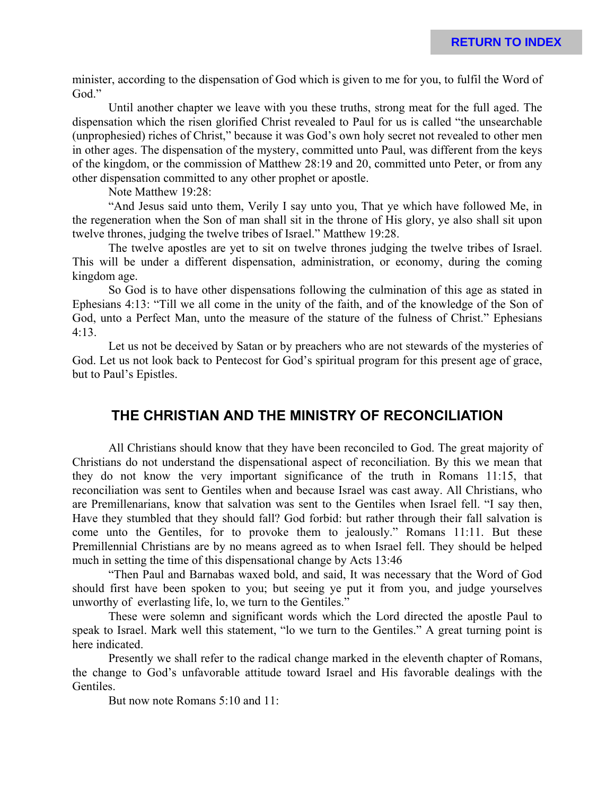minister, according to the dispensation of God which is given to me for you, to fulfil the Word of God."

Until another chapter we leave with you these truths, strong meat for the full aged. The dispensation which the risen glorified Christ revealed to Paul for us is called "the unsearchable (unprophesied) riches of Christ," because it was God's own holy secret not revealed to other men in other ages. The dispensation of the mystery, committed unto Paul, was different from the keys of the kingdom, or the commission of Matthew 28:19 and 20, committed unto Peter, or from any other dispensation committed to any other prophet or apostle.

Note Matthew 19:28:

"And Jesus said unto them, Verily I say unto you, That ye which have followed Me, in the regeneration when the Son of man shall sit in the throne of His glory, ye also shall sit upon twelve thrones, judging the twelve tribes of Israel." Matthew 19:28.

The twelve apostles are yet to sit on twelve thrones judging the twelve tribes of Israel. This will be under a different dispensation, administration, or economy, during the coming kingdom age.

So God is to have other dispensations following the culmination of this age as stated in Ephesians 4:13: "Till we all come in the unity of the faith, and of the knowledge of the Son of God, unto a Perfect Man, unto the measure of the stature of the fulness of Christ." Ephesians 4:13.

Let us not be deceived by Satan or by preachers who are not stewards of the mysteries of God. Let us not look back to Pentecost for God's spiritual program for this present age of grace, but to Paul's Epistles.

### **THE CHRISTIAN AND THE MINISTRY OF RECONCILIATION**

All Christians should know that they have been reconciled to God. The great majority of Christians do not understand the dispensational aspect of reconciliation. By this we mean that they do not know the very important significance of the truth in Romans 11:15, that reconciliation was sent to Gentiles when and because Israel was cast away. All Christians, who are Premillenarians, know that salvation was sent to the Gentiles when Israel fell. "I say then, Have they stumbled that they should fall? God forbid: but rather through their fall salvation is come unto the Gentiles, for to provoke them to jealously." Romans 11:11. But these Premillennial Christians are by no means agreed as to when Israel fell. They should be helped much in setting the time of this dispensational change by Acts 13:46

"Then Paul and Barnabas waxed bold, and said, It was necessary that the Word of God should first have been spoken to you; but seeing ye put it from you, and judge yourselves unworthy of everlasting life, lo, we turn to the Gentiles."

These were solemn and significant words which the Lord directed the apostle Paul to speak to Israel. Mark well this statement, "lo we turn to the Gentiles." A great turning point is here indicated.

Presently we shall refer to the radical change marked in the eleventh chapter of Romans, the change to God's unfavorable attitude toward Israel and His favorable dealings with the Gentiles.

But now note Romans 5:10 and 11: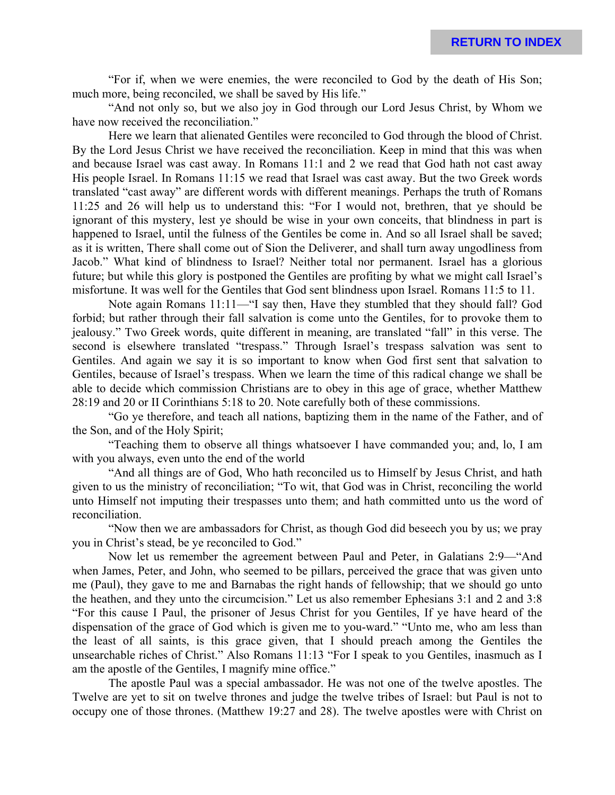"For if, when we were enemies, the were reconciled to God by the death of His Son; much more, being reconciled, we shall be saved by His life."

"And not only so, but we also joy in God through our Lord Jesus Christ, by Whom we have now received the reconciliation."

Here we learn that alienated Gentiles were reconciled to God through the blood of Christ. By the Lord Jesus Christ we have received the reconciliation. Keep in mind that this was when and because Israel was cast away. In Romans 11:1 and 2 we read that God hath not cast away His people Israel. In Romans 11:15 we read that Israel was cast away. But the two Greek words translated "cast away" are different words with different meanings. Perhaps the truth of Romans 11:25 and 26 will help us to understand this: "For I would not, brethren, that ye should be ignorant of this mystery, lest ye should be wise in your own conceits, that blindness in part is happened to Israel, until the fulness of the Gentiles be come in. And so all Israel shall be saved; as it is written, There shall come out of Sion the Deliverer, and shall turn away ungodliness from Jacob." What kind of blindness to Israel? Neither total nor permanent. Israel has a glorious future; but while this glory is postponed the Gentiles are profiting by what we might call Israel's misfortune. It was well for the Gentiles that God sent blindness upon Israel. Romans 11:5 to 11.

Note again Romans 11:11—"I say then, Have they stumbled that they should fall? God forbid; but rather through their fall salvation is come unto the Gentiles, for to provoke them to jealousy." Two Greek words, quite different in meaning, are translated "fall" in this verse. The second is elsewhere translated "trespass." Through Israel's trespass salvation was sent to Gentiles. And again we say it is so important to know when God first sent that salvation to Gentiles, because of Israel's trespass. When we learn the time of this radical change we shall be able to decide which commission Christians are to obey in this age of grace, whether Matthew 28:19 and 20 or II Corinthians 5:18 to 20. Note carefully both of these commissions.

"Go ye therefore, and teach all nations, baptizing them in the name of the Father, and of the Son, and of the Holy Spirit;

"Teaching them to observe all things whatsoever I have commanded you; and, lo, I am with you always, even unto the end of the world

"And all things are of God, Who hath reconciled us to Himself by Jesus Christ, and hath given to us the ministry of reconciliation; "To wit, that God was in Christ, reconciling the world unto Himself not imputing their trespasses unto them; and hath committed unto us the word of reconciliation.

"Now then we are ambassadors for Christ, as though God did beseech you by us; we pray you in Christ's stead, be ye reconciled to God."

Now let us remember the agreement between Paul and Peter, in Galatians 2:9—"And when James, Peter, and John, who seemed to be pillars, perceived the grace that was given unto me (Paul), they gave to me and Barnabas the right hands of fellowship; that we should go unto the heathen, and they unto the circumcision." Let us also remember Ephesians 3:1 and 2 and 3:8 "For this cause I Paul, the prisoner of Jesus Christ for you Gentiles, If ye have heard of the dispensation of the grace of God which is given me to you-ward." "Unto me, who am less than the least of all saints, is this grace given, that I should preach among the Gentiles the unsearchable riches of Christ." Also Romans 11:13 "For I speak to you Gentiles, inasmuch as I am the apostle of the Gentiles, I magnify mine office."

The apostle Paul was a special ambassador. He was not one of the twelve apostles. The Twelve are yet to sit on twelve thrones and judge the twelve tribes of Israel: but Paul is not to occupy one of those thrones. (Matthew 19:27 and 28). The twelve apostles were with Christ on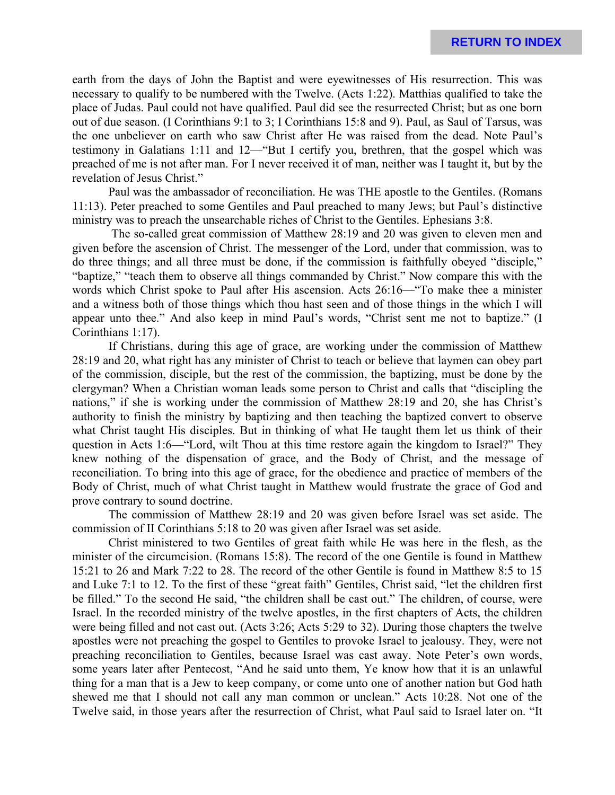earth from the days of John the Baptist and were eyewitnesses of His resurrection. This was necessary to qualify to be numbered with the Twelve. (Acts 1:22). Matthias qualified to take the place of Judas. Paul could not have qualified. Paul did see the resurrected Christ; but as one born out of due season. (I Corinthians 9:1 to 3; I Corinthians 15:8 and 9). Paul, as Saul of Tarsus, was the one unbeliever on earth who saw Christ after He was raised from the dead. Note Paul's testimony in Galatians 1:11 and 12—"But I certify you, brethren, that the gospel which was preached of me is not after man. For I never received it of man, neither was I taught it, but by the revelation of Jesus Christ."

Paul was the ambassador of reconciliation. He was THE apostle to the Gentiles. (Romans 11:13). Peter preached to some Gentiles and Paul preached to many Jews; but Paul's distinctive ministry was to preach the unsearchable riches of Christ to the Gentiles. Ephesians 3:8.

 The so-called great commission of Matthew 28:19 and 20 was given to eleven men and given before the ascension of Christ. The messenger of the Lord, under that commission, was to do three things; and all three must be done, if the commission is faithfully obeyed "disciple," "baptize," "teach them to observe all things commanded by Christ." Now compare this with the words which Christ spoke to Paul after His ascension. Acts 26:16—"To make thee a minister and a witness both of those things which thou hast seen and of those things in the which I will appear unto thee." And also keep in mind Paul's words, "Christ sent me not to baptize." (I Corinthians 1:17).

If Christians, during this age of grace, are working under the commission of Matthew 28:19 and 20, what right has any minister of Christ to teach or believe that laymen can obey part of the commission, disciple, but the rest of the commission, the baptizing, must be done by the clergyman? When a Christian woman leads some person to Christ and calls that "discipling the nations," if she is working under the commission of Matthew 28:19 and 20, she has Christ's authority to finish the ministry by baptizing and then teaching the baptized convert to observe what Christ taught His disciples. But in thinking of what He taught them let us think of their question in Acts 1:6—"Lord, wilt Thou at this time restore again the kingdom to Israel?" They knew nothing of the dispensation of grace, and the Body of Christ, and the message of reconciliation. To bring into this age of grace, for the obedience and practice of members of the Body of Christ, much of what Christ taught in Matthew would frustrate the grace of God and prove contrary to sound doctrine.

The commission of Matthew 28:19 and 20 was given before Israel was set aside. The commission of II Corinthians 5:18 to 20 was given after Israel was set aside.

Christ ministered to two Gentiles of great faith while He was here in the flesh, as the minister of the circumcision. (Romans 15:8). The record of the one Gentile is found in Matthew 15:21 to 26 and Mark 7:22 to 28. The record of the other Gentile is found in Matthew 8:5 to 15 and Luke 7:1 to 12. To the first of these "great faith" Gentiles, Christ said, "let the children first be filled." To the second He said, "the children shall be cast out." The children, of course, were Israel. In the recorded ministry of the twelve apostles, in the first chapters of Acts, the children were being filled and not cast out. (Acts 3:26; Acts 5:29 to 32). During those chapters the twelve apostles were not preaching the gospel to Gentiles to provoke Israel to jealousy. They, were not preaching reconciliation to Gentiles, because Israel was cast away. Note Peter's own words, some years later after Pentecost, "And he said unto them, Ye know how that it is an unlawful thing for a man that is a Jew to keep company, or come unto one of another nation but God hath shewed me that I should not call any man common or unclean." Acts 10:28. Not one of the Twelve said, in those years after the resurrection of Christ, what Paul said to Israel later on. "It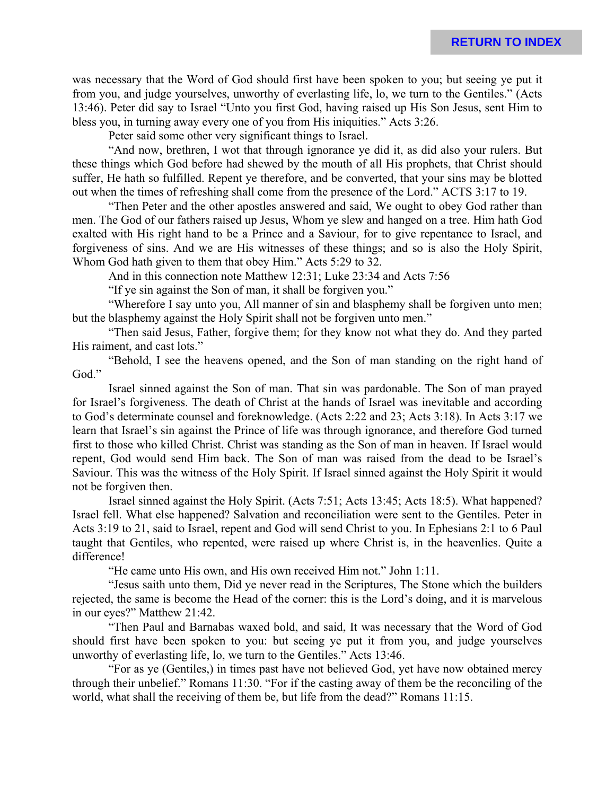was necessary that the Word of God should first have been spoken to you; but seeing ye put it from you, and judge yourselves, unworthy of everlasting life, lo, we turn to the Gentiles." (Acts 13:46). Peter did say to Israel "Unto you first God, having raised up His Son Jesus, sent Him to bless you, in turning away every one of you from His iniquities." Acts 3:26.

Peter said some other very significant things to Israel.

"And now, brethren, I wot that through ignorance ye did it, as did also your rulers. But these things which God before had shewed by the mouth of all His prophets, that Christ should suffer, He hath so fulfilled. Repent ye therefore, and be converted, that your sins may be blotted out when the times of refreshing shall come from the presence of the Lord." ACTS 3:17 to 19.

"Then Peter and the other apostles answered and said, We ought to obey God rather than men. The God of our fathers raised up Jesus, Whom ye slew and hanged on a tree. Him hath God exalted with His right hand to be a Prince and a Saviour, for to give repentance to Israel, and forgiveness of sins. And we are His witnesses of these things; and so is also the Holy Spirit, Whom God hath given to them that obey Him." Acts 5:29 to 32.

And in this connection note Matthew 12:31; Luke 23:34 and Acts 7:56

"If ye sin against the Son of man, it shall be forgiven you."

"Wherefore I say unto you, All manner of sin and blasphemy shall be forgiven unto men; but the blasphemy against the Holy Spirit shall not be forgiven unto men."

"Then said Jesus, Father, forgive them; for they know not what they do. And they parted His raiment, and cast lots."

"Behold, I see the heavens opened, and the Son of man standing on the right hand of God."

Israel sinned against the Son of man. That sin was pardonable. The Son of man prayed for Israel's forgiveness. The death of Christ at the hands of Israel was inevitable and according to God's determinate counsel and foreknowledge. (Acts 2:22 and 23; Acts 3:18). In Acts 3:17 we learn that Israel's sin against the Prince of life was through ignorance, and therefore God turned first to those who killed Christ. Christ was standing as the Son of man in heaven. If Israel would repent, God would send Him back. The Son of man was raised from the dead to be Israel's Saviour. This was the witness of the Holy Spirit. If Israel sinned against the Holy Spirit it would not be forgiven then.

Israel sinned against the Holy Spirit. (Acts 7:51; Acts 13:45; Acts 18:5). What happened? Israel fell. What else happened? Salvation and reconciliation were sent to the Gentiles. Peter in Acts 3:19 to 21, said to Israel, repent and God will send Christ to you. In Ephesians 2:1 to 6 Paul taught that Gentiles, who repented, were raised up where Christ is, in the heavenlies. Quite a difference!

"He came unto His own, and His own received Him not." John 1:11.

"Jesus saith unto them, Did ye never read in the Scriptures, The Stone which the builders rejected, the same is become the Head of the corner: this is the Lord's doing, and it is marvelous in our eyes?" Matthew 21:42.

"Then Paul and Barnabas waxed bold, and said, It was necessary that the Word of God should first have been spoken to you: but seeing ye put it from you, and judge yourselves unworthy of everlasting life, lo, we turn to the Gentiles." Acts 13:46.

"For as ye (Gentiles,) in times past have not believed God, yet have now obtained mercy through their unbelief." Romans 11:30. "For if the casting away of them be the reconciling of the world, what shall the receiving of them be, but life from the dead?" Romans 11:15.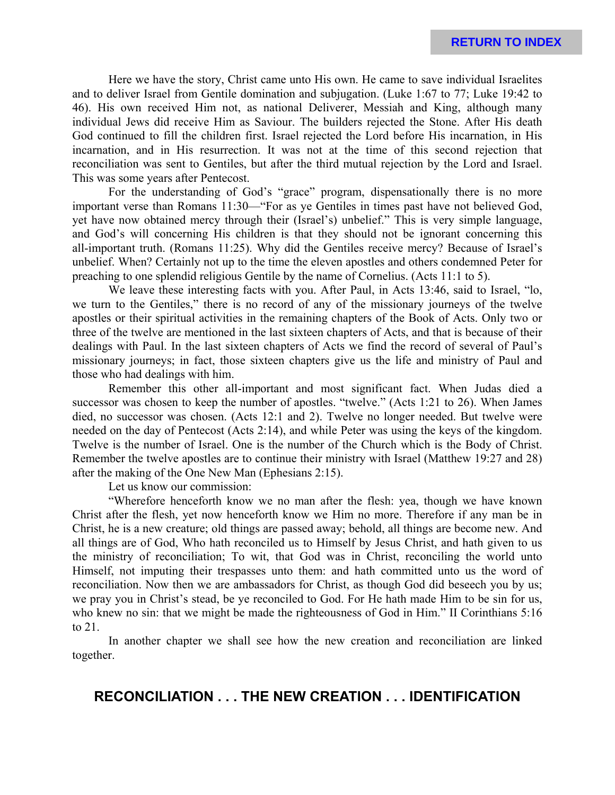Here we have the story, Christ came unto His own. He came to save individual Israelites and to deliver Israel from Gentile domination and subjugation. (Luke 1:67 to 77; Luke 19:42 to 46). His own received Him not, as national Deliverer, Messiah and King, although many individual Jews did receive Him as Saviour. The builders rejected the Stone. After His death God continued to fill the children first. Israel rejected the Lord before His incarnation, in His incarnation, and in His resurrection. It was not at the time of this second rejection that reconciliation was sent to Gentiles, but after the third mutual rejection by the Lord and Israel. This was some years after Pentecost.

For the understanding of God's "grace" program, dispensationally there is no more important verse than Romans 11:30—"For as ye Gentiles in times past have not believed God, yet have now obtained mercy through their (Israel's) unbelief." This is very simple language, and God's will concerning His children is that they should not be ignorant concerning this all-important truth. (Romans 11:25). Why did the Gentiles receive mercy? Because of Israel's unbelief. When? Certainly not up to the time the eleven apostles and others condemned Peter for preaching to one splendid religious Gentile by the name of Cornelius. (Acts 11:1 to 5).

We leave these interesting facts with you. After Paul, in Acts 13:46, said to Israel, "lo, we turn to the Gentiles," there is no record of any of the missionary journeys of the twelve apostles or their spiritual activities in the remaining chapters of the Book of Acts. Only two or three of the twelve are mentioned in the last sixteen chapters of Acts, and that is because of their dealings with Paul. In the last sixteen chapters of Acts we find the record of several of Paul's missionary journeys; in fact, those sixteen chapters give us the life and ministry of Paul and those who had dealings with him.

Remember this other all-important and most significant fact. When Judas died a successor was chosen to keep the number of apostles. "twelve." (Acts 1:21 to 26). When James died, no successor was chosen. (Acts 12:1 and 2). Twelve no longer needed. But twelve were needed on the day of Pentecost (Acts 2:14), and while Peter was using the keys of the kingdom. Twelve is the number of Israel. One is the number of the Church which is the Body of Christ. Remember the twelve apostles are to continue their ministry with Israel (Matthew 19:27 and 28) after the making of the One New Man (Ephesians 2:15).

Let us know our commission:

"Wherefore henceforth know we no man after the flesh: yea, though we have known Christ after the flesh, yet now henceforth know we Him no more. Therefore if any man be in Christ, he is a new creature; old things are passed away; behold, all things are become new. And all things are of God, Who hath reconciled us to Himself by Jesus Christ, and hath given to us the ministry of reconciliation; To wit, that God was in Christ, reconciling the world unto Himself, not imputing their trespasses unto them: and hath committed unto us the word of reconciliation. Now then we are ambassadors for Christ, as though God did beseech you by us; we pray you in Christ's stead, be ye reconciled to God. For He hath made Him to be sin for us, who knew no sin: that we might be made the righteousness of God in Him." II Corinthians 5:16 to 21.

In another chapter we shall see how the new creation and reconciliation are linked together.

### **RECONCILIATION . . . THE NEW CREATION . . . IDENTIFICATION**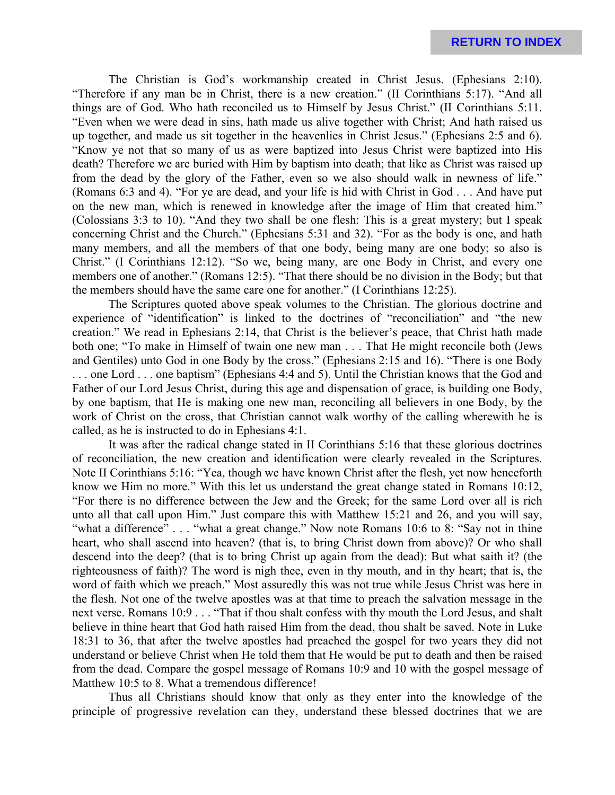The Christian is God's workmanship created in Christ Jesus. (Ephesians 2:10). "Therefore if any man be in Christ, there is a new creation." (II Corinthians 5:17). "And all things are of God. Who hath reconciled us to Himself by Jesus Christ." (II Corinthians 5:11. "Even when we were dead in sins, hath made us alive together with Christ; And hath raised us up together, and made us sit together in the heavenlies in Christ Jesus." (Ephesians 2:5 and 6). "Know ye not that so many of us as were baptized into Jesus Christ were baptized into His death? Therefore we are buried with Him by baptism into death; that like as Christ was raised up from the dead by the glory of the Father, even so we also should walk in newness of life." (Romans 6:3 and 4). "For ye are dead, and your life is hid with Christ in God . . . And have put on the new man, which is renewed in knowledge after the image of Him that created him." (Colossians 3:3 to 10). "And they two shall be one flesh: This is a great mystery; but I speak concerning Christ and the Church." (Ephesians 5:31 and 32). "For as the body is one, and hath many members, and all the members of that one body, being many are one body; so also is Christ." (I Corinthians 12:12). "So we, being many, are one Body in Christ, and every one members one of another." (Romans 12:5). "That there should be no division in the Body; but that the members should have the same care one for another." (I Corinthians 12:25).

The Scriptures quoted above speak volumes to the Christian. The glorious doctrine and experience of "identification" is linked to the doctrines of "reconciliation" and "the new creation." We read in Ephesians 2:14, that Christ is the believer's peace, that Christ hath made both one; "To make in Himself of twain one new man . . . That He might reconcile both (Jews and Gentiles) unto God in one Body by the cross." (Ephesians 2:15 and 16). "There is one Body . . . one Lord . . . one baptism" (Ephesians 4:4 and 5). Until the Christian knows that the God and Father of our Lord Jesus Christ, during this age and dispensation of grace, is building one Body, by one baptism, that He is making one new man, reconciling all believers in one Body, by the work of Christ on the cross, that Christian cannot walk worthy of the calling wherewith he is called, as he is instructed to do in Ephesians 4:1.

It was after the radical change stated in II Corinthians 5:16 that these glorious doctrines of reconciliation, the new creation and identification were clearly revealed in the Scriptures. Note II Corinthians 5:16: "Yea, though we have known Christ after the flesh, yet now henceforth know we Him no more." With this let us understand the great change stated in Romans 10:12, "For there is no difference between the Jew and the Greek; for the same Lord over all is rich unto all that call upon Him." Just compare this with Matthew 15:21 and 26, and you will say, "what a difference" . . . "what a great change." Now note Romans 10:6 to 8: "Say not in thine heart, who shall ascend into heaven? (that is, to bring Christ down from above)? Or who shall descend into the deep? (that is to bring Christ up again from the dead): But what saith it? (the righteousness of faith)? The word is nigh thee, even in thy mouth, and in thy heart; that is, the word of faith which we preach." Most assuredly this was not true while Jesus Christ was here in the flesh. Not one of the twelve apostles was at that time to preach the salvation message in the next verse. Romans 10:9 . . . "That if thou shalt confess with thy mouth the Lord Jesus, and shalt believe in thine heart that God hath raised Him from the dead, thou shalt be saved. Note in Luke 18:31 to 36, that after the twelve apostles had preached the gospel for two years they did not understand or believe Christ when He told them that He would be put to death and then be raised from the dead. Compare the gospel message of Romans 10:9 and 10 with the gospel message of Matthew 10:5 to 8. What a tremendous difference!

Thus all Christians should know that only as they enter into the knowledge of the principle of progressive revelation can they, understand these blessed doctrines that we are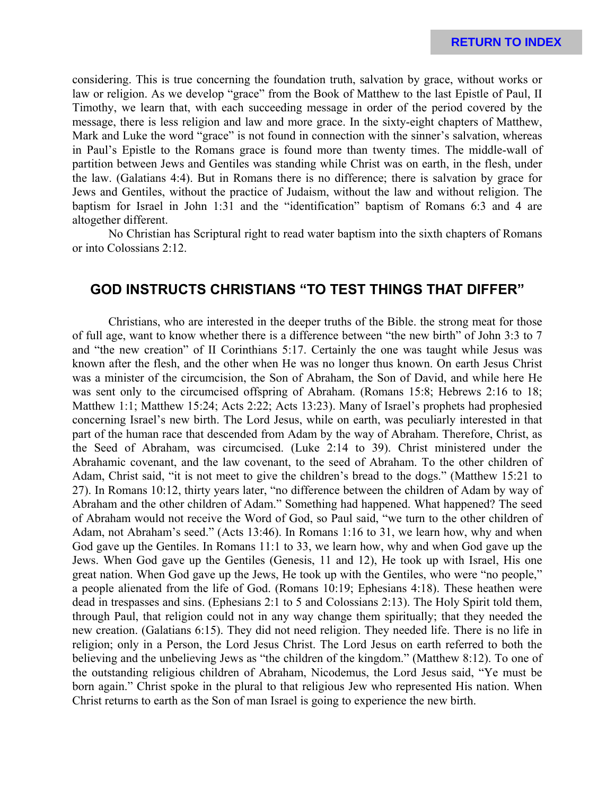considering. This is true concerning the foundation truth, salvation by grace, without works or law or religion. As we develop "grace" from the Book of Matthew to the last Epistle of Paul, II Timothy, we learn that, with each succeeding message in order of the period covered by the message, there is less religion and law and more grace. In the sixty-eight chapters of Matthew, Mark and Luke the word "grace" is not found in connection with the sinner's salvation, whereas in Paul's Epistle to the Romans grace is found more than twenty times. The middle-wall of partition between Jews and Gentiles was standing while Christ was on earth, in the flesh, under the law. (Galatians 4:4). But in Romans there is no difference; there is salvation by grace for Jews and Gentiles, without the practice of Judaism, without the law and without religion. The baptism for Israel in John 1:31 and the "identification" baptism of Romans 6:3 and 4 are altogether different.

No Christian has Scriptural right to read water baptism into the sixth chapters of Romans or into Colossians 2:12.

# **GOD INSTRUCTS CHRISTIANS "TO TEST THINGS THAT DIFFER"**

Christians, who are interested in the deeper truths of the Bible. the strong meat for those of full age, want to know whether there is a difference between "the new birth" of John 3:3 to 7 and "the new creation" of II Corinthians 5:17. Certainly the one was taught while Jesus was known after the flesh, and the other when He was no longer thus known. On earth Jesus Christ was a minister of the circumcision, the Son of Abraham, the Son of David, and while here He was sent only to the circumcised offspring of Abraham. (Romans 15:8; Hebrews 2:16 to 18; Matthew 1:1; Matthew 15:24; Acts 2:22; Acts 13:23). Many of Israel's prophets had prophesied concerning Israel's new birth. The Lord Jesus, while on earth, was peculiarly interested in that part of the human race that descended from Adam by the way of Abraham. Therefore, Christ, as the Seed of Abraham, was circumcised. (Luke 2:14 to 39). Christ ministered under the Abrahamic covenant, and the law covenant, to the seed of Abraham. To the other children of Adam, Christ said, "it is not meet to give the children's bread to the dogs." (Matthew 15:21 to 27). In Romans 10:12, thirty years later, "no difference between the children of Adam by way of Abraham and the other children of Adam." Something had happened. What happened? The seed of Abraham would not receive the Word of God, so Paul said, "we turn to the other children of Adam, not Abraham's seed." (Acts 13:46). In Romans 1:16 to 31, we learn how, why and when God gave up the Gentiles. In Romans 11:1 to 33, we learn how, why and when God gave up the Jews. When God gave up the Gentiles (Genesis, 11 and 12), He took up with Israel, His one great nation. When God gave up the Jews, He took up with the Gentiles, who were "no people," a people alienated from the life of God. (Romans 10:19; Ephesians 4:18). These heathen were dead in trespasses and sins. (Ephesians 2:1 to 5 and Colossians 2:13). The Holy Spirit told them, through Paul, that religion could not in any way change them spiritually; that they needed the new creation. (Galatians 6:15). They did not need religion. They needed life. There is no life in religion; only in a Person, the Lord Jesus Christ. The Lord Jesus on earth referred to both the believing and the unbelieving Jews as "the children of the kingdom." (Matthew 8:12). To one of the outstanding religious children of Abraham, Nicodemus, the Lord Jesus said, "Ye must be born again." Christ spoke in the plural to that religious Jew who represented His nation. When Christ returns to earth as the Son of man Israel is going to experience the new birth.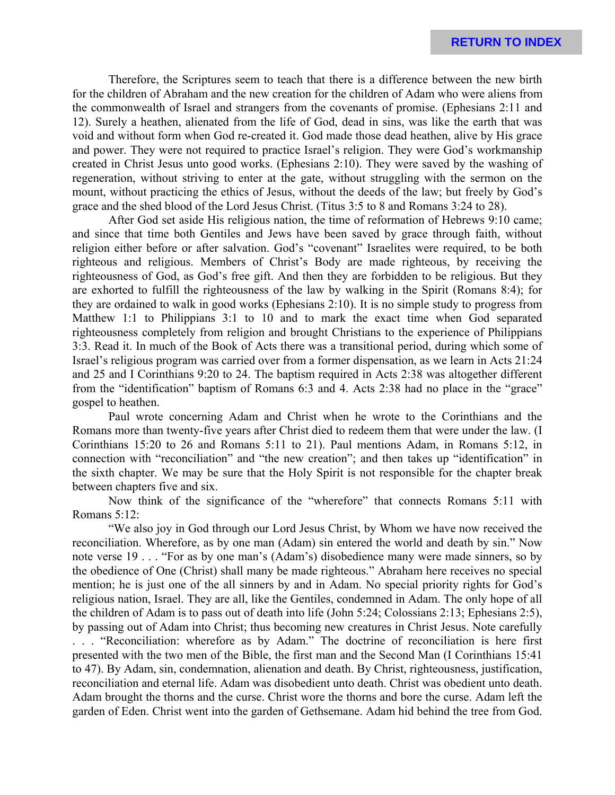Therefore, the Scriptures seem to teach that there is a difference between the new birth for the children of Abraham and the new creation for the children of Adam who were aliens from the commonwealth of Israel and strangers from the covenants of promise. (Ephesians 2:11 and 12). Surely a heathen, alienated from the life of God, dead in sins, was like the earth that was void and without form when God re-created it. God made those dead heathen, alive by His grace and power. They were not required to practice Israel's religion. They were God's workmanship created in Christ Jesus unto good works. (Ephesians 2:10). They were saved by the washing of regeneration, without striving to enter at the gate, without struggling with the sermon on the mount, without practicing the ethics of Jesus, without the deeds of the law; but freely by God's grace and the shed blood of the Lord Jesus Christ. (Titus 3:5 to 8 and Romans 3:24 to 28).

After God set aside His religious nation, the time of reformation of Hebrews 9:10 came; and since that time both Gentiles and Jews have been saved by grace through faith, without religion either before or after salvation. God's "covenant" Israelites were required, to be both righteous and religious. Members of Christ's Body are made righteous, by receiving the righteousness of God, as God's free gift. And then they are forbidden to be religious. But they are exhorted to fulfill the righteousness of the law by walking in the Spirit (Romans 8:4); for they are ordained to walk in good works (Ephesians 2:10). It is no simple study to progress from Matthew 1:1 to Philippians 3:1 to 10 and to mark the exact time when God separated righteousness completely from religion and brought Christians to the experience of Philippians 3:3. Read it. In much of the Book of Acts there was a transitional period, during which some of Israel's religious program was carried over from a former dispensation, as we learn in Acts 21:24 and 25 and I Corinthians 9:20 to 24. The baptism required in Acts 2:38 was altogether different from the "identification" baptism of Romans 6:3 and 4. Acts 2:38 had no place in the "grace" gospel to heathen.

Paul wrote concerning Adam and Christ when he wrote to the Corinthians and the Romans more than twenty-five years after Christ died to redeem them that were under the law. (I Corinthians 15:20 to 26 and Romans 5:11 to 21). Paul mentions Adam, in Romans 5:12, in connection with "reconciliation" and "the new creation"; and then takes up "identification" in the sixth chapter. We may be sure that the Holy Spirit is not responsible for the chapter break between chapters five and six.

Now think of the significance of the "wherefore" that connects Romans 5:11 with Romans 5:12:

"We also joy in God through our Lord Jesus Christ, by Whom we have now received the reconciliation. Wherefore, as by one man (Adam) sin entered the world and death by sin." Now note verse 19 . . . "For as by one man's (Adam's) disobedience many were made sinners, so by the obedience of One (Christ) shall many be made righteous." Abraham here receives no special mention; he is just one of the all sinners by and in Adam. No special priority rights for God's religious nation, Israel. They are all, like the Gentiles, condemned in Adam. The only hope of all the children of Adam is to pass out of death into life (John 5:24; Colossians 2:13; Ephesians 2:5), by passing out of Adam into Christ; thus becoming new creatures in Christ Jesus. Note carefully . . . "Reconciliation: wherefore as by Adam." The doctrine of reconciliation is here first presented with the two men of the Bible, the first man and the Second Man (I Corinthians 15:41 to 47). By Adam, sin, condemnation, alienation and death. By Christ, righteousness, justification,

reconciliation and eternal life. Adam was disobedient unto death. Christ was obedient unto death. Adam brought the thorns and the curse. Christ wore the thorns and bore the curse. Adam left the garden of Eden. Christ went into the garden of Gethsemane. Adam hid behind the tree from God.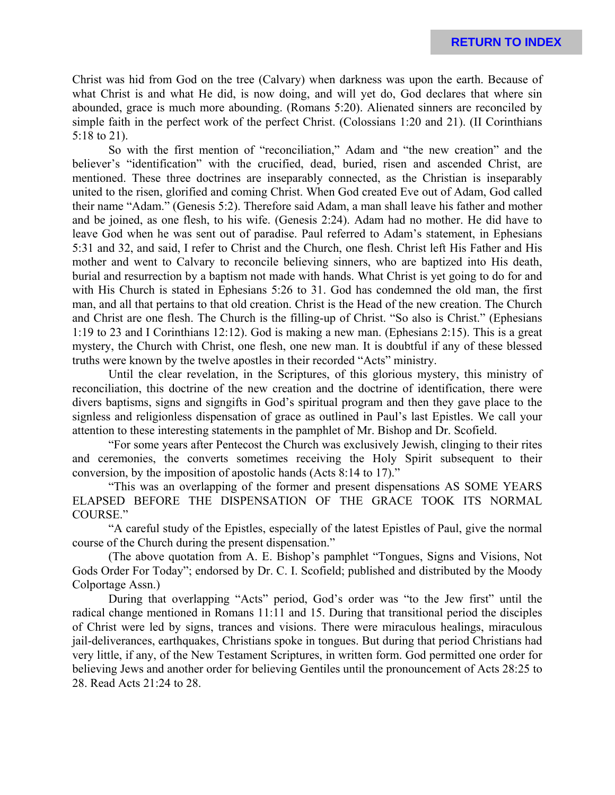Christ was hid from God on the tree (Calvary) when darkness was upon the earth. Because of what Christ is and what He did, is now doing, and will yet do, God declares that where sin abounded, grace is much more abounding. (Romans 5:20). Alienated sinners are reconciled by simple faith in the perfect work of the perfect Christ. (Colossians 1:20 and 21). (II Corinthians 5:18 to 21).

So with the first mention of "reconciliation," Adam and "the new creation" and the believer's "identification" with the crucified, dead, buried, risen and ascended Christ, are mentioned. These three doctrines are inseparably connected, as the Christian is inseparably united to the risen, glorified and coming Christ. When God created Eve out of Adam, God called their name "Adam." (Genesis 5:2). Therefore said Adam, a man shall leave his father and mother and be joined, as one flesh, to his wife. (Genesis 2:24). Adam had no mother. He did have to leave God when he was sent out of paradise. Paul referred to Adam's statement, in Ephesians 5:31 and 32, and said, I refer to Christ and the Church, one flesh. Christ left His Father and His mother and went to Calvary to reconcile believing sinners, who are baptized into His death, burial and resurrection by a baptism not made with hands. What Christ is yet going to do for and with His Church is stated in Ephesians 5:26 to 31. God has condemned the old man, the first man, and all that pertains to that old creation. Christ is the Head of the new creation. The Church and Christ are one flesh. The Church is the filling-up of Christ. "So also is Christ." (Ephesians 1:19 to 23 and I Corinthians 12:12). God is making a new man. (Ephesians 2:15). This is a great mystery, the Church with Christ, one flesh, one new man. It is doubtful if any of these blessed truths were known by the twelve apostles in their recorded "Acts" ministry.

Until the clear revelation, in the Scriptures, of this glorious mystery, this ministry of reconciliation, this doctrine of the new creation and the doctrine of identification, there were divers baptisms, signs and signgifts in God's spiritual program and then they gave place to the signless and religionless dispensation of grace as outlined in Paul's last Epistles. We call your attention to these interesting statements in the pamphlet of Mr. Bishop and Dr. Scofield.

"For some years after Pentecost the Church was exclusively Jewish, clinging to their rites and ceremonies, the converts sometimes receiving the Holy Spirit subsequent to their conversion, by the imposition of apostolic hands (Acts 8:14 to 17)."

"This was an overlapping of the former and present dispensations AS SOME YEARS ELAPSED BEFORE THE DISPENSATION OF THE GRACE TOOK ITS NORMAL COURSE."

"A careful study of the Epistles, especially of the latest Epistles of Paul, give the normal course of the Church during the present dispensation."

(The above quotation from A. E. Bishop's pamphlet "Tongues, Signs and Visions, Not Gods Order For Today"; endorsed by Dr. C. I. Scofield; published and distributed by the Moody Colportage Assn.)

During that overlapping "Acts" period, God's order was "to the Jew first" until the radical change mentioned in Romans 11:11 and 15. During that transitional period the disciples of Christ were led by signs, trances and visions. There were miraculous healings, miraculous jail-deliverances, earthquakes, Christians spoke in tongues. But during that period Christians had very little, if any, of the New Testament Scriptures, in written form. God permitted one order for believing Jews and another order for believing Gentiles until the pronouncement of Acts 28:25 to 28. Read Acts 21:24 to 28.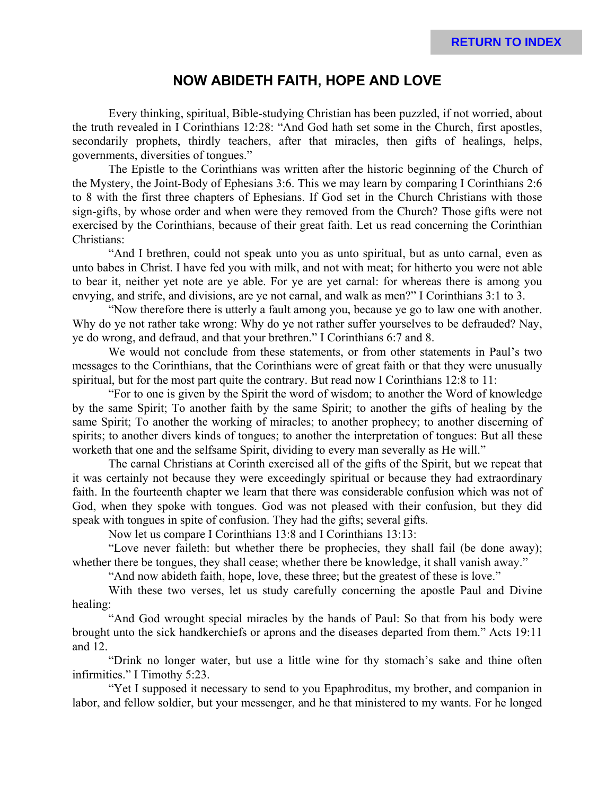### **NOW ABIDETH FAITH, HOPE AND LOVE**

Every thinking, spiritual, Bible-studying Christian has been puzzled, if not worried, about the truth revealed in I Corinthians 12:28: "And God hath set some in the Church, first apostles, secondarily prophets, thirdly teachers, after that miracles, then gifts of healings, helps, governments, diversities of tongues."

The Epistle to the Corinthians was written after the historic beginning of the Church of the Mystery, the Joint-Body of Ephesians 3:6. This we may learn by comparing I Corinthians 2:6 to 8 with the first three chapters of Ephesians. If God set in the Church Christians with those sign-gifts, by whose order and when were they removed from the Church? Those gifts were not exercised by the Corinthians, because of their great faith. Let us read concerning the Corinthian Christians:

"And I brethren, could not speak unto you as unto spiritual, but as unto carnal, even as unto babes in Christ. I have fed you with milk, and not with meat; for hitherto you were not able to bear it, neither yet note are ye able. For ye are yet carnal: for whereas there is among you envying, and strife, and divisions, are ye not carnal, and walk as men?" I Corinthians 3:1 to 3.

"Now therefore there is utterly a fault among you, because ye go to law one with another. Why do ye not rather take wrong: Why do ye not rather suffer yourselves to be defrauded? Nay, ye do wrong, and defraud, and that your brethren." I Corinthians 6:7 and 8.

We would not conclude from these statements, or from other statements in Paul's two messages to the Corinthians, that the Corinthians were of great faith or that they were unusually spiritual, but for the most part quite the contrary. But read now I Corinthians 12:8 to 11:

"For to one is given by the Spirit the word of wisdom; to another the Word of knowledge by the same Spirit; To another faith by the same Spirit; to another the gifts of healing by the same Spirit; To another the working of miracles; to another prophecy; to another discerning of spirits; to another divers kinds of tongues; to another the interpretation of tongues: But all these worketh that one and the selfsame Spirit, dividing to every man severally as He will."

The carnal Christians at Corinth exercised all of the gifts of the Spirit, but we repeat that it was certainly not because they were exceedingly spiritual or because they had extraordinary faith. In the fourteenth chapter we learn that there was considerable confusion which was not of God, when they spoke with tongues. God was not pleased with their confusion, but they did speak with tongues in spite of confusion. They had the gifts; several gifts.

Now let us compare I Corinthians 13:8 and I Corinthians 13:13:

"Love never faileth: but whether there be prophecies, they shall fail (be done away); whether there be tongues, they shall cease; whether there be knowledge, it shall vanish away."

"And now abideth faith, hope, love, these three; but the greatest of these is love."

With these two verses, let us study carefully concerning the apostle Paul and Divine healing:

"And God wrought special miracles by the hands of Paul: So that from his body were brought unto the sick handkerchiefs or aprons and the diseases departed from them." Acts 19:11 and 12.

"Drink no longer water, but use a little wine for thy stomach's sake and thine often infirmities." I Timothy 5:23.

"Yet I supposed it necessary to send to you Epaphroditus, my brother, and companion in labor, and fellow soldier, but your messenger, and he that ministered to my wants. For he longed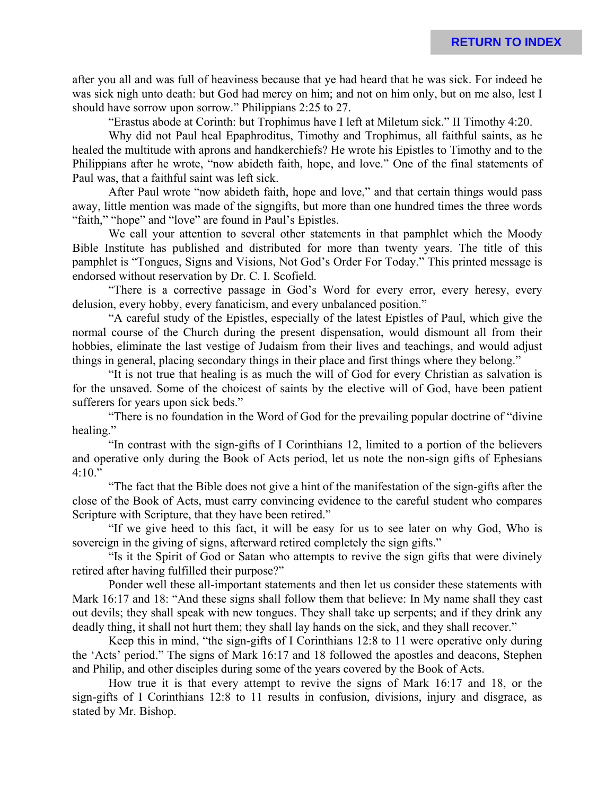after you all and was full of heaviness because that ye had heard that he was sick. For indeed he was sick nigh unto death: but God had mercy on him; and not on him only, but on me also, lest I should have sorrow upon sorrow." Philippians 2:25 to 27.

"Erastus abode at Corinth: but Trophimus have I left at Miletum sick." II Timothy 4:20.

Why did not Paul heal Epaphroditus, Timothy and Trophimus, all faithful saints, as he healed the multitude with aprons and handkerchiefs? He wrote his Epistles to Timothy and to the Philippians after he wrote, "now abideth faith, hope, and love." One of the final statements of Paul was, that a faithful saint was left sick.

After Paul wrote "now abideth faith, hope and love," and that certain things would pass away, little mention was made of the signgifts, but more than one hundred times the three words "faith," "hope" and "love" are found in Paul's Epistles.

We call your attention to several other statements in that pamphlet which the Moody Bible Institute has published and distributed for more than twenty years. The title of this pamphlet is "Tongues, Signs and Visions, Not God's Order For Today." This printed message is endorsed without reservation by Dr. C. I. Scofield.

"There is a corrective passage in God's Word for every error, every heresy, every delusion, every hobby, every fanaticism, and every unbalanced position."

"A careful study of the Epistles, especially of the latest Epistles of Paul, which give the normal course of the Church during the present dispensation, would dismount all from their hobbies, eliminate the last vestige of Judaism from their lives and teachings, and would adjust things in general, placing secondary things in their place and first things where they belong."

"It is not true that healing is as much the will of God for every Christian as salvation is for the unsaved. Some of the choicest of saints by the elective will of God, have been patient sufferers for years upon sick beds."

"There is no foundation in the Word of God for the prevailing popular doctrine of "divine healing."

"In contrast with the sign-gifts of I Corinthians 12, limited to a portion of the believers and operative only during the Book of Acts period, let us note the non-sign gifts of Ephesians  $4:10."$ 

"The fact that the Bible does not give a hint of the manifestation of the sign-gifts after the close of the Book of Acts, must carry convincing evidence to the careful student who compares Scripture with Scripture, that they have been retired."

"If we give heed to this fact, it will be easy for us to see later on why God, Who is sovereign in the giving of signs, afterward retired completely the sign gifts."

"Is it the Spirit of God or Satan who attempts to revive the sign gifts that were divinely retired after having fulfilled their purpose?"

Ponder well these all-important statements and then let us consider these statements with Mark 16:17 and 18: "And these signs shall follow them that believe: In My name shall they cast out devils; they shall speak with new tongues. They shall take up serpents; and if they drink any deadly thing, it shall not hurt them; they shall lay hands on the sick, and they shall recover."

Keep this in mind, "the sign-gifts of I Corinthians 12:8 to 11 were operative only during the 'Acts' period." The signs of Mark 16:17 and 18 followed the apostles and deacons, Stephen and Philip, and other disciples during some of the years covered by the Book of Acts.

How true it is that every attempt to revive the signs of Mark 16:17 and 18, or the sign-gifts of I Corinthians 12:8 to 11 results in confusion, divisions, injury and disgrace, as stated by Mr. Bishop.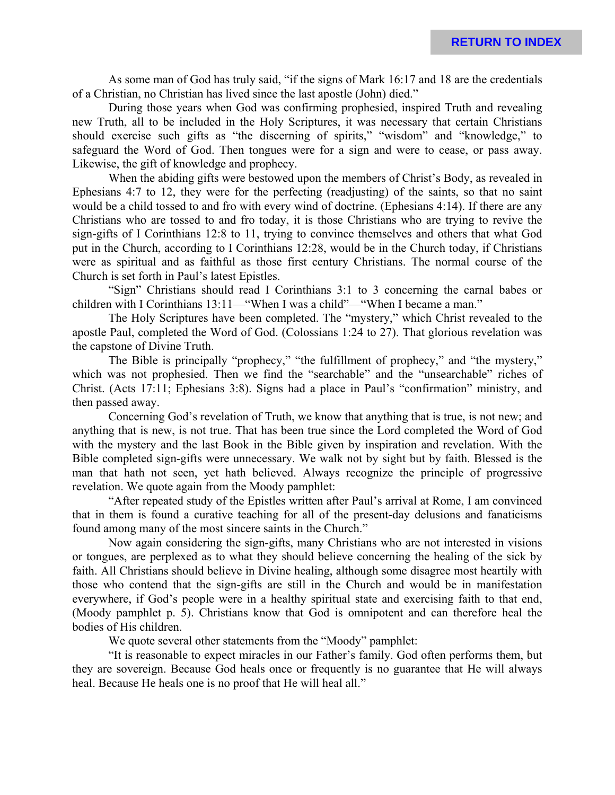As some man of God has truly said, "if the signs of Mark 16:17 and 18 are the credentials of a Christian, no Christian has lived since the last apostle (John) died."

During those years when God was confirming prophesied, inspired Truth and revealing new Truth, all to be included in the Holy Scriptures, it was necessary that certain Christians should exercise such gifts as "the discerning of spirits," "wisdom" and "knowledge," to safeguard the Word of God. Then tongues were for a sign and were to cease, or pass away. Likewise, the gift of knowledge and prophecy.

When the abiding gifts were bestowed upon the members of Christ's Body, as revealed in Ephesians 4:7 to 12, they were for the perfecting (readjusting) of the saints, so that no saint would be a child tossed to and fro with every wind of doctrine. (Ephesians 4:14). If there are any Christians who are tossed to and fro today, it is those Christians who are trying to revive the sign-gifts of I Corinthians 12:8 to 11, trying to convince themselves and others that what God put in the Church, according to I Corinthians 12:28, would be in the Church today, if Christians were as spiritual and as faithful as those first century Christians. The normal course of the Church is set forth in Paul's latest Epistles.

"Sign" Christians should read I Corinthians 3:1 to 3 concerning the carnal babes or children with I Corinthians 13:11—"When I was a child"—"When I became a man."

The Holy Scriptures have been completed. The "mystery," which Christ revealed to the apostle Paul, completed the Word of God. (Colossians 1:24 to 27). That glorious revelation was the capstone of Divine Truth.

The Bible is principally "prophecy," "the fulfillment of prophecy," and "the mystery," which was not prophesied. Then we find the "searchable" and the "unsearchable" riches of Christ. (Acts 17:11; Ephesians 3:8). Signs had a place in Paul's "confirmation" ministry, and then passed away.

Concerning God's revelation of Truth, we know that anything that is true, is not new; and anything that is new, is not true. That has been true since the Lord completed the Word of God with the mystery and the last Book in the Bible given by inspiration and revelation. With the Bible completed sign-gifts were unnecessary. We walk not by sight but by faith. Blessed is the man that hath not seen, yet hath believed. Always recognize the principle of progressive revelation. We quote again from the Moody pamphlet:

"After repeated study of the Epistles written after Paul's arrival at Rome, I am convinced that in them is found a curative teaching for all of the present-day delusions and fanaticisms found among many of the most sincere saints in the Church."

Now again considering the sign-gifts, many Christians who are not interested in visions or tongues, are perplexed as to what they should believe concerning the healing of the sick by faith. All Christians should believe in Divine healing, although some disagree most heartily with those who contend that the sign-gifts are still in the Church and would be in manifestation everywhere, if God's people were in a healthy spiritual state and exercising faith to that end, (Moody pamphlet p. 5). Christians know that God is omnipotent and can therefore heal the bodies of His children.

We quote several other statements from the "Moody" pamphlet:

"It is reasonable to expect miracles in our Father's family. God often performs them, but they are sovereign. Because God heals once or frequently is no guarantee that He will always heal. Because He heals one is no proof that He will heal all."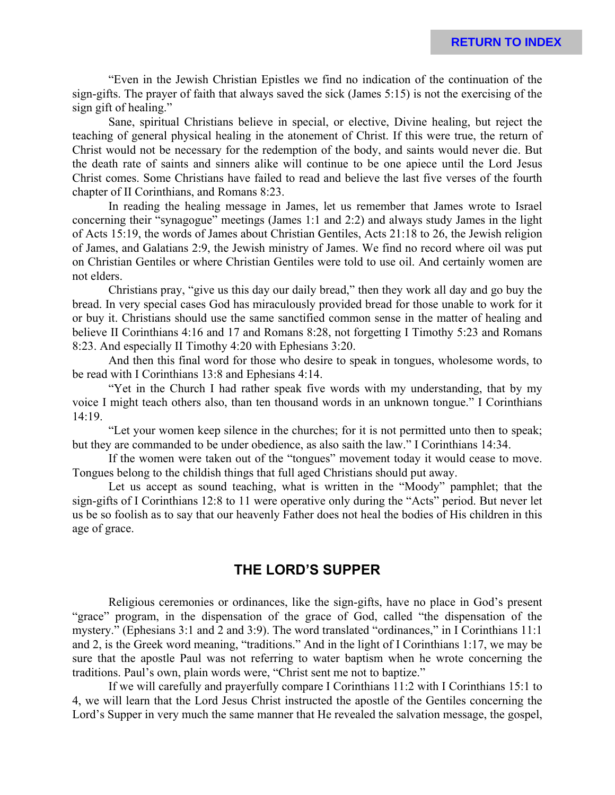"Even in the Jewish Christian Epistles we find no indication of the continuation of the sign-gifts. The prayer of faith that always saved the sick (James 5:15) is not the exercising of the sign gift of healing."

Sane, spiritual Christians believe in special, or elective, Divine healing, but reject the teaching of general physical healing in the atonement of Christ. If this were true, the return of Christ would not be necessary for the redemption of the body, and saints would never die. But the death rate of saints and sinners alike will continue to be one apiece until the Lord Jesus Christ comes. Some Christians have failed to read and believe the last five verses of the fourth chapter of II Corinthians, and Romans 8:23.

In reading the healing message in James, let us remember that James wrote to Israel concerning their "synagogue" meetings (James 1:1 and 2:2) and always study James in the light of Acts 15:19, the words of James about Christian Gentiles, Acts 21:18 to 26, the Jewish religion of James, and Galatians 2:9, the Jewish ministry of James. We find no record where oil was put on Christian Gentiles or where Christian Gentiles were told to use oil. And certainly women are not elders.

Christians pray, "give us this day our daily bread," then they work all day and go buy the bread. In very special cases God has miraculously provided bread for those unable to work for it or buy it. Christians should use the same sanctified common sense in the matter of healing and believe II Corinthians 4:16 and 17 and Romans 8:28, not forgetting I Timothy 5:23 and Romans 8:23. And especially II Timothy 4:20 with Ephesians 3:20.

And then this final word for those who desire to speak in tongues, wholesome words, to be read with I Corinthians 13:8 and Ephesians 4:14.

"Yet in the Church I had rather speak five words with my understanding, that by my voice I might teach others also, than ten thousand words in an unknown tongue." I Corinthians 14:19.

"Let your women keep silence in the churches; for it is not permitted unto then to speak; but they are commanded to be under obedience, as also saith the law." I Corinthians 14:34.

If the women were taken out of the "tongues" movement today it would cease to move. Tongues belong to the childish things that full aged Christians should put away.

Let us accept as sound teaching, what is written in the "Moody" pamphlet; that the sign-gifts of I Corinthians 12:8 to 11 were operative only during the "Acts" period. But never let us be so foolish as to say that our heavenly Father does not heal the bodies of His children in this age of grace.

### **THE LORD'S SUPPER**

Religious ceremonies or ordinances, like the sign-gifts, have no place in God's present "grace" program, in the dispensation of the grace of God, called "the dispensation of the mystery." (Ephesians 3:1 and 2 and 3:9). The word translated "ordinances," in I Corinthians 11:1 and 2, is the Greek word meaning, "traditions." And in the light of I Corinthians 1:17, we may be sure that the apostle Paul was not referring to water baptism when he wrote concerning the traditions. Paul's own, plain words were, "Christ sent me not to baptize."

If we will carefully and prayerfully compare I Corinthians 11:2 with I Corinthians 15:1 to 4, we will learn that the Lord Jesus Christ instructed the apostle of the Gentiles concerning the Lord's Supper in very much the same manner that He revealed the salvation message, the gospel,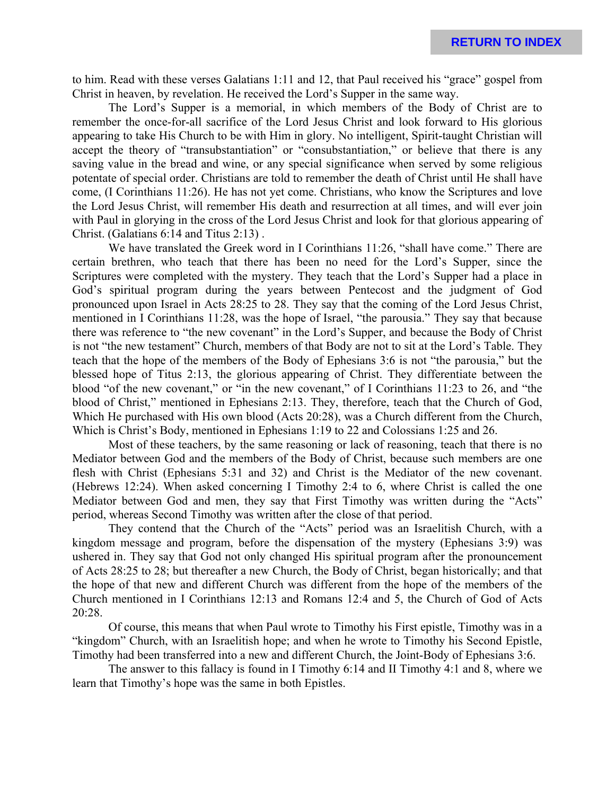to him. Read with these verses Galatians 1:11 and 12, that Paul received his "grace" gospel from Christ in heaven, by revelation. He received the Lord's Supper in the same way.

The Lord's Supper is a memorial, in which members of the Body of Christ are to remember the once-for-all sacrifice of the Lord Jesus Christ and look forward to His glorious appearing to take His Church to be with Him in glory. No intelligent, Spirit-taught Christian will accept the theory of "transubstantiation" or "consubstantiation," or believe that there is any saving value in the bread and wine, or any special significance when served by some religious potentate of special order. Christians are told to remember the death of Christ until He shall have come, (I Corinthians 11:26). He has not yet come. Christians, who know the Scriptures and love the Lord Jesus Christ, will remember His death and resurrection at all times, and will ever join with Paul in glorying in the cross of the Lord Jesus Christ and look for that glorious appearing of Christ. (Galatians 6:14 and Titus 2:13) .

We have translated the Greek word in I Corinthians 11:26, "shall have come." There are certain brethren, who teach that there has been no need for the Lord's Supper, since the Scriptures were completed with the mystery. They teach that the Lord's Supper had a place in God's spiritual program during the years between Pentecost and the judgment of God pronounced upon Israel in Acts 28:25 to 28. They say that the coming of the Lord Jesus Christ, mentioned in I Corinthians 11:28, was the hope of Israel, "the parousia." They say that because there was reference to "the new covenant" in the Lord's Supper, and because the Body of Christ is not "the new testament" Church, members of that Body are not to sit at the Lord's Table. They teach that the hope of the members of the Body of Ephesians 3:6 is not "the parousia," but the blessed hope of Titus 2:13, the glorious appearing of Christ. They differentiate between the blood "of the new covenant," or "in the new covenant," of I Corinthians 11:23 to 26, and "the blood of Christ," mentioned in Ephesians 2:13. They, therefore, teach that the Church of God, Which He purchased with His own blood (Acts 20:28), was a Church different from the Church, Which is Christ's Body, mentioned in Ephesians 1:19 to 22 and Colossians 1:25 and 26.

Most of these teachers, by the same reasoning or lack of reasoning, teach that there is no Mediator between God and the members of the Body of Christ, because such members are one flesh with Christ (Ephesians 5:31 and 32) and Christ is the Mediator of the new covenant. (Hebrews 12:24). When asked concerning I Timothy 2:4 to 6, where Christ is called the one Mediator between God and men, they say that First Timothy was written during the "Acts" period, whereas Second Timothy was written after the close of that period.

They contend that the Church of the "Acts" period was an Israelitish Church, with a kingdom message and program, before the dispensation of the mystery (Ephesians 3:9) was ushered in. They say that God not only changed His spiritual program after the pronouncement of Acts 28:25 to 28; but thereafter a new Church, the Body of Christ, began historically; and that the hope of that new and different Church was different from the hope of the members of the Church mentioned in I Corinthians 12:13 and Romans 12:4 and 5, the Church of God of Acts 20:28.

Of course, this means that when Paul wrote to Timothy his First epistle, Timothy was in a "kingdom" Church, with an Israelitish hope; and when he wrote to Timothy his Second Epistle, Timothy had been transferred into a new and different Church, the Joint-Body of Ephesians 3:6.

The answer to this fallacy is found in I Timothy 6:14 and II Timothy 4:1 and 8, where we learn that Timothy's hope was the same in both Epistles.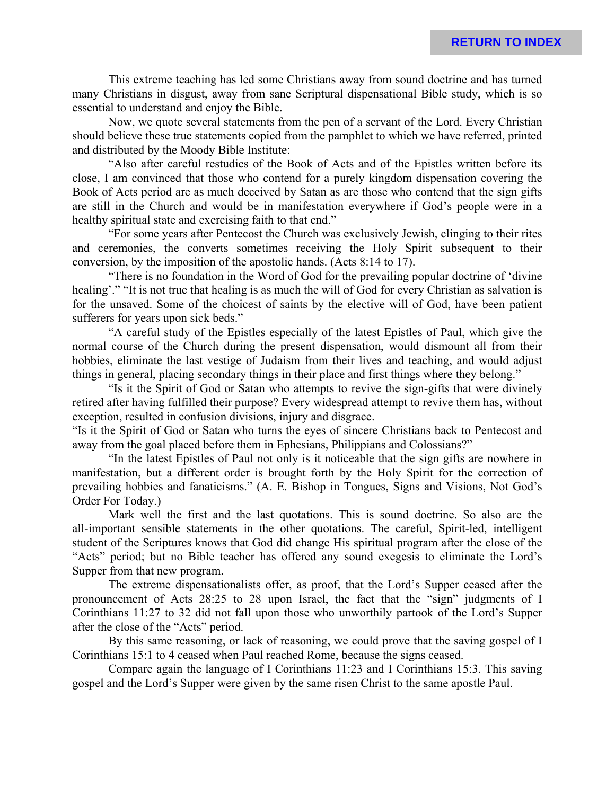**RETURN TO INDEX**

This extreme teaching has led some Christians away from sound doctrine and has turned many Christians in disgust, away from sane Scriptural dispensational Bible study, which is so essential to understand and enjoy the Bible.

Now, we quote several statements from the pen of a servant of the Lord. Every Christian should believe these true statements copied from the pamphlet to which we have referred, printed and distributed by the Moody Bible Institute:

"Also after careful restudies of the Book of Acts and of the Epistles written before its close, I am convinced that those who contend for a purely kingdom dispensation covering the Book of Acts period are as much deceived by Satan as are those who contend that the sign gifts are still in the Church and would be in manifestation everywhere if God's people were in a healthy spiritual state and exercising faith to that end."

"For some years after Pentecost the Church was exclusively Jewish, clinging to their rites and ceremonies, the converts sometimes receiving the Holy Spirit subsequent to their conversion, by the imposition of the apostolic hands. (Acts 8:14 to 17).

"There is no foundation in the Word of God for the prevailing popular doctrine of 'divine healing'." "It is not true that healing is as much the will of God for every Christian as salvation is for the unsaved. Some of the choicest of saints by the elective will of God, have been patient sufferers for years upon sick beds."

"A careful study of the Epistles especially of the latest Epistles of Paul, which give the normal course of the Church during the present dispensation, would dismount all from their hobbies, eliminate the last vestige of Judaism from their lives and teaching, and would adjust things in general, placing secondary things in their place and first things where they belong."

"Is it the Spirit of God or Satan who attempts to revive the sign-gifts that were divinely retired after having fulfilled their purpose? Every widespread attempt to revive them has, without exception, resulted in confusion divisions, injury and disgrace.

"Is it the Spirit of God or Satan who turns the eyes of sincere Christians back to Pentecost and away from the goal placed before them in Ephesians, Philippians and Colossians?"

"In the latest Epistles of Paul not only is it noticeable that the sign gifts are nowhere in manifestation, but a different order is brought forth by the Holy Spirit for the correction of prevailing hobbies and fanaticisms." (A. E. Bishop in Tongues, Signs and Visions, Not God's Order For Today.)

Mark well the first and the last quotations. This is sound doctrine. So also are the all-important sensible statements in the other quotations. The careful, Spirit-led, intelligent student of the Scriptures knows that God did change His spiritual program after the close of the "Acts" period; but no Bible teacher has offered any sound exegesis to eliminate the Lord's Supper from that new program.

The extreme dispensationalists offer, as proof, that the Lord's Supper ceased after the pronouncement of Acts 28:25 to 28 upon Israel, the fact that the "sign" judgments of I Corinthians 11:27 to 32 did not fall upon those who unworthily partook of the Lord's Supper after the close of the "Acts" period.

By this same reasoning, or lack of reasoning, we could prove that the saving gospel of I Corinthians 15:1 to 4 ceased when Paul reached Rome, because the signs ceased.

Compare again the language of I Corinthians 11:23 and I Corinthians 15:3. This saving gospel and the Lord's Supper were given by the same risen Christ to the same apostle Paul.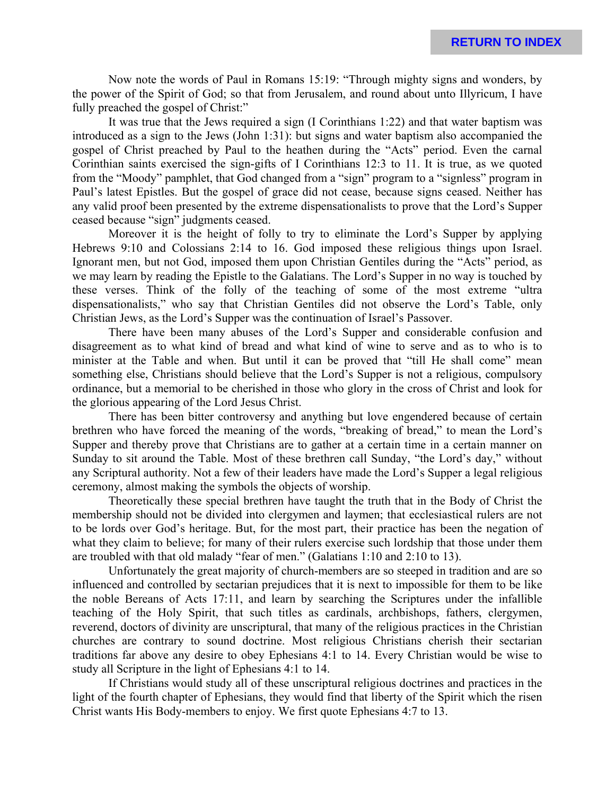Now note the words of Paul in Romans 15:19: "Through mighty signs and wonders, by the power of the Spirit of God; so that from Jerusalem, and round about unto Illyricum, I have fully preached the gospel of Christ:"

It was true that the Jews required a sign (I Corinthians 1:22) and that water baptism was introduced as a sign to the Jews (John 1:31): but signs and water baptism also accompanied the gospel of Christ preached by Paul to the heathen during the "Acts" period. Even the carnal Corinthian saints exercised the sign-gifts of I Corinthians 12:3 to 11. It is true, as we quoted from the "Moody" pamphlet, that God changed from a "sign" program to a "signless" program in Paul's latest Epistles. But the gospel of grace did not cease, because signs ceased. Neither has any valid proof been presented by the extreme dispensationalists to prove that the Lord's Supper ceased because "sign" judgments ceased.

Moreover it is the height of folly to try to eliminate the Lord's Supper by applying Hebrews 9:10 and Colossians 2:14 to 16. God imposed these religious things upon Israel. Ignorant men, but not God, imposed them upon Christian Gentiles during the "Acts" period, as we may learn by reading the Epistle to the Galatians. The Lord's Supper in no way is touched by these verses. Think of the folly of the teaching of some of the most extreme "ultra dispensationalists," who say that Christian Gentiles did not observe the Lord's Table, only Christian Jews, as the Lord's Supper was the continuation of Israel's Passover.

There have been many abuses of the Lord's Supper and considerable confusion and disagreement as to what kind of bread and what kind of wine to serve and as to who is to minister at the Table and when. But until it can be proved that "till He shall come" mean something else, Christians should believe that the Lord's Supper is not a religious, compulsory ordinance, but a memorial to be cherished in those who glory in the cross of Christ and look for the glorious appearing of the Lord Jesus Christ.

There has been bitter controversy and anything but love engendered because of certain brethren who have forced the meaning of the words, "breaking of bread," to mean the Lord's Supper and thereby prove that Christians are to gather at a certain time in a certain manner on Sunday to sit around the Table. Most of these brethren call Sunday, "the Lord's day," without any Scriptural authority. Not a few of their leaders have made the Lord's Supper a legal religious ceremony, almost making the symbols the objects of worship.

Theoretically these special brethren have taught the truth that in the Body of Christ the membership should not be divided into clergymen and laymen; that ecclesiastical rulers are not to be lords over God's heritage. But, for the most part, their practice has been the negation of what they claim to believe; for many of their rulers exercise such lordship that those under them are troubled with that old malady "fear of men." (Galatians 1:10 and 2:10 to 13).

Unfortunately the great majority of church-members are so steeped in tradition and are so influenced and controlled by sectarian prejudices that it is next to impossible for them to be like the noble Bereans of Acts 17:11, and learn by searching the Scriptures under the infallible teaching of the Holy Spirit, that such titles as cardinals, archbishops, fathers, clergymen, reverend, doctors of divinity are unscriptural, that many of the religious practices in the Christian churches are contrary to sound doctrine. Most religious Christians cherish their sectarian traditions far above any desire to obey Ephesians 4:1 to 14. Every Christian would be wise to study all Scripture in the light of Ephesians 4:1 to 14.

If Christians would study all of these unscriptural religious doctrines and practices in the light of the fourth chapter of Ephesians, they would find that liberty of the Spirit which the risen Christ wants His Body-members to enjoy. We first quote Ephesians 4:7 to 13.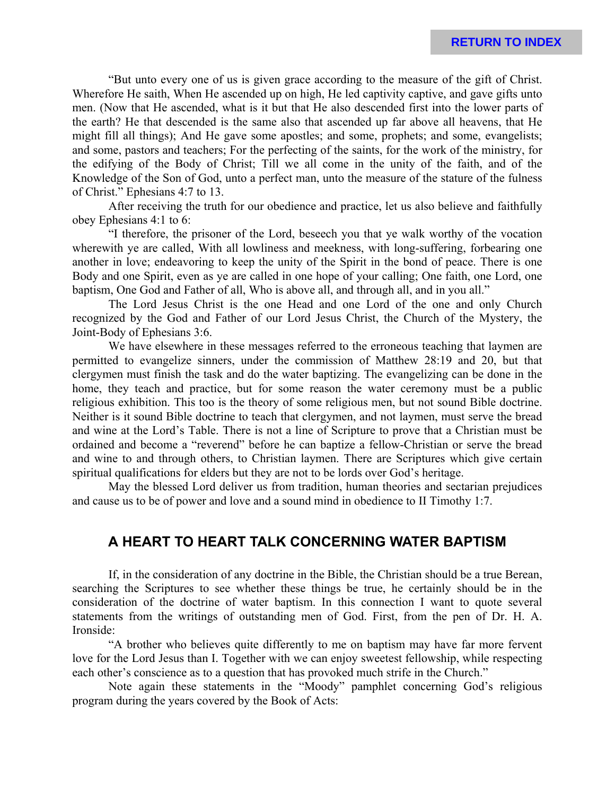"But unto every one of us is given grace according to the measure of the gift of Christ. Wherefore He saith, When He ascended up on high, He led captivity captive, and gave gifts unto men. (Now that He ascended, what is it but that He also descended first into the lower parts of the earth? He that descended is the same also that ascended up far above all heavens, that He might fill all things); And He gave some apostles; and some, prophets; and some, evangelists; and some, pastors and teachers; For the perfecting of the saints, for the work of the ministry, for the edifying of the Body of Christ; Till we all come in the unity of the faith, and of the Knowledge of the Son of God, unto a perfect man, unto the measure of the stature of the fulness of Christ." Ephesians 4:7 to 13.

After receiving the truth for our obedience and practice, let us also believe and faithfully obey Ephesians 4:1 to 6:

"I therefore, the prisoner of the Lord, beseech you that ye walk worthy of the vocation wherewith ye are called, With all lowliness and meekness, with long-suffering, forbearing one another in love; endeavoring to keep the unity of the Spirit in the bond of peace. There is one Body and one Spirit, even as ye are called in one hope of your calling; One faith, one Lord, one baptism, One God and Father of all, Who is above all, and through all, and in you all."

The Lord Jesus Christ is the one Head and one Lord of the one and only Church recognized by the God and Father of our Lord Jesus Christ, the Church of the Mystery, the Joint-Body of Ephesians 3:6.

We have elsewhere in these messages referred to the erroneous teaching that laymen are permitted to evangelize sinners, under the commission of Matthew 28:19 and 20, but that clergymen must finish the task and do the water baptizing. The evangelizing can be done in the home, they teach and practice, but for some reason the water ceremony must be a public religious exhibition. This too is the theory of some religious men, but not sound Bible doctrine. Neither is it sound Bible doctrine to teach that clergymen, and not laymen, must serve the bread and wine at the Lord's Table. There is not a line of Scripture to prove that a Christian must be ordained and become a "reverend" before he can baptize a fellow-Christian or serve the bread and wine to and through others, to Christian laymen. There are Scriptures which give certain spiritual qualifications for elders but they are not to be lords over God's heritage.

May the blessed Lord deliver us from tradition, human theories and sectarian prejudices and cause us to be of power and love and a sound mind in obedience to II Timothy 1:7.

### **A HEART TO HEART TALK CONCERNING WATER BAPTISM**

If, in the consideration of any doctrine in the Bible, the Christian should be a true Berean, searching the Scriptures to see whether these things be true, he certainly should be in the consideration of the doctrine of water baptism. In this connection I want to quote several statements from the writings of outstanding men of God. First, from the pen of Dr. H. A. Ironside:

"A brother who believes quite differently to me on baptism may have far more fervent love for the Lord Jesus than I. Together with we can enjoy sweetest fellowship, while respecting each other's conscience as to a question that has provoked much strife in the Church."

Note again these statements in the "Moody" pamphlet concerning God's religious program during the years covered by the Book of Acts: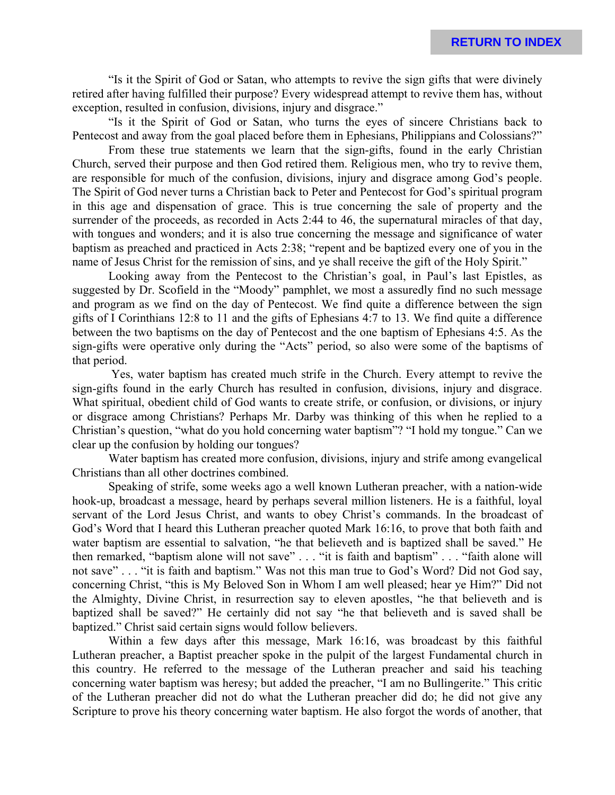"Is it the Spirit of God or Satan, who attempts to revive the sign gifts that were divinely retired after having fulfilled their purpose? Every widespread attempt to revive them has, without exception, resulted in confusion, divisions, injury and disgrace."

"Is it the Spirit of God or Satan, who turns the eyes of sincere Christians back to Pentecost and away from the goal placed before them in Ephesians, Philippians and Colossians?"

From these true statements we learn that the sign-gifts, found in the early Christian Church, served their purpose and then God retired them. Religious men, who try to revive them, are responsible for much of the confusion, divisions, injury and disgrace among God's people. The Spirit of God never turns a Christian back to Peter and Pentecost for God's spiritual program in this age and dispensation of grace. This is true concerning the sale of property and the surrender of the proceeds, as recorded in Acts 2:44 to 46, the supernatural miracles of that day, with tongues and wonders; and it is also true concerning the message and significance of water baptism as preached and practiced in Acts 2:38; "repent and be baptized every one of you in the name of Jesus Christ for the remission of sins, and ye shall receive the gift of the Holy Spirit."

Looking away from the Pentecost to the Christian's goal, in Paul's last Epistles, as suggested by Dr. Scofield in the "Moody" pamphlet, we most a assuredly find no such message and program as we find on the day of Pentecost. We find quite a difference between the sign gifts of I Corinthians 12:8 to 11 and the gifts of Ephesians 4:7 to 13. We find quite a difference between the two baptisms on the day of Pentecost and the one baptism of Ephesians 4:5. As the sign-gifts were operative only during the "Acts" period, so also were some of the baptisms of that period.

 Yes, water baptism has created much strife in the Church. Every attempt to revive the sign-gifts found in the early Church has resulted in confusion, divisions, injury and disgrace. What spiritual, obedient child of God wants to create strife, or confusion, or divisions, or injury or disgrace among Christians? Perhaps Mr. Darby was thinking of this when he replied to a Christian's question, "what do you hold concerning water baptism"? "I hold my tongue." Can we clear up the confusion by holding our tongues?

Water baptism has created more confusion, divisions, injury and strife among evangelical Christians than all other doctrines combined.

Speaking of strife, some weeks ago a well known Lutheran preacher, with a nation-wide hook-up, broadcast a message, heard by perhaps several million listeners. He is a faithful, loyal servant of the Lord Jesus Christ, and wants to obey Christ's commands. In the broadcast of God's Word that I heard this Lutheran preacher quoted Mark 16:16, to prove that both faith and water baptism are essential to salvation, "he that believeth and is baptized shall be saved." He then remarked, "baptism alone will not save" . . . "it is faith and baptism" . . . "faith alone will not save" . . . "it is faith and baptism." Was not this man true to God's Word? Did not God say, concerning Christ, "this is My Beloved Son in Whom I am well pleased; hear ye Him?" Did not the Almighty, Divine Christ, in resurrection say to eleven apostles, "he that believeth and is baptized shall be saved?" He certainly did not say "he that believeth and is saved shall be baptized." Christ said certain signs would follow believers.

Within a few days after this message, Mark 16:16, was broadcast by this faithful Lutheran preacher, a Baptist preacher spoke in the pulpit of the largest Fundamental church in this country. He referred to the message of the Lutheran preacher and said his teaching concerning water baptism was heresy; but added the preacher, "I am no Bullingerite." This critic of the Lutheran preacher did not do what the Lutheran preacher did do; he did not give any Scripture to prove his theory concerning water baptism. He also forgot the words of another, that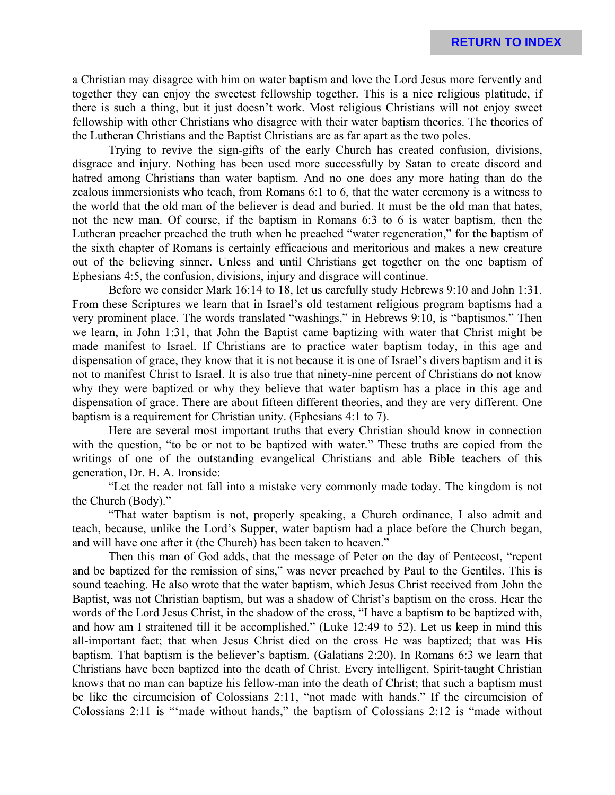a Christian may disagree with him on water baptism and love the Lord Jesus more fervently and together they can enjoy the sweetest fellowship together. This is a nice religious platitude, if there is such a thing, but it just doesn't work. Most religious Christians will not enjoy sweet fellowship with other Christians who disagree with their water baptism theories. The theories of the Lutheran Christians and the Baptist Christians are as far apart as the two poles.

Trying to revive the sign-gifts of the early Church has created confusion, divisions, disgrace and injury. Nothing has been used more successfully by Satan to create discord and hatred among Christians than water baptism. And no one does any more hating than do the zealous immersionists who teach, from Romans 6:1 to 6, that the water ceremony is a witness to the world that the old man of the believer is dead and buried. It must be the old man that hates, not the new man. Of course, if the baptism in Romans 6:3 to 6 is water baptism, then the Lutheran preacher preached the truth when he preached "water regeneration," for the baptism of the sixth chapter of Romans is certainly efficacious and meritorious and makes a new creature out of the believing sinner. Unless and until Christians get together on the one baptism of Ephesians 4:5, the confusion, divisions, injury and disgrace will continue.

Before we consider Mark 16:14 to 18, let us carefully study Hebrews 9:10 and John 1:31. From these Scriptures we learn that in Israel's old testament religious program baptisms had a very prominent place. The words translated "washings," in Hebrews 9:10, is "baptismos." Then we learn, in John 1:31, that John the Baptist came baptizing with water that Christ might be made manifest to Israel. If Christians are to practice water baptism today, in this age and dispensation of grace, they know that it is not because it is one of Israel's divers baptism and it is not to manifest Christ to Israel. It is also true that ninety-nine percent of Christians do not know why they were baptized or why they believe that water baptism has a place in this age and dispensation of grace. There are about fifteen different theories, and they are very different. One baptism is a requirement for Christian unity. (Ephesians 4:1 to 7).

Here are several most important truths that every Christian should know in connection with the question, "to be or not to be baptized with water." These truths are copied from the writings of one of the outstanding evangelical Christians and able Bible teachers of this generation, Dr. H. A. Ironside:

"Let the reader not fall into a mistake very commonly made today. The kingdom is not the Church (Body)."

"That water baptism is not, properly speaking, a Church ordinance, I also admit and teach, because, unlike the Lord's Supper, water baptism had a place before the Church began, and will have one after it (the Church) has been taken to heaven."

Then this man of God adds, that the message of Peter on the day of Pentecost, "repent and be baptized for the remission of sins," was never preached by Paul to the Gentiles. This is sound teaching. He also wrote that the water baptism, which Jesus Christ received from John the Baptist, was not Christian baptism, but was a shadow of Christ's baptism on the cross. Hear the words of the Lord Jesus Christ, in the shadow of the cross, "I have a baptism to be baptized with, and how am I straitened till it be accomplished." (Luke 12:49 to 52). Let us keep in mind this all-important fact; that when Jesus Christ died on the cross He was baptized; that was His baptism. That baptism is the believer's baptism. (Galatians 2:20). In Romans 6:3 we learn that Christians have been baptized into the death of Christ. Every intelligent, Spirit-taught Christian knows that no man can baptize his fellow-man into the death of Christ; that such a baptism must be like the circumcision of Colossians 2:11, "not made with hands." If the circumcision of Colossians 2:11 is "'made without hands," the baptism of Colossians 2:12 is "made without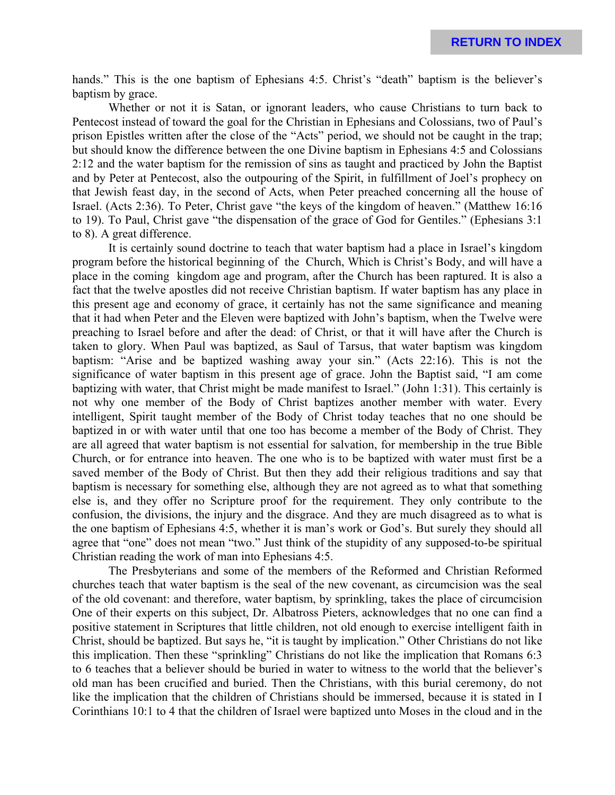hands." This is the one baptism of Ephesians 4:5. Christ's "death" baptism is the believer's baptism by grace.

Whether or not it is Satan, or ignorant leaders, who cause Christians to turn back to Pentecost instead of toward the goal for the Christian in Ephesians and Colossians, two of Paul's prison Epistles written after the close of the "Acts" period, we should not be caught in the trap; but should know the difference between the one Divine baptism in Ephesians 4:5 and Colossians 2:12 and the water baptism for the remission of sins as taught and practiced by John the Baptist and by Peter at Pentecost, also the outpouring of the Spirit, in fulfillment of Joel's prophecy on that Jewish feast day, in the second of Acts, when Peter preached concerning all the house of Israel. (Acts 2:36). To Peter, Christ gave "the keys of the kingdom of heaven." (Matthew 16:16 to 19). To Paul, Christ gave "the dispensation of the grace of God for Gentiles." (Ephesians 3:1 to 8). A great difference.

It is certainly sound doctrine to teach that water baptism had a place in Israel's kingdom program before the historical beginning of the Church, Which is Christ's Body, and will have a place in the coming kingdom age and program, after the Church has been raptured. It is also a fact that the twelve apostles did not receive Christian baptism. If water baptism has any place in this present age and economy of grace, it certainly has not the same significance and meaning that it had when Peter and the Eleven were baptized with John's baptism, when the Twelve were preaching to Israel before and after the dead: of Christ, or that it will have after the Church is taken to glory. When Paul was baptized, as Saul of Tarsus, that water baptism was kingdom baptism: "Arise and be baptized washing away your sin." (Acts 22:16). This is not the significance of water baptism in this present age of grace. John the Baptist said, "I am come baptizing with water, that Christ might be made manifest to Israel." (John 1:31). This certainly is not why one member of the Body of Christ baptizes another member with water. Every intelligent, Spirit taught member of the Body of Christ today teaches that no one should be baptized in or with water until that one too has become a member of the Body of Christ. They are all agreed that water baptism is not essential for salvation, for membership in the true Bible Church, or for entrance into heaven. The one who is to be baptized with water must first be a saved member of the Body of Christ. But then they add their religious traditions and say that baptism is necessary for something else, although they are not agreed as to what that something else is, and they offer no Scripture proof for the requirement. They only contribute to the confusion, the divisions, the injury and the disgrace. And they are much disagreed as to what is the one baptism of Ephesians 4:5, whether it is man's work or God's. But surely they should all agree that "one" does not mean "two." Just think of the stupidity of any supposed-to-be spiritual Christian reading the work of man into Ephesians 4:5.

The Presbyterians and some of the members of the Reformed and Christian Reformed churches teach that water baptism is the seal of the new covenant, as circumcision was the seal of the old covenant: and therefore, water baptism, by sprinkling, takes the place of circumcision One of their experts on this subject, Dr. Albatross Pieters, acknowledges that no one can find a positive statement in Scriptures that little children, not old enough to exercise intelligent faith in Christ, should be baptized. But says he, "it is taught by implication." Other Christians do not like this implication. Then these "sprinkling" Christians do not like the implication that Romans 6:3 to 6 teaches that a believer should be buried in water to witness to the world that the believer's old man has been crucified and buried. Then the Christians, with this burial ceremony, do not like the implication that the children of Christians should be immersed, because it is stated in I Corinthians 10:1 to 4 that the children of Israel were baptized unto Moses in the cloud and in the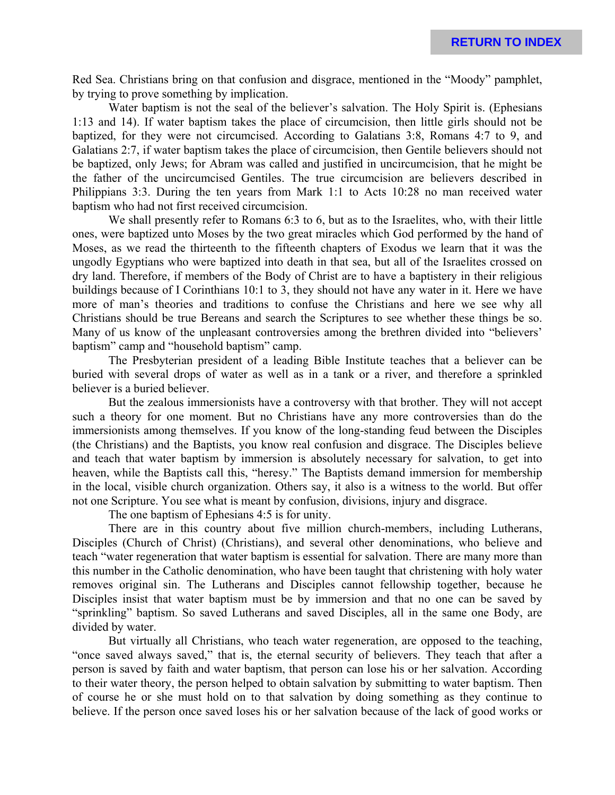Red Sea. Christians bring on that confusion and disgrace, mentioned in the "Moody" pamphlet, by trying to prove something by implication.

Water baptism is not the seal of the believer's salvation. The Holy Spirit is. (Ephesians 1:13 and 14). If water baptism takes the place of circumcision, then little girls should not be baptized, for they were not circumcised. According to Galatians 3:8, Romans 4:7 to 9, and Galatians 2:7, if water baptism takes the place of circumcision, then Gentile believers should not be baptized, only Jews; for Abram was called and justified in uncircumcision, that he might be the father of the uncircumcised Gentiles. The true circumcision are believers described in Philippians 3:3. During the ten years from Mark 1:1 to Acts 10:28 no man received water baptism who had not first received circumcision.

We shall presently refer to Romans 6:3 to 6, but as to the Israelites, who, with their little ones, were baptized unto Moses by the two great miracles which God performed by the hand of Moses, as we read the thirteenth to the fifteenth chapters of Exodus we learn that it was the ungodly Egyptians who were baptized into death in that sea, but all of the Israelites crossed on dry land. Therefore, if members of the Body of Christ are to have a baptistery in their religious buildings because of I Corinthians 10:1 to 3, they should not have any water in it. Here we have more of man's theories and traditions to confuse the Christians and here we see why all Christians should be true Bereans and search the Scriptures to see whether these things be so. Many of us know of the unpleasant controversies among the brethren divided into "believers' baptism" camp and "household baptism" camp.

The Presbyterian president of a leading Bible Institute teaches that a believer can be buried with several drops of water as well as in a tank or a river, and therefore a sprinkled believer is a buried believer.

But the zealous immersionists have a controversy with that brother. They will not accept such a theory for one moment. But no Christians have any more controversies than do the immersionists among themselves. If you know of the long-standing feud between the Disciples (the Christians) and the Baptists, you know real confusion and disgrace. The Disciples believe and teach that water baptism by immersion is absolutely necessary for salvation, to get into heaven, while the Baptists call this, "heresy." The Baptists demand immersion for membership in the local, visible church organization. Others say, it also is a witness to the world. But offer not one Scripture. You see what is meant by confusion, divisions, injury and disgrace.

The one baptism of Ephesians 4:5 is for unity.

There are in this country about five million church-members, including Lutherans, Disciples (Church of Christ) (Christians), and several other denominations, who believe and teach "water regeneration that water baptism is essential for salvation. There are many more than this number in the Catholic denomination, who have been taught that christening with holy water removes original sin. The Lutherans and Disciples cannot fellowship together, because he Disciples insist that water baptism must be by immersion and that no one can be saved by "sprinkling" baptism. So saved Lutherans and saved Disciples, all in the same one Body, are divided by water.

But virtually all Christians, who teach water regeneration, are opposed to the teaching, "once saved always saved," that is, the eternal security of believers. They teach that after a person is saved by faith and water baptism, that person can lose his or her salvation. According to their water theory, the person helped to obtain salvation by submitting to water baptism. Then of course he or she must hold on to that salvation by doing something as they continue to believe. If the person once saved loses his or her salvation because of the lack of good works or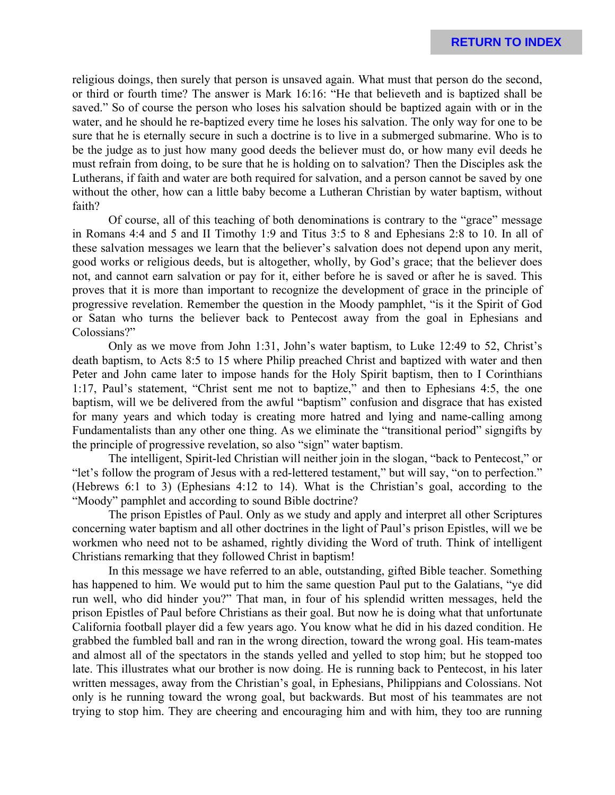religious doings, then surely that person is unsaved again. What must that person do the second, or third or fourth time? The answer is Mark 16:16: "He that believeth and is baptized shall be saved." So of course the person who loses his salvation should be baptized again with or in the water, and he should he re-baptized every time he loses his salvation. The only way for one to be sure that he is eternally secure in such a doctrine is to live in a submerged submarine. Who is to be the judge as to just how many good deeds the believer must do, or how many evil deeds he must refrain from doing, to be sure that he is holding on to salvation? Then the Disciples ask the Lutherans, if faith and water are both required for salvation, and a person cannot be saved by one without the other, how can a little baby become a Lutheran Christian by water baptism, without faith?

Of course, all of this teaching of both denominations is contrary to the "grace" message in Romans 4:4 and 5 and II Timothy 1:9 and Titus 3:5 to 8 and Ephesians 2:8 to 10. In all of these salvation messages we learn that the believer's salvation does not depend upon any merit, good works or religious deeds, but is altogether, wholly, by God's grace; that the believer does not, and cannot earn salvation or pay for it, either before he is saved or after he is saved. This proves that it is more than important to recognize the development of grace in the principle of progressive revelation. Remember the question in the Moody pamphlet, "is it the Spirit of God or Satan who turns the believer back to Pentecost away from the goal in Ephesians and Colossians?"

Only as we move from John 1:31, John's water baptism, to Luke 12:49 to 52, Christ's death baptism, to Acts 8:5 to 15 where Philip preached Christ and baptized with water and then Peter and John came later to impose hands for the Holy Spirit baptism, then to I Corinthians 1:17, Paul's statement, "Christ sent me not to baptize," and then to Ephesians 4:5, the one baptism, will we be delivered from the awful "baptism" confusion and disgrace that has existed for many years and which today is creating more hatred and lying and name-calling among Fundamentalists than any other one thing. As we eliminate the "transitional period" signgifts by the principle of progressive revelation, so also "sign" water baptism.

The intelligent, Spirit-led Christian will neither join in the slogan, "back to Pentecost," or "let's follow the program of Jesus with a red-lettered testament," but will say, "on to perfection." (Hebrews 6:1 to 3) (Ephesians 4:12 to 14). What is the Christian's goal, according to the "Moody" pamphlet and according to sound Bible doctrine?

The prison Epistles of Paul. Only as we study and apply and interpret all other Scriptures concerning water baptism and all other doctrines in the light of Paul's prison Epistles, will we be workmen who need not to be ashamed, rightly dividing the Word of truth. Think of intelligent Christians remarking that they followed Christ in baptism!

In this message we have referred to an able, outstanding, gifted Bible teacher. Something has happened to him. We would put to him the same question Paul put to the Galatians, "ye did run well, who did hinder you?" That man, in four of his splendid written messages, held the prison Epistles of Paul before Christians as their goal. But now he is doing what that unfortunate California football player did a few years ago. You know what he did in his dazed condition. He grabbed the fumbled ball and ran in the wrong direction, toward the wrong goal. His team-mates and almost all of the spectators in the stands yelled and yelled to stop him; but he stopped too late. This illustrates what our brother is now doing. He is running back to Pentecost, in his later written messages, away from the Christian's goal, in Ephesians, Philippians and Colossians. Not only is he running toward the wrong goal, but backwards. But most of his teammates are not trying to stop him. They are cheering and encouraging him and with him, they too are running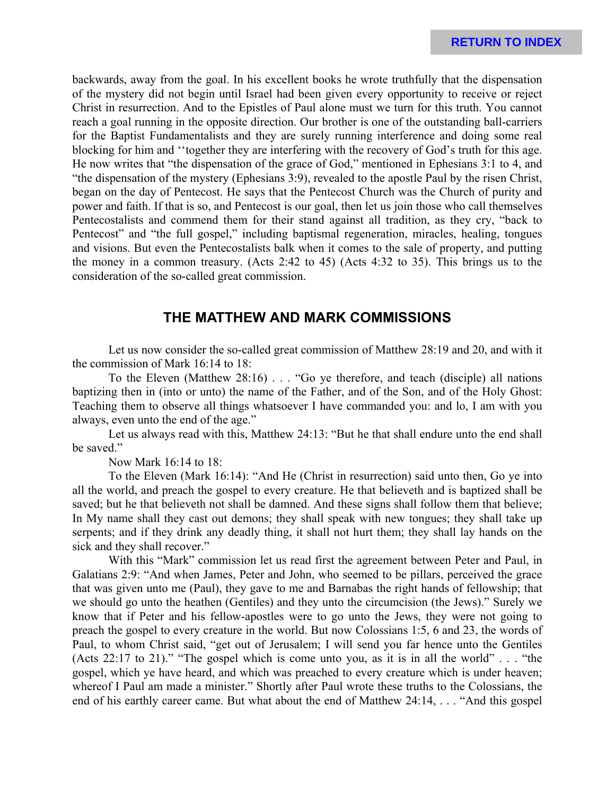backwards, away from the goal. In his excellent books he wrote truthfully that the dispensation of the mystery did not begin until Israel had been given every opportunity to receive or reject Christ in resurrection. And to the Epistles of Paul alone must we turn for this truth. You cannot reach a goal running in the opposite direction. Our brother is one of the outstanding ball-carriers for the Baptist Fundamentalists and they are surely running interference and doing some real blocking for him and ''together they are interfering with the recovery of God's truth for this age. He now writes that "the dispensation of the grace of God," mentioned in Ephesians 3:1 to 4, and "the dispensation of the mystery (Ephesians 3:9), revealed to the apostle Paul by the risen Christ, began on the day of Pentecost. He says that the Pentecost Church was the Church of purity and power and faith. If that is so, and Pentecost is our goal, then let us join those who call themselves Pentecostalists and commend them for their stand against all tradition, as they cry, "back to Pentecost" and "the full gospel," including baptismal regeneration, miracles, healing, tongues and visions. But even the Pentecostalists balk when it comes to the sale of property, and putting the money in a common treasury. (Acts 2:42 to 45) (Acts 4:32 to 35). This brings us to the consideration of the so-called great commission.

### **THE MATTHEW AND MARK COMMISSIONS**

Let us now consider the so-called great commission of Matthew 28:19 and 20, and with it the commission of Mark 16:14 to 18:

To the Eleven (Matthew 28:16) . . . "Go ye therefore, and teach (disciple) all nations baptizing then in (into or unto) the name of the Father, and of the Son, and of the Holy Ghost: Teaching them to observe all things whatsoever I have commanded you: and lo, I am with you always, even unto the end of the age."

Let us always read with this, Matthew 24:13: "But he that shall endure unto the end shall be saved."

Now Mark 16:14 to 18:

To the Eleven (Mark 16:14): "And He (Christ in resurrection) said unto then, Go ye into all the world, and preach the gospel to every creature. He that believeth and is baptized shall be saved; but he that believeth not shall be damned. And these signs shall follow them that believe; In My name shall they cast out demons; they shall speak with new tongues; they shall take up serpents; and if they drink any deadly thing, it shall not hurt them; they shall lay hands on the sick and they shall recover."

With this "Mark" commission let us read first the agreement between Peter and Paul, in Galatians 2:9: "And when James, Peter and John, who seemed to be pillars, perceived the grace that was given unto me (Paul), they gave to me and Barnabas the right hands of fellowship; that we should go unto the heathen (Gentiles) and they unto the circumcision (the Jews)." Surely we know that if Peter and his fellow-apostles were to go unto the Jews, they were not going to preach the gospel to every creature in the world. But now Colossians 1:5, 6 and 23, the words of Paul, to whom Christ said, "get out of Jerusalem; I will send you far hence unto the Gentiles (Acts 22:17 to 21)." "The gospel which is come unto you, as it is in all the world" . . . "the gospel, which ye have heard, and which was preached to every creature which is under heaven; whereof I Paul am made a minister." Shortly after Paul wrote these truths to the Colossians, the end of his earthly career came. But what about the end of Matthew 24:14, . . . "And this gospel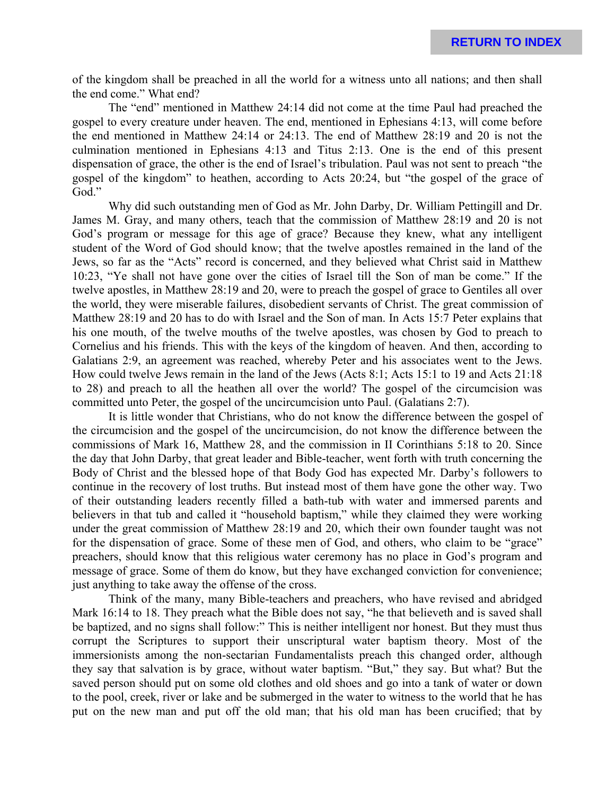of the kingdom shall be preached in all the world for a witness unto all nations; and then shall the end come." What end?

The "end" mentioned in Matthew 24:14 did not come at the time Paul had preached the gospel to every creature under heaven. The end, mentioned in Ephesians 4:13, will come before the end mentioned in Matthew 24:14 or 24:13. The end of Matthew 28:19 and 20 is not the culmination mentioned in Ephesians 4:13 and Titus 2:13. One is the end of this present dispensation of grace, the other is the end of Israel's tribulation. Paul was not sent to preach "the gospel of the kingdom" to heathen, according to Acts 20:24, but "the gospel of the grace of God."

Why did such outstanding men of God as Mr. John Darby, Dr. William Pettingill and Dr. James M. Gray, and many others, teach that the commission of Matthew 28:19 and 20 is not God's program or message for this age of grace? Because they knew, what any intelligent student of the Word of God should know; that the twelve apostles remained in the land of the Jews, so far as the "Acts" record is concerned, and they believed what Christ said in Matthew 10:23, "Ye shall not have gone over the cities of Israel till the Son of man be come." If the twelve apostles, in Matthew 28:19 and 20, were to preach the gospel of grace to Gentiles all over the world, they were miserable failures, disobedient servants of Christ. The great commission of Matthew 28:19 and 20 has to do with Israel and the Son of man. In Acts 15:7 Peter explains that his one mouth, of the twelve mouths of the twelve apostles, was chosen by God to preach to Cornelius and his friends. This with the keys of the kingdom of heaven. And then, according to Galatians 2:9, an agreement was reached, whereby Peter and his associates went to the Jews. How could twelve Jews remain in the land of the Jews (Acts 8:1; Acts 15:1 to 19 and Acts 21:18 to 28) and preach to all the heathen all over the world? The gospel of the circumcision was committed unto Peter, the gospel of the uncircumcision unto Paul. (Galatians 2:7).

It is little wonder that Christians, who do not know the difference between the gospel of the circumcision and the gospel of the uncircumcision, do not know the difference between the commissions of Mark 16, Matthew 28, and the commission in II Corinthians 5:18 to 20. Since the day that John Darby, that great leader and Bible-teacher, went forth with truth concerning the Body of Christ and the blessed hope of that Body God has expected Mr. Darby's followers to continue in the recovery of lost truths. But instead most of them have gone the other way. Two of their outstanding leaders recently filled a bath-tub with water and immersed parents and believers in that tub and called it "household baptism," while they claimed they were working under the great commission of Matthew 28:19 and 20, which their own founder taught was not for the dispensation of grace. Some of these men of God, and others, who claim to be "grace" preachers, should know that this religious water ceremony has no place in God's program and message of grace. Some of them do know, but they have exchanged conviction for convenience; just anything to take away the offense of the cross.

Think of the many, many Bible-teachers and preachers, who have revised and abridged Mark 16:14 to 18. They preach what the Bible does not say, "he that believeth and is saved shall be baptized, and no signs shall follow:" This is neither intelligent nor honest. But they must thus corrupt the Scriptures to support their unscriptural water baptism theory. Most of the immersionists among the non-sectarian Fundamentalists preach this changed order, although they say that salvation is by grace, without water baptism. "But," they say. But what? But the saved person should put on some old clothes and old shoes and go into a tank of water or down to the pool, creek, river or lake and be submerged in the water to witness to the world that he has put on the new man and put off the old man; that his old man has been crucified; that by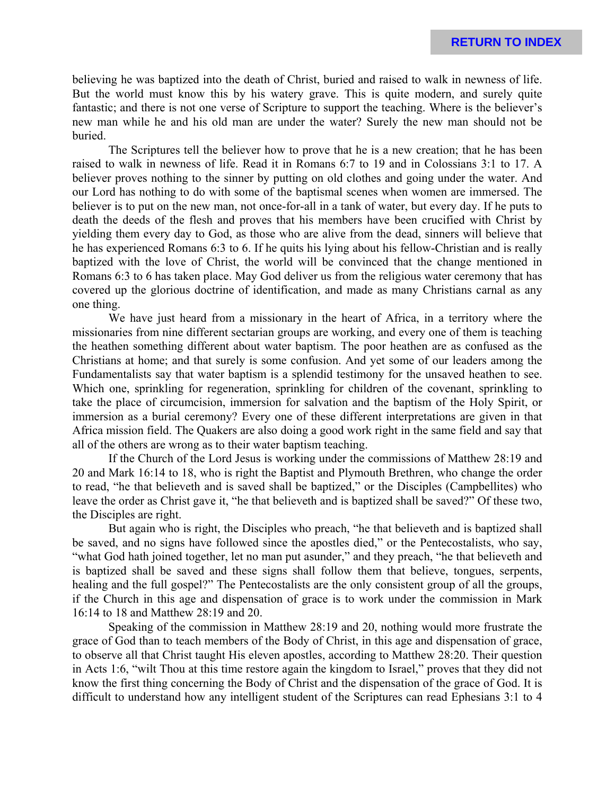believing he was baptized into the death of Christ, buried and raised to walk in newness of life. But the world must know this by his watery grave. This is quite modern, and surely quite fantastic; and there is not one verse of Scripture to support the teaching. Where is the believer's new man while he and his old man are under the water? Surely the new man should not be buried.

The Scriptures tell the believer how to prove that he is a new creation; that he has been raised to walk in newness of life. Read it in Romans 6:7 to 19 and in Colossians 3:1 to 17. A believer proves nothing to the sinner by putting on old clothes and going under the water. And our Lord has nothing to do with some of the baptismal scenes when women are immersed. The believer is to put on the new man, not once-for-all in a tank of water, but every day. If he puts to death the deeds of the flesh and proves that his members have been crucified with Christ by yielding them every day to God, as those who are alive from the dead, sinners will believe that he has experienced Romans 6:3 to 6. If he quits his lying about his fellow-Christian and is really baptized with the love of Christ, the world will be convinced that the change mentioned in Romans 6:3 to 6 has taken place. May God deliver us from the religious water ceremony that has covered up the glorious doctrine of identification, and made as many Christians carnal as any one thing.

We have just heard from a missionary in the heart of Africa, in a territory where the missionaries from nine different sectarian groups are working, and every one of them is teaching the heathen something different about water baptism. The poor heathen are as confused as the Christians at home; and that surely is some confusion. And yet some of our leaders among the Fundamentalists say that water baptism is a splendid testimony for the unsaved heathen to see. Which one, sprinkling for regeneration, sprinkling for children of the covenant, sprinkling to take the place of circumcision, immersion for salvation and the baptism of the Holy Spirit, or immersion as a burial ceremony? Every one of these different interpretations are given in that Africa mission field. The Quakers are also doing a good work right in the same field and say that all of the others are wrong as to their water baptism teaching.

If the Church of the Lord Jesus is working under the commissions of Matthew 28:19 and 20 and Mark 16:14 to 18, who is right the Baptist and Plymouth Brethren, who change the order to read, "he that believeth and is saved shall be baptized," or the Disciples (Campbellites) who leave the order as Christ gave it, "he that believeth and is baptized shall be saved?" Of these two, the Disciples are right.

But again who is right, the Disciples who preach, "he that believeth and is baptized shall be saved, and no signs have followed since the apostles died," or the Pentecostalists, who say, "what God hath joined together, let no man put asunder," and they preach, "he that believeth and is baptized shall be saved and these signs shall follow them that believe, tongues, serpents, healing and the full gospel?" The Pentecostalists are the only consistent group of all the groups, if the Church in this age and dispensation of grace is to work under the commission in Mark 16:14 to 18 and Matthew 28:19 and 20.

Speaking of the commission in Matthew 28:19 and 20, nothing would more frustrate the grace of God than to teach members of the Body of Christ, in this age and dispensation of grace, to observe all that Christ taught His eleven apostles, according to Matthew 28:20. Their question in Acts 1:6, "wilt Thou at this time restore again the kingdom to Israel," proves that they did not know the first thing concerning the Body of Christ and the dispensation of the grace of God. It is difficult to understand how any intelligent student of the Scriptures can read Ephesians 3:1 to 4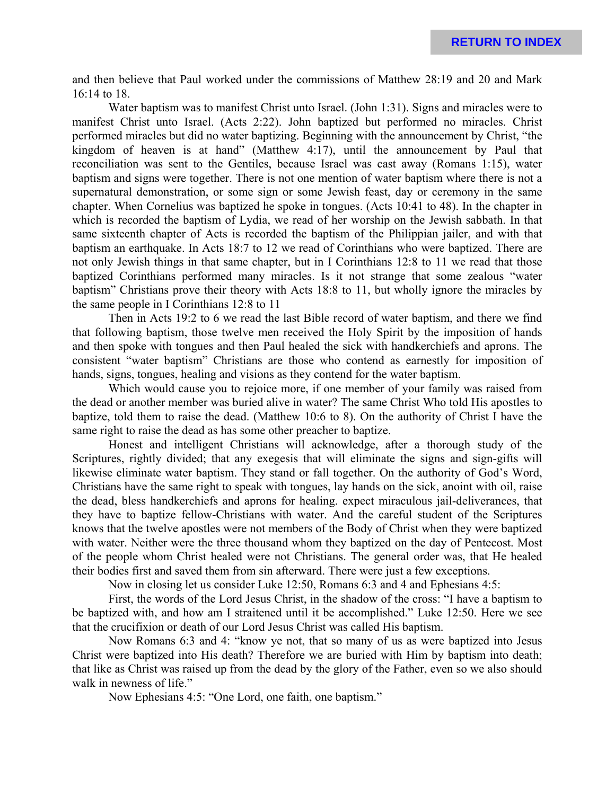and then believe that Paul worked under the commissions of Matthew 28:19 and 20 and Mark 16:14 to 18.

Water baptism was to manifest Christ unto Israel. (John 1:31). Signs and miracles were to manifest Christ unto Israel. (Acts 2:22). John baptized but performed no miracles. Christ performed miracles but did no water baptizing. Beginning with the announcement by Christ, "the kingdom of heaven is at hand" (Matthew 4:17), until the announcement by Paul that reconciliation was sent to the Gentiles, because Israel was cast away (Romans 1:15), water baptism and signs were together. There is not one mention of water baptism where there is not a supernatural demonstration, or some sign or some Jewish feast, day or ceremony in the same chapter. When Cornelius was baptized he spoke in tongues. (Acts 10:41 to 48). In the chapter in which is recorded the baptism of Lydia, we read of her worship on the Jewish sabbath. In that same sixteenth chapter of Acts is recorded the baptism of the Philippian jailer, and with that baptism an earthquake. In Acts 18:7 to 12 we read of Corinthians who were baptized. There are not only Jewish things in that same chapter, but in I Corinthians 12:8 to 11 we read that those baptized Corinthians performed many miracles. Is it not strange that some zealous "water baptism" Christians prove their theory with Acts 18:8 to 11, but wholly ignore the miracles by the same people in I Corinthians 12:8 to 11

Then in Acts 19:2 to 6 we read the last Bible record of water baptism, and there we find that following baptism, those twelve men received the Holy Spirit by the imposition of hands and then spoke with tongues and then Paul healed the sick with handkerchiefs and aprons. The consistent "water baptism" Christians are those who contend as earnestly for imposition of hands, signs, tongues, healing and visions as they contend for the water baptism.

Which would cause you to rejoice more, if one member of your family was raised from the dead or another member was buried alive in water? The same Christ Who told His apostles to baptize, told them to raise the dead. (Matthew 10:6 to 8). On the authority of Christ I have the same right to raise the dead as has some other preacher to baptize.

Honest and intelligent Christians will acknowledge, after a thorough study of the Scriptures, rightly divided; that any exegesis that will eliminate the signs and sign-gifts will likewise eliminate water baptism. They stand or fall together. On the authority of God's Word, Christians have the same right to speak with tongues, lay hands on the sick, anoint with oil, raise the dead, bless handkerchiefs and aprons for healing. expect miraculous jail-deliverances, that they have to baptize fellow-Christians with water. And the careful student of the Scriptures knows that the twelve apostles were not members of the Body of Christ when they were baptized with water. Neither were the three thousand whom they baptized on the day of Pentecost. Most of the people whom Christ healed were not Christians. The general order was, that He healed their bodies first and saved them from sin afterward. There were just a few exceptions.

Now in closing let us consider Luke 12:50, Romans 6:3 and 4 and Ephesians 4:5:

First, the words of the Lord Jesus Christ, in the shadow of the cross: "I have a baptism to be baptized with, and how am I straitened until it be accomplished." Luke 12:50. Here we see that the crucifixion or death of our Lord Jesus Christ was called His baptism.

Now Romans 6:3 and 4: "know ye not, that so many of us as were baptized into Jesus Christ were baptized into His death? Therefore we are buried with Him by baptism into death; that like as Christ was raised up from the dead by the glory of the Father, even so we also should walk in newness of life."

Now Ephesians 4:5: "One Lord, one faith, one baptism."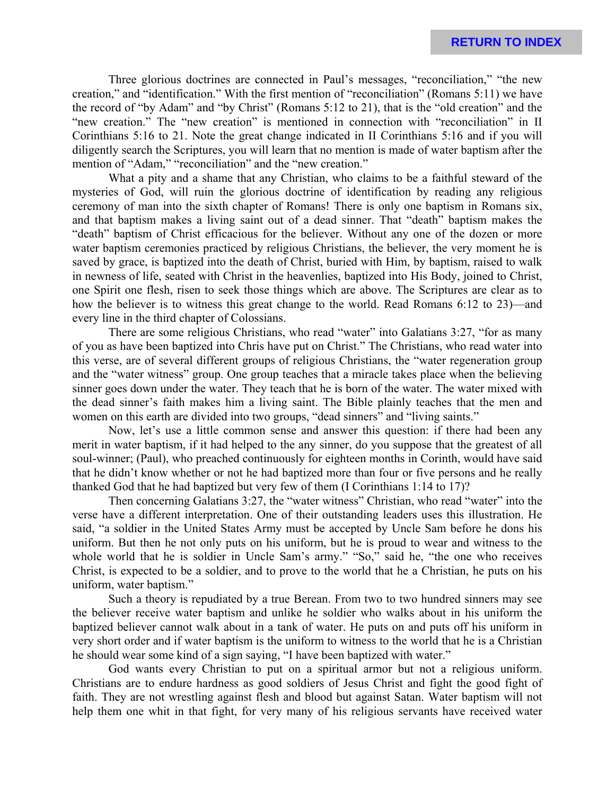Three glorious doctrines are connected in Paul's messages, "reconciliation," "the new creation," and "identification." With the first mention of "reconciliation" (Romans 5:11) we have the record of "by Adam" and "by Christ" (Romans 5:12 to 21), that is the "old creation" and the "new creation." The "new creation" is mentioned in connection with "reconciliation" in II Corinthians 5:16 to 21. Note the great change indicated in II Corinthians 5:16 and if you will diligently search the Scriptures, you will learn that no mention is made of water baptism after the mention of "Adam," "reconciliation" and the "new creation."

What a pity and a shame that any Christian, who claims to be a faithful steward of the mysteries of God, will ruin the glorious doctrine of identification by reading any religious ceremony of man into the sixth chapter of Romans! There is only one baptism in Romans six, and that baptism makes a living saint out of a dead sinner. That "death" baptism makes the "death" baptism of Christ efficacious for the believer. Without any one of the dozen or more water baptism ceremonies practiced by religious Christians, the believer, the very moment he is saved by grace, is baptized into the death of Christ, buried with Him, by baptism, raised to walk in newness of life, seated with Christ in the heavenlies, baptized into His Body, joined to Christ, one Spirit one flesh, risen to seek those things which are above. The Scriptures are clear as to how the believer is to witness this great change to the world. Read Romans 6:12 to 23)—and every line in the third chapter of Colossians.

There are some religious Christians, who read "water" into Galatians 3:27, "for as many of you as have been baptized into Chris have put on Christ." The Christians, who read water into this verse, are of several different groups of religious Christians, the "water regeneration group and the "water witness" group. One group teaches that a miracle takes place when the believing sinner goes down under the water. They teach that he is born of the water. The water mixed with the dead sinner's faith makes him a living saint. The Bible plainly teaches that the men and women on this earth are divided into two groups, "dead sinners" and "living saints."

Now, let's use a little common sense and answer this question: if there had been any merit in water baptism, if it had helped to the any sinner, do you suppose that the greatest of all soul-winner; (Paul), who preached continuously for eighteen months in Corinth, would have said that he didn't know whether or not he had baptized more than four or five persons and he really thanked God that he had baptized but very few of them (I Corinthians 1:14 to 17)?

Then concerning Galatians 3:27, the "water witness" Christian, who read "water" into the verse have a different interpretation. One of their outstanding leaders uses this illustration. He said, "a soldier in the United States Army must be accepted by Uncle Sam before he dons his uniform. But then he not only puts on his uniform, but he is proud to wear and witness to the whole world that he is soldier in Uncle Sam's army." "So," said he, "the one who receives Christ, is expected to be a soldier, and to prove to the world that he a Christian, he puts on his uniform, water baptism."

Such a theory is repudiated by a true Berean. From two to two hundred sinners may see the believer receive water baptism and unlike he soldier who walks about in his uniform the baptized believer cannot walk about in a tank of water. He puts on and puts off his uniform in very short order and if water baptism is the uniform to witness to the world that he is a Christian he should wear some kind of a sign saying, "I have been baptized with water."

God wants every Christian to put on a spiritual armor but not a religious uniform. Christians are to endure hardness as good soldiers of Jesus Christ and fight the good fight of faith. They are not wrestling against flesh and blood but against Satan. Water baptism will not help them one whit in that fight, for very many of his religious servants have received water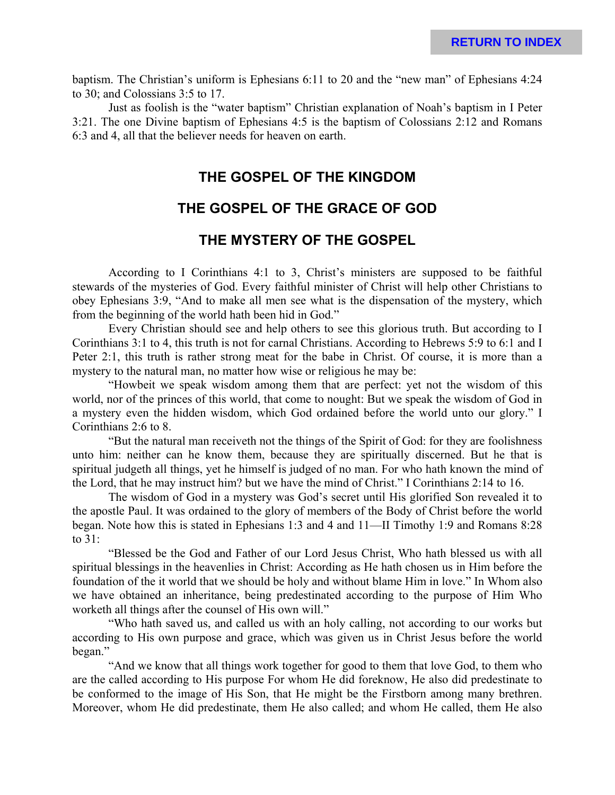baptism. The Christian's uniform is Ephesians 6:11 to 20 and the "new man" of Ephesians 4:24 to 30; and Colossians 3:5 to 17.

Just as foolish is the "water baptism" Christian explanation of Noah's baptism in I Peter 3:21. The one Divine baptism of Ephesians 4:5 is the baptism of Colossians 2:12 and Romans 6:3 and 4, all that the believer needs for heaven on earth.

## **THE GOSPEL OF THE KINGDOM**

### **THE GOSPEL OF THE GRACE OF GOD**

### **THE MYSTERY OF THE GOSPEL**

According to I Corinthians 4:1 to 3, Christ's ministers are supposed to be faithful stewards of the mysteries of God. Every faithful minister of Christ will help other Christians to obey Ephesians 3:9, "And to make all men see what is the dispensation of the mystery, which from the beginning of the world hath been hid in God."

Every Christian should see and help others to see this glorious truth. But according to I Corinthians 3:1 to 4, this truth is not for carnal Christians. According to Hebrews 5:9 to 6:1 and I Peter 2:1, this truth is rather strong meat for the babe in Christ. Of course, it is more than a mystery to the natural man, no matter how wise or religious he may be:

"Howbeit we speak wisdom among them that are perfect: yet not the wisdom of this world, nor of the princes of this world, that come to nought: But we speak the wisdom of God in a mystery even the hidden wisdom, which God ordained before the world unto our glory." I Corinthians 2:6 to 8.

"But the natural man receiveth not the things of the Spirit of God: for they are foolishness unto him: neither can he know them, because they are spiritually discerned. But he that is spiritual judgeth all things, yet he himself is judged of no man. For who hath known the mind of the Lord, that he may instruct him? but we have the mind of Christ." I Corinthians 2:14 to 16.

The wisdom of God in a mystery was God's secret until His glorified Son revealed it to the apostle Paul. It was ordained to the glory of members of the Body of Christ before the world began. Note how this is stated in Ephesians 1:3 and 4 and 11—II Timothy 1:9 and Romans 8:28 to 31:

"Blessed be the God and Father of our Lord Jesus Christ, Who hath blessed us with all spiritual blessings in the heavenlies in Christ: According as He hath chosen us in Him before the foundation of the it world that we should be holy and without blame Him in love." In Whom also we have obtained an inheritance, being predestinated according to the purpose of Him Who worketh all things after the counsel of His own will."

"Who hath saved us, and called us with an holy calling, not according to our works but according to His own purpose and grace, which was given us in Christ Jesus before the world began."

"And we know that all things work together for good to them that love God, to them who are the called according to His purpose For whom He did foreknow, He also did predestinate to be conformed to the image of His Son, that He might be the Firstborn among many brethren. Moreover, whom He did predestinate, them He also called; and whom He called, them He also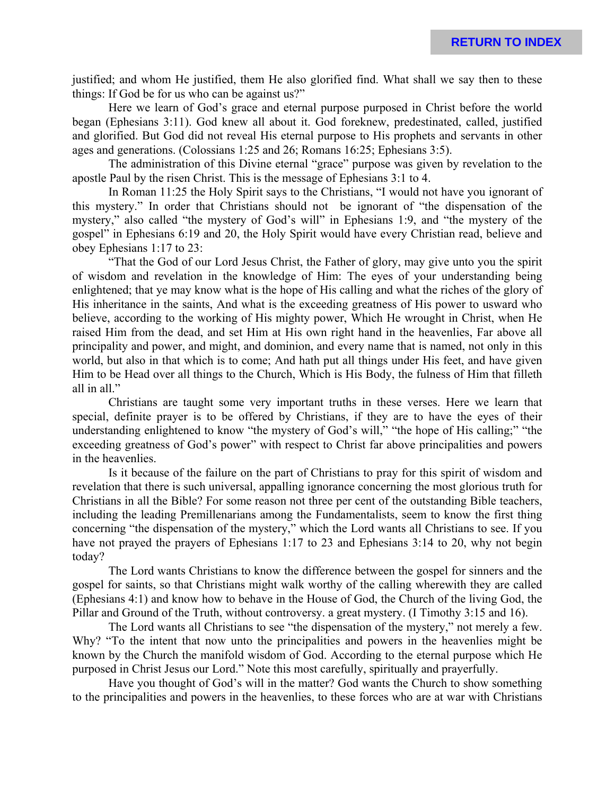justified; and whom He justified, them He also glorified find. What shall we say then to these things: If God be for us who can be against us?"

Here we learn of God's grace and eternal purpose purposed in Christ before the world began (Ephesians 3:11). God knew all about it. God foreknew, predestinated, called, justified and glorified. But God did not reveal His eternal purpose to His prophets and servants in other ages and generations. (Colossians 1:25 and 26; Romans 16:25; Ephesians 3:5).

The administration of this Divine eternal "grace" purpose was given by revelation to the apostle Paul by the risen Christ. This is the message of Ephesians 3:1 to 4.

In Roman 11:25 the Holy Spirit says to the Christians, "I would not have you ignorant of this mystery." In order that Christians should not be ignorant of "the dispensation of the mystery," also called "the mystery of God's will" in Ephesians 1:9, and "the mystery of the gospel" in Ephesians 6:19 and 20, the Holy Spirit would have every Christian read, believe and obey Ephesians 1:17 to 23:

"That the God of our Lord Jesus Christ, the Father of glory, may give unto you the spirit of wisdom and revelation in the knowledge of Him: The eyes of your understanding being enlightened; that ye may know what is the hope of His calling and what the riches of the glory of His inheritance in the saints, And what is the exceeding greatness of His power to usward who believe, according to the working of His mighty power, Which He wrought in Christ, when He raised Him from the dead, and set Him at His own right hand in the heavenlies, Far above all principality and power, and might, and dominion, and every name that is named, not only in this world, but also in that which is to come; And hath put all things under His feet, and have given Him to be Head over all things to the Church, Which is His Body, the fulness of Him that filleth all in all."

Christians are taught some very important truths in these verses. Here we learn that special, definite prayer is to be offered by Christians, if they are to have the eyes of their understanding enlightened to know "the mystery of God's will," "the hope of His calling;" "the exceeding greatness of God's power" with respect to Christ far above principalities and powers in the heavenlies.

Is it because of the failure on the part of Christians to pray for this spirit of wisdom and revelation that there is such universal, appalling ignorance concerning the most glorious truth for Christians in all the Bible? For some reason not three per cent of the outstanding Bible teachers, including the leading Premillenarians among the Fundamentalists, seem to know the first thing concerning "the dispensation of the mystery," which the Lord wants all Christians to see. If you have not prayed the prayers of Ephesians 1:17 to 23 and Ephesians 3:14 to 20, why not begin today?

The Lord wants Christians to know the difference between the gospel for sinners and the gospel for saints, so that Christians might walk worthy of the calling wherewith they are called (Ephesians 4:1) and know how to behave in the House of God, the Church of the living God, the Pillar and Ground of the Truth, without controversy. a great mystery. (I Timothy 3:15 and 16).

The Lord wants all Christians to see "the dispensation of the mystery," not merely a few. Why? "To the intent that now unto the principalities and powers in the heavenlies might be known by the Church the manifold wisdom of God. According to the eternal purpose which He purposed in Christ Jesus our Lord." Note this most carefully, spiritually and prayerfully.

Have you thought of God's will in the matter? God wants the Church to show something to the principalities and powers in the heavenlies, to these forces who are at war with Christians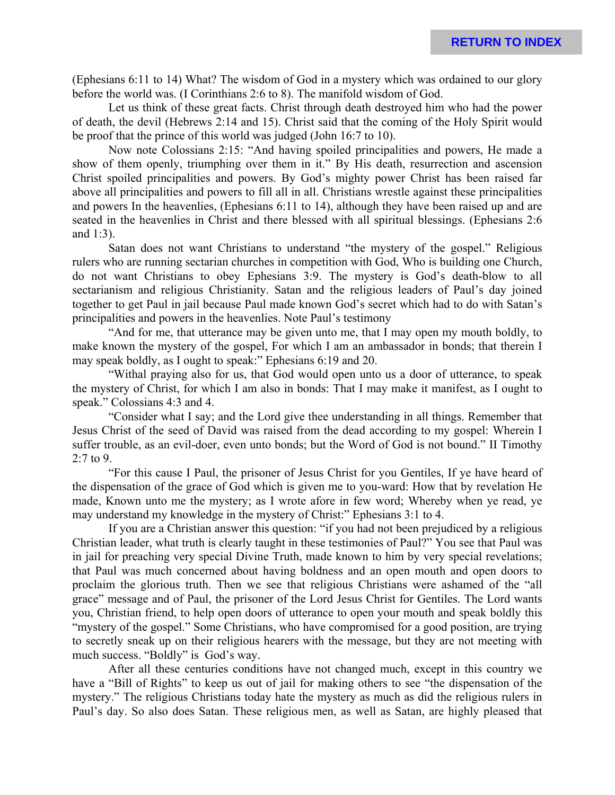(Ephesians 6:11 to 14) What? The wisdom of God in a mystery which was ordained to our glory before the world was. (I Corinthians 2:6 to 8). The manifold wisdom of God.

Let us think of these great facts. Christ through death destroyed him who had the power of death, the devil (Hebrews 2:14 and 15). Christ said that the coming of the Holy Spirit would be proof that the prince of this world was judged (John 16:7 to 10).

Now note Colossians 2:15: "And having spoiled principalities and powers, He made a show of them openly, triumphing over them in it." By His death, resurrection and ascension Christ spoiled principalities and powers. By God's mighty power Christ has been raised far above all principalities and powers to fill all in all. Christians wrestle against these principalities and powers In the heavenlies, (Ephesians 6:11 to 14), although they have been raised up and are seated in the heavenlies in Christ and there blessed with all spiritual blessings. (Ephesians 2:6 and 1:3).

Satan does not want Christians to understand "the mystery of the gospel." Religious rulers who are running sectarian churches in competition with God, Who is building one Church, do not want Christians to obey Ephesians 3:9. The mystery is God's death-blow to all sectarianism and religious Christianity. Satan and the religious leaders of Paul's day joined together to get Paul in jail because Paul made known God's secret which had to do with Satan's principalities and powers in the heavenlies. Note Paul's testimony

"And for me, that utterance may be given unto me, that I may open my mouth boldly, to make known the mystery of the gospel, For which I am an ambassador in bonds; that therein I may speak boldly, as I ought to speak:" Ephesians 6:19 and 20.

"Withal praying also for us, that God would open unto us a door of utterance, to speak the mystery of Christ, for which I am also in bonds: That I may make it manifest, as I ought to speak." Colossians 4:3 and 4.

"Consider what I say; and the Lord give thee understanding in all things. Remember that Jesus Christ of the seed of David was raised from the dead according to my gospel: Wherein I suffer trouble, as an evil-doer, even unto bonds; but the Word of God is not bound." II Timothy 2:7 to 9.

"For this cause I Paul, the prisoner of Jesus Christ for you Gentiles, If ye have heard of the dispensation of the grace of God which is given me to you-ward: How that by revelation He made, Known unto me the mystery; as I wrote afore in few word; Whereby when ye read, ye may understand my knowledge in the mystery of Christ:" Ephesians 3:1 to 4.

If you are a Christian answer this question: "if you had not been prejudiced by a religious Christian leader, what truth is clearly taught in these testimonies of Paul?" You see that Paul was in jail for preaching very special Divine Truth, made known to him by very special revelations; that Paul was much concerned about having boldness and an open mouth and open doors to proclaim the glorious truth. Then we see that religious Christians were ashamed of the "all grace" message and of Paul, the prisoner of the Lord Jesus Christ for Gentiles. The Lord wants you, Christian friend, to help open doors of utterance to open your mouth and speak boldly this "mystery of the gospel." Some Christians, who have compromised for a good position, are trying to secretly sneak up on their religious hearers with the message, but they are not meeting with much success. "Boldly" is God's way.

After all these centuries conditions have not changed much, except in this country we have a "Bill of Rights" to keep us out of jail for making others to see "the dispensation of the mystery." The religious Christians today hate the mystery as much as did the religious rulers in Paul's day. So also does Satan. These religious men, as well as Satan, are highly pleased that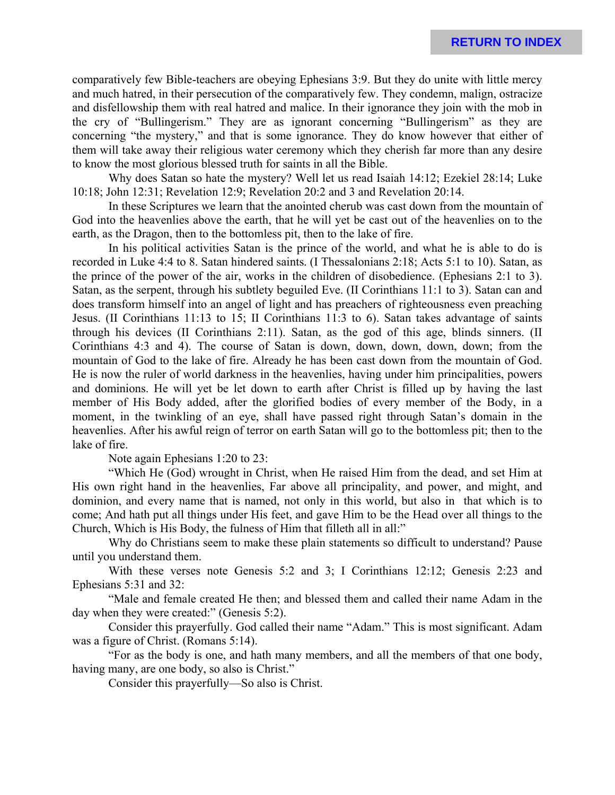comparatively few Bible-teachers are obeying Ephesians 3:9. But they do unite with little mercy and much hatred, in their persecution of the comparatively few. They condemn, malign, ostracize and disfellowship them with real hatred and malice. In their ignorance they join with the mob in the cry of "Bullingerism." They are as ignorant concerning "Bullingerism" as they are concerning "the mystery," and that is some ignorance. They do know however that either of them will take away their religious water ceremony which they cherish far more than any desire to know the most glorious blessed truth for saints in all the Bible.

Why does Satan so hate the mystery? Well let us read Isaiah 14:12; Ezekiel 28:14; Luke 10:18; John 12:31; Revelation 12:9; Revelation 20:2 and 3 and Revelation 20:14.

In these Scriptures we learn that the anointed cherub was cast down from the mountain of God into the heavenlies above the earth, that he will yet be cast out of the heavenlies on to the earth, as the Dragon, then to the bottomless pit, then to the lake of fire.

In his political activities Satan is the prince of the world, and what he is able to do is recorded in Luke 4:4 to 8. Satan hindered saints. (I Thessalonians 2:18; Acts 5:1 to 10). Satan, as the prince of the power of the air, works in the children of disobedience. (Ephesians 2:1 to 3). Satan, as the serpent, through his subtlety beguiled Eve. (II Corinthians 11:1 to 3). Satan can and does transform himself into an angel of light and has preachers of righteousness even preaching Jesus. (II Corinthians 11:13 to 15; II Corinthians 11:3 to 6). Satan takes advantage of saints through his devices (II Corinthians 2:11). Satan, as the god of this age, blinds sinners. (II Corinthians 4:3 and 4). The course of Satan is down, down, down, down, down; from the mountain of God to the lake of fire. Already he has been cast down from the mountain of God. He is now the ruler of world darkness in the heavenlies, having under him principalities, powers and dominions. He will yet be let down to earth after Christ is filled up by having the last member of His Body added, after the glorified bodies of every member of the Body, in a moment, in the twinkling of an eye, shall have passed right through Satan's domain in the heavenlies. After his awful reign of terror on earth Satan will go to the bottomless pit; then to the lake of fire.

Note again Ephesians 1:20 to 23:

"Which He (God) wrought in Christ, when He raised Him from the dead, and set Him at His own right hand in the heavenlies, Far above all principality, and power, and might, and dominion, and every name that is named, not only in this world, but also in that which is to come; And hath put all things under His feet, and gave Him to be the Head over all things to the Church, Which is His Body, the fulness of Him that filleth all in all:"

Why do Christians seem to make these plain statements so difficult to understand? Pause until you understand them.

With these verses note Genesis 5:2 and 3; I Corinthians 12:12; Genesis 2:23 and Ephesians 5:31 and 32:

"Male and female created He then; and blessed them and called their name Adam in the day when they were created:" (Genesis 5:2).

Consider this prayerfully. God called their name "Adam." This is most significant. Adam was a figure of Christ. (Romans 5:14).

"For as the body is one, and hath many members, and all the members of that one body, having many, are one body, so also is Christ."

Consider this prayerfully—So also is Christ.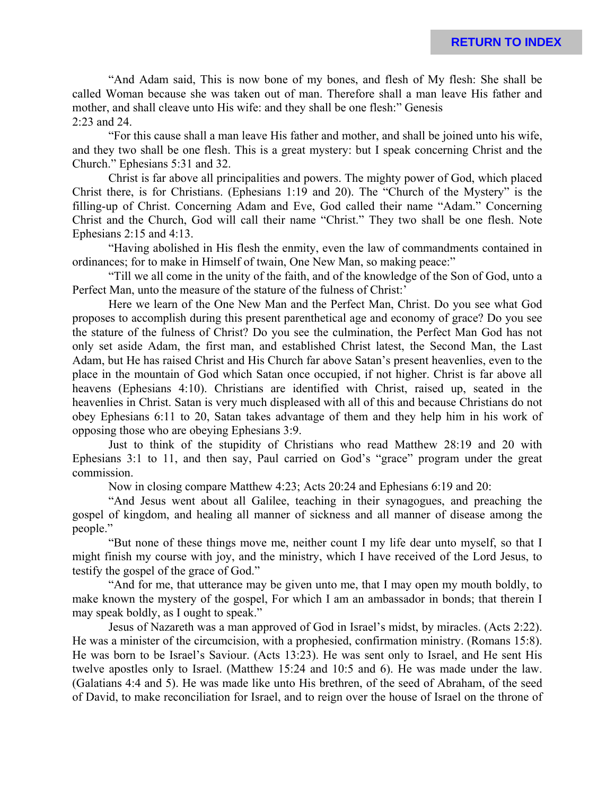"And Adam said, This is now bone of my bones, and flesh of My flesh: She shall be called Woman because she was taken out of man. Therefore shall a man leave His father and mother, and shall cleave unto His wife: and they shall be one flesh:" Genesis 2:23 and 24.

"For this cause shall a man leave His father and mother, and shall be joined unto his wife, and they two shall be one flesh. This is a great mystery: but I speak concerning Christ and the Church." Ephesians 5:31 and 32.

Christ is far above all principalities and powers. The mighty power of God, which placed Christ there, is for Christians. (Ephesians 1:19 and 20). The "Church of the Mystery" is the filling-up of Christ. Concerning Adam and Eve, God called their name "Adam." Concerning Christ and the Church, God will call their name "Christ." They two shall be one flesh. Note Ephesians 2:15 and 4:13.

"Having abolished in His flesh the enmity, even the law of commandments contained in ordinances; for to make in Himself of twain, One New Man, so making peace:"

"Till we all come in the unity of the faith, and of the knowledge of the Son of God, unto a Perfect Man, unto the measure of the stature of the fulness of Christ:'

Here we learn of the One New Man and the Perfect Man, Christ. Do you see what God proposes to accomplish during this present parenthetical age and economy of grace? Do you see the stature of the fulness of Christ? Do you see the culmination, the Perfect Man God has not only set aside Adam, the first man, and established Christ latest, the Second Man, the Last Adam, but He has raised Christ and His Church far above Satan's present heavenlies, even to the place in the mountain of God which Satan once occupied, if not higher. Christ is far above all heavens (Ephesians 4:10). Christians are identified with Christ, raised up, seated in the heavenlies in Christ. Satan is very much displeased with all of this and because Christians do not obey Ephesians 6:11 to 20, Satan takes advantage of them and they help him in his work of opposing those who are obeying Ephesians 3:9.

Just to think of the stupidity of Christians who read Matthew 28:19 and 20 with Ephesians 3:1 to 11, and then say, Paul carried on God's "grace" program under the great commission.

Now in closing compare Matthew 4:23; Acts 20:24 and Ephesians 6:19 and 20:

"And Jesus went about all Galilee, teaching in their synagogues, and preaching the gospel of kingdom, and healing all manner of sickness and all manner of disease among the people."

"But none of these things move me, neither count I my life dear unto myself, so that I might finish my course with joy, and the ministry, which I have received of the Lord Jesus, to testify the gospel of the grace of God."

"And for me, that utterance may be given unto me, that I may open my mouth boldly, to make known the mystery of the gospel, For which I am an ambassador in bonds; that therein I may speak boldly, as I ought to speak."

Jesus of Nazareth was a man approved of God in Israel's midst, by miracles. (Acts 2:22). He was a minister of the circumcision, with a prophesied, confirmation ministry. (Romans 15:8). He was born to be Israel's Saviour. (Acts 13:23). He was sent only to Israel, and He sent His twelve apostles only to Israel. (Matthew 15:24 and 10:5 and 6). He was made under the law. (Galatians 4:4 and 5). He was made like unto His brethren, of the seed of Abraham, of the seed of David, to make reconciliation for Israel, and to reign over the house of Israel on the throne of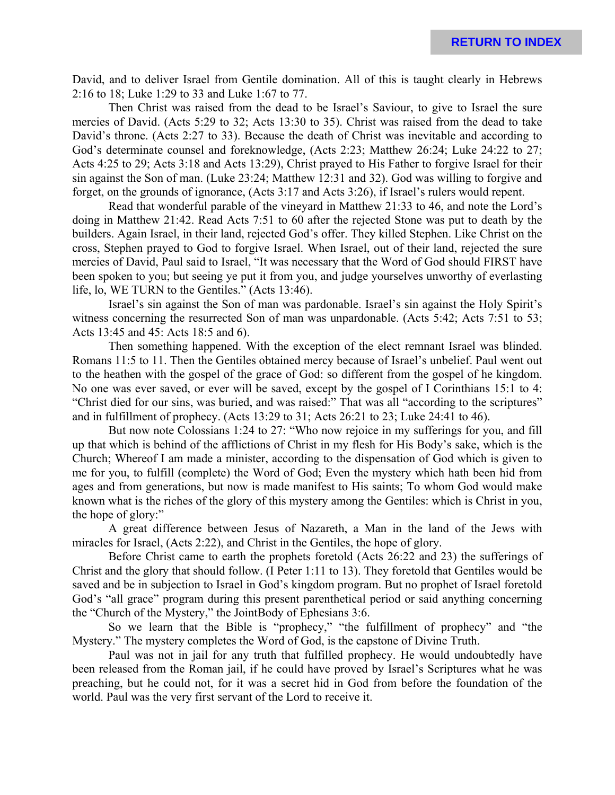David, and to deliver Israel from Gentile domination. All of this is taught clearly in Hebrews 2:16 to 18; Luke 1:29 to 33 and Luke 1:67 to 77.

Then Christ was raised from the dead to be Israel's Saviour, to give to Israel the sure mercies of David. (Acts 5:29 to 32; Acts 13:30 to 35). Christ was raised from the dead to take David's throne. (Acts 2:27 to 33). Because the death of Christ was inevitable and according to God's determinate counsel and foreknowledge, (Acts 2:23; Matthew 26:24; Luke 24:22 to 27; Acts 4:25 to 29; Acts 3:18 and Acts 13:29), Christ prayed to His Father to forgive Israel for their sin against the Son of man. (Luke 23:24; Matthew 12:31 and 32). God was willing to forgive and forget, on the grounds of ignorance, (Acts 3:17 and Acts 3:26), if Israel's rulers would repent.

Read that wonderful parable of the vineyard in Matthew 21:33 to 46, and note the Lord's doing in Matthew 21:42. Read Acts 7:51 to 60 after the rejected Stone was put to death by the builders. Again Israel, in their land, rejected God's offer. They killed Stephen. Like Christ on the cross, Stephen prayed to God to forgive Israel. When Israel, out of their land, rejected the sure mercies of David, Paul said to Israel, "It was necessary that the Word of God should FIRST have been spoken to you; but seeing ye put it from you, and judge yourselves unworthy of everlasting life, lo, WE TURN to the Gentiles." (Acts 13:46).

Israel's sin against the Son of man was pardonable. Israel's sin against the Holy Spirit's witness concerning the resurrected Son of man was unpardonable. (Acts 5:42; Acts 7:51 to 53; Acts 13:45 and 45: Acts 18:5 and 6).

Then something happened. With the exception of the elect remnant Israel was blinded. Romans 11:5 to 11. Then the Gentiles obtained mercy because of Israel's unbelief. Paul went out to the heathen with the gospel of the grace of God: so different from the gospel of he kingdom. No one was ever saved, or ever will be saved, except by the gospel of I Corinthians 15:1 to 4: "Christ died for our sins, was buried, and was raised:" That was all "according to the scriptures" and in fulfillment of prophecy. (Acts 13:29 to 31; Acts 26:21 to 23; Luke 24:41 to 46).

But now note Colossians 1:24 to 27: "Who now rejoice in my sufferings for you, and fill up that which is behind of the afflictions of Christ in my flesh for His Body's sake, which is the Church; Whereof I am made a minister, according to the dispensation of God which is given to me for you, to fulfill (complete) the Word of God; Even the mystery which hath been hid from ages and from generations, but now is made manifest to His saints; To whom God would make known what is the riches of the glory of this mystery among the Gentiles: which is Christ in you, the hope of glory:"

A great difference between Jesus of Nazareth, a Man in the land of the Jews with miracles for Israel, (Acts 2:22), and Christ in the Gentiles, the hope of glory.

Before Christ came to earth the prophets foretold (Acts 26:22 and 23) the sufferings of Christ and the glory that should follow. (I Peter 1:11 to 13). They foretold that Gentiles would be saved and be in subjection to Israel in God's kingdom program. But no prophet of Israel foretold God's "all grace" program during this present parenthetical period or said anything concerning the "Church of the Mystery," the JointBody of Ephesians 3:6.

So we learn that the Bible is "prophecy," "the fulfillment of prophecy" and "the Mystery." The mystery completes the Word of God, is the capstone of Divine Truth.

Paul was not in jail for any truth that fulfilled prophecy. He would undoubtedly have been released from the Roman jail, if he could have proved by Israel's Scriptures what he was preaching, but he could not, for it was a secret hid in God from before the foundation of the world. Paul was the very first servant of the Lord to receive it.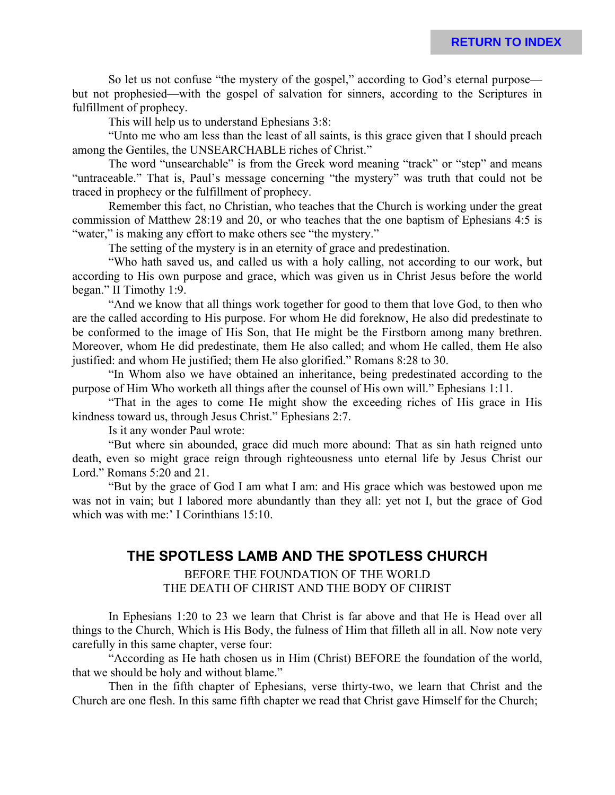So let us not confuse "the mystery of the gospel," according to God's eternal purpose but not prophesied—with the gospel of salvation for sinners, according to the Scriptures in fulfillment of prophecy.

This will help us to understand Ephesians 3:8:

"Unto me who am less than the least of all saints, is this grace given that I should preach among the Gentiles, the UNSEARCHABLE riches of Christ."

The word "unsearchable" is from the Greek word meaning "track" or "step" and means "untraceable." That is, Paul's message concerning "the mystery" was truth that could not be traced in prophecy or the fulfillment of prophecy.

Remember this fact, no Christian, who teaches that the Church is working under the great commission of Matthew 28:19 and 20, or who teaches that the one baptism of Ephesians 4:5 is "water," is making any effort to make others see "the mystery."

The setting of the mystery is in an eternity of grace and predestination.

"Who hath saved us, and called us with a holy calling, not according to our work, but according to His own purpose and grace, which was given us in Christ Jesus before the world began." II Timothy 1:9.

"And we know that all things work together for good to them that love God, to then who are the called according to His purpose. For whom He did foreknow, He also did predestinate to be conformed to the image of His Son, that He might be the Firstborn among many brethren. Moreover, whom He did predestinate, them He also called; and whom He called, them He also justified: and whom He justified; them He also glorified." Romans 8:28 to 30.

"In Whom also we have obtained an inheritance, being predestinated according to the purpose of Him Who worketh all things after the counsel of His own will." Ephesians 1:11.

"That in the ages to come He might show the exceeding riches of His grace in His kindness toward us, through Jesus Christ." Ephesians 2:7.

Is it any wonder Paul wrote:

"But where sin abounded, grace did much more abound: That as sin hath reigned unto death, even so might grace reign through righteousness unto eternal life by Jesus Christ our Lord." Romans 5:20 and 21.

"But by the grace of God I am what I am: and His grace which was bestowed upon me was not in vain; but I labored more abundantly than they all: yet not I, but the grace of God which was with me:' I Corinthians 15:10.

### **THE SPOTLESS LAMB AND THE SPOTLESS CHURCH**

#### BEFORE THE FOUNDATION OF THE WORLD THE DEATH OF CHRIST AND THE BODY OF CHRIST

In Ephesians 1:20 to 23 we learn that Christ is far above and that He is Head over all things to the Church, Which is His Body, the fulness of Him that filleth all in all. Now note very carefully in this same chapter, verse four:

"According as He hath chosen us in Him (Christ) BEFORE the foundation of the world, that we should be holy and without blame."

Then in the fifth chapter of Ephesians, verse thirty-two, we learn that Christ and the Church are one flesh. In this same fifth chapter we read that Christ gave Himself for the Church;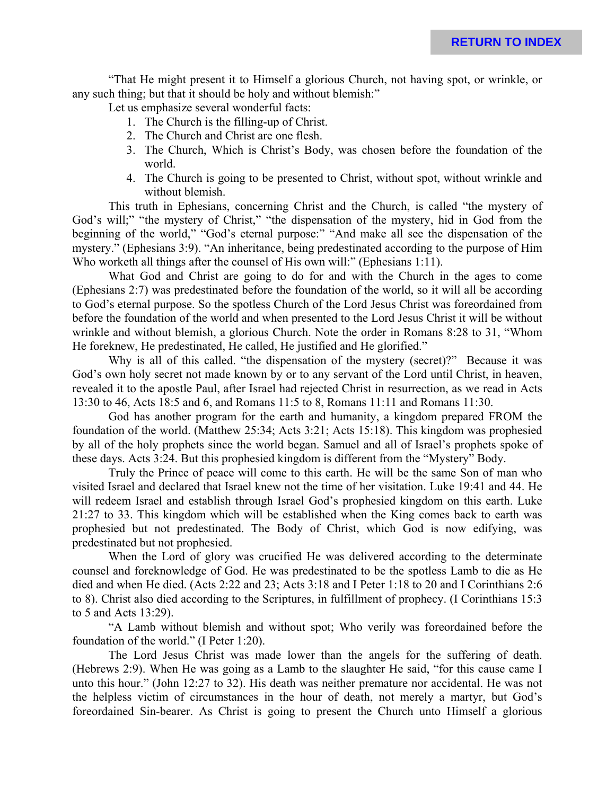"That He might present it to Himself a glorious Church, not having spot, or wrinkle, or any such thing; but that it should be holy and without blemish:"

Let us emphasize several wonderful facts:

- 1. The Church is the filling-up of Christ.
- 2. The Church and Christ are one flesh.
- 3. The Church, Which is Christ's Body, was chosen before the foundation of the world.
- 4. The Church is going to be presented to Christ, without spot, without wrinkle and without blemish.

This truth in Ephesians, concerning Christ and the Church, is called "the mystery of God's will;" "the mystery of Christ," "the dispensation of the mystery, hid in God from the beginning of the world," "God's eternal purpose:" "And make all see the dispensation of the mystery." (Ephesians 3:9). "An inheritance, being predestinated according to the purpose of Him Who worketh all things after the counsel of His own will:" (Ephesians 1:11).

What God and Christ are going to do for and with the Church in the ages to come (Ephesians 2:7) was predestinated before the foundation of the world, so it will all be according to God's eternal purpose. So the spotless Church of the Lord Jesus Christ was foreordained from before the foundation of the world and when presented to the Lord Jesus Christ it will be without wrinkle and without blemish, a glorious Church. Note the order in Romans 8:28 to 31, "Whom He foreknew, He predestinated, He called, He justified and He glorified."

Why is all of this called. "the dispensation of the mystery (secret)?" Because it was God's own holy secret not made known by or to any servant of the Lord until Christ, in heaven, revealed it to the apostle Paul, after Israel had rejected Christ in resurrection, as we read in Acts 13:30 to 46, Acts 18:5 and 6, and Romans 11:5 to 8, Romans 11:11 and Romans 11:30.

God has another program for the earth and humanity, a kingdom prepared FROM the foundation of the world. (Matthew 25:34; Acts 3:21; Acts 15:18). This kingdom was prophesied by all of the holy prophets since the world began. Samuel and all of Israel's prophets spoke of these days. Acts 3:24. But this prophesied kingdom is different from the "Mystery" Body.

Truly the Prince of peace will come to this earth. He will be the same Son of man who visited Israel and declared that Israel knew not the time of her visitation. Luke 19:41 and 44. He will redeem Israel and establish through Israel God's prophesied kingdom on this earth. Luke 21:27 to 33. This kingdom which will be established when the King comes back to earth was prophesied but not predestinated. The Body of Christ, which God is now edifying, was predestinated but not prophesied.

When the Lord of glory was crucified He was delivered according to the determinate counsel and foreknowledge of God. He was predestinated to be the spotless Lamb to die as He died and when He died. (Acts 2:22 and 23; Acts 3:18 and I Peter 1:18 to 20 and I Corinthians 2:6 to 8). Christ also died according to the Scriptures, in fulfillment of prophecy. (I Corinthians 15:3 to 5 and Acts 13:29).

"A Lamb without blemish and without spot; Who verily was foreordained before the foundation of the world." (I Peter 1:20).

The Lord Jesus Christ was made lower than the angels for the suffering of death. (Hebrews 2:9). When He was going as a Lamb to the slaughter He said, "for this cause came I unto this hour." (John 12:27 to 32). His death was neither premature nor accidental. He was not the helpless victim of circumstances in the hour of death, not merely a martyr, but God's foreordained Sin-bearer. As Christ is going to present the Church unto Himself a glorious